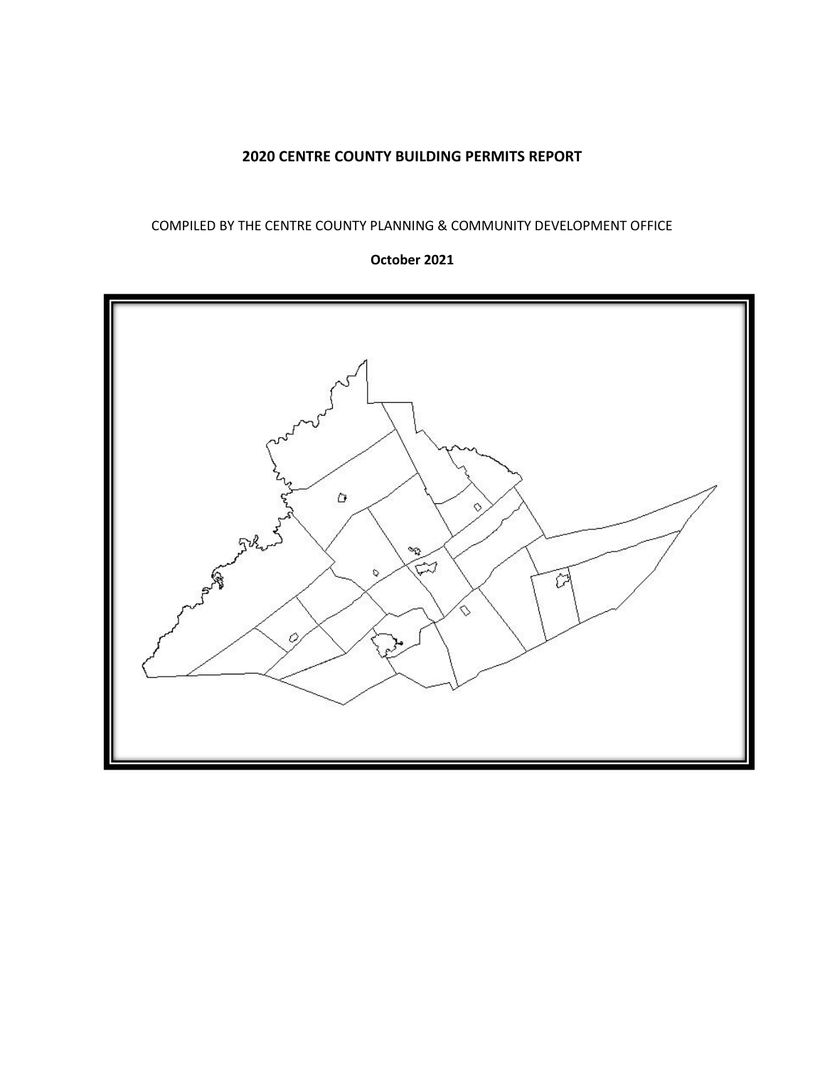## **2020 CENTRE COUNTY BUILDING PERMITS REPORT**

### COMPILED BY THE CENTRE COUNTY PLANNING & COMMUNITY DEVELOPMENT OFFICE

### **October 2021**

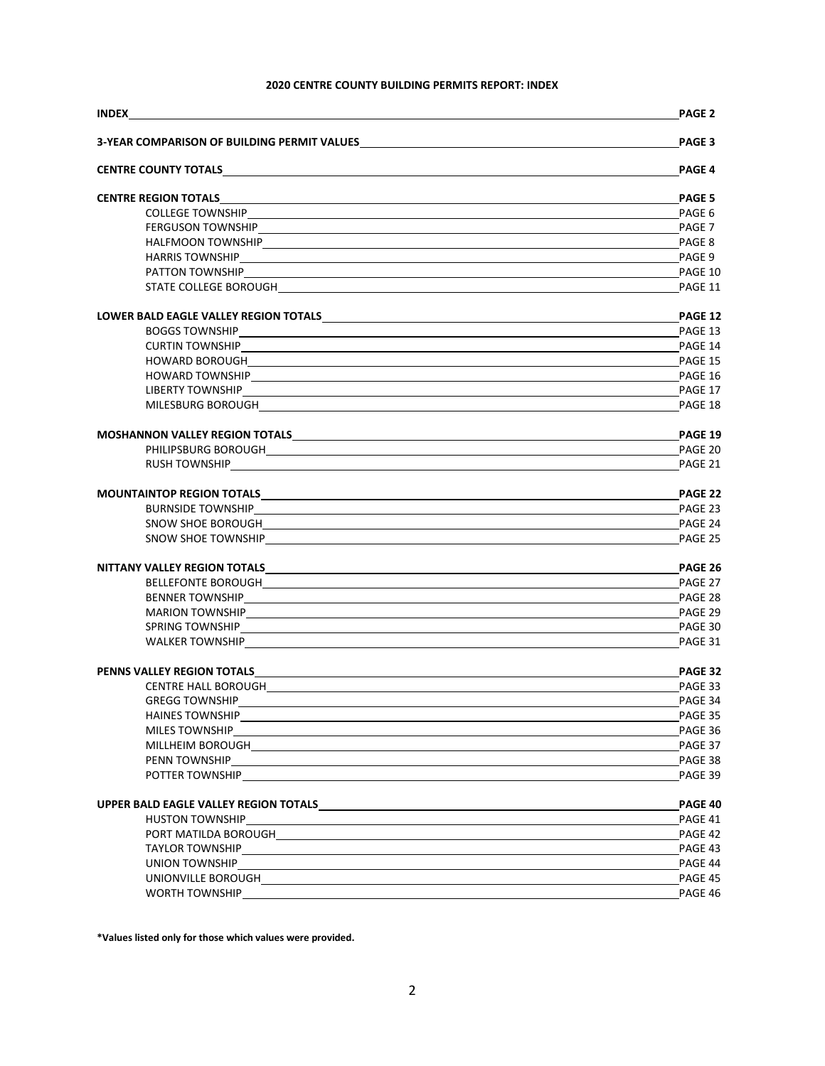### **2020 CENTRE COUNTY BUILDING PERMITS REPORT: INDEX**

|                                                                                                                                                                                                                                | <b>PAGE 2</b> |
|--------------------------------------------------------------------------------------------------------------------------------------------------------------------------------------------------------------------------------|---------------|
| <b>3-YEAR COMPARISON OF BUILDING PERMIT VALUES</b>                                                                                                                                                                             | PAGE 3        |
|                                                                                                                                                                                                                                | <b>PAGE 4</b> |
|                                                                                                                                                                                                                                | <b>PAGE 5</b> |
|                                                                                                                                                                                                                                |               |
|                                                                                                                                                                                                                                | PAGE 7        |
|                                                                                                                                                                                                                                | PAGE 8        |
|                                                                                                                                                                                                                                |               |
|                                                                                                                                                                                                                                |               |
|                                                                                                                                                                                                                                | PAGE 11       |
|                                                                                                                                                                                                                                | PAGE 12       |
|                                                                                                                                                                                                                                | PAGE 13       |
|                                                                                                                                                                                                                                |               |
|                                                                                                                                                                                                                                |               |
|                                                                                                                                                                                                                                | PAGE 16       |
|                                                                                                                                                                                                                                | PAGE 17       |
|                                                                                                                                                                                                                                | PAGE 18       |
| MOSHANNON VALLEY REGION TOTALS MELTICAL CONTRACT AND A CONTRACT A CONTRACT OF A CONTRACT OF A CONTRACT OF A CO                                                                                                                 | PAGE 19       |
|                                                                                                                                                                                                                                | PAGE 20       |
|                                                                                                                                                                                                                                | PAGE 21       |
| MOUNTAINTOP REGION TOTALS <b>And Account Container and Account Container and Account Container and Account Container</b>                                                                                                       | PAGE 22       |
| BURNSIDE TOWNSHIP                                                                                                                                                                                                              | PAGE 23       |
|                                                                                                                                                                                                                                | PAGE 24       |
|                                                                                                                                                                                                                                | PAGE 25       |
|                                                                                                                                                                                                                                | PAGE 26       |
|                                                                                                                                                                                                                                | PAGE 27       |
|                                                                                                                                                                                                                                |               |
|                                                                                                                                                                                                                                |               |
|                                                                                                                                                                                                                                |               |
|                                                                                                                                                                                                                                | PAGE 31       |
|                                                                                                                                                                                                                                | PAGE 32       |
|                                                                                                                                                                                                                                | PAGE 33       |
|                                                                                                                                                                                                                                | PAGE 34       |
|                                                                                                                                                                                                                                | PAGE 35       |
|                                                                                                                                                                                                                                | PAGE 36       |
|                                                                                                                                                                                                                                |               |
|                                                                                                                                                                                                                                |               |
| POTTER TOWNSHIP POTTER OWNER AND THE CONTRACT OF THE CONTRACT OF THE CONTRACT OF THE CONTRACT OF THE CONTRACT OF THE CONTRACT OF THE CONTRACT OF THE CONTRACT OF THE CONTRACT OF THE CONTRACT OF THE CONTRACT OF THE CONTRACT  | PAGE 39       |
|                                                                                                                                                                                                                                | PAGE 40       |
|                                                                                                                                                                                                                                | PAGE 41       |
| PORT MATILDA BOROUGH EXECUTIVE TO A SERVER THAT THE RESERVER. THE SERVER WAS SERVED ON THE SERVER OF THE SERVER OF THE SERVER OF THE SERVER OF THE SERVER OF THE SERVER OF THE SERVER OF THE SERVER OF THE SERVER OF THE SERVE | PAGE 42       |
|                                                                                                                                                                                                                                |               |
|                                                                                                                                                                                                                                |               |
|                                                                                                                                                                                                                                | PAGE 45       |
|                                                                                                                                                                                                                                | PAGE 46       |

**\*Values listed only for those which values were provided.**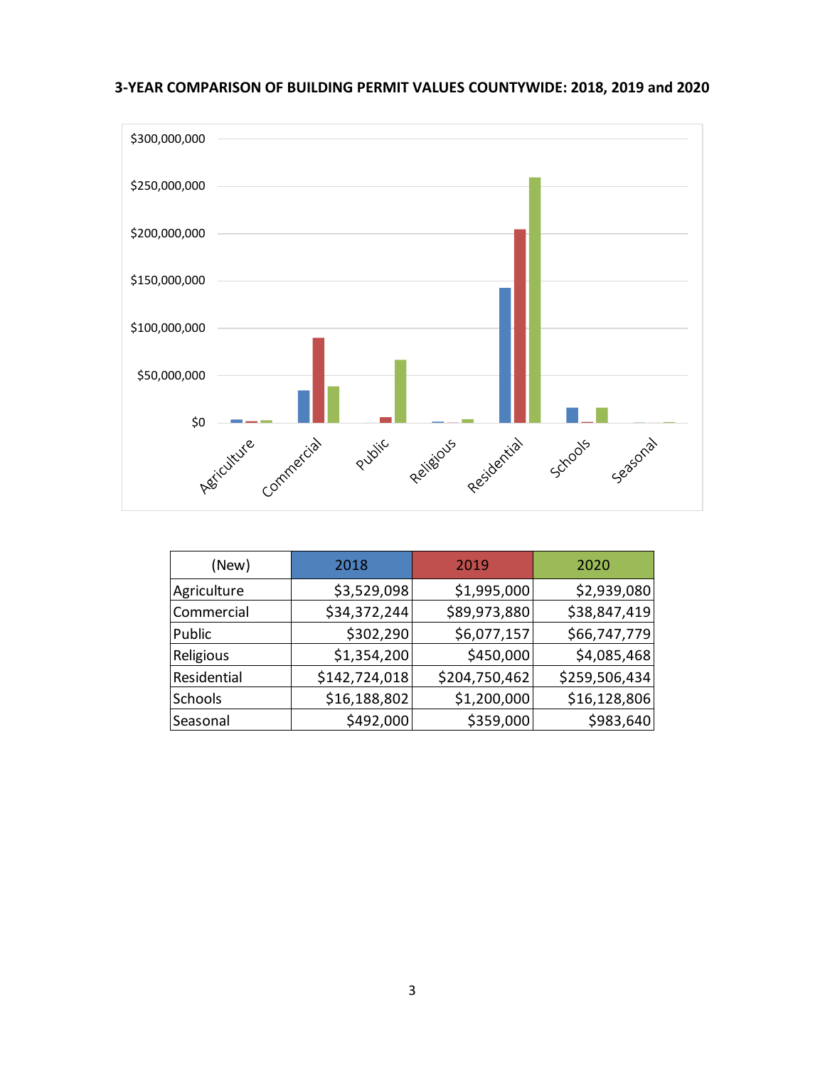**3-YEAR COMPARISON OF BUILDING PERMIT VALUES COUNTYWIDE: 2018, 2019 and 2020**



| (New)          | 2018          | 2019          | 2020          |
|----------------|---------------|---------------|---------------|
| Agriculture    | \$3,529,098   | \$1,995,000   | \$2,939,080   |
| Commercial     | \$34,372,244  | \$89,973,880  | \$38,847,419  |
| Public         | \$302,290     | \$6,077,157   | \$66,747,779  |
| Religious      | \$1,354,200   | \$450,000     | \$4,085,468   |
| Residential    | \$142,724,018 | \$204,750,462 | \$259,506,434 |
| <b>Schools</b> | \$16,188,802  | \$1,200,000   | \$16,128,806  |
| Seasonal       | \$492,000     | \$359,000     | \$983,640     |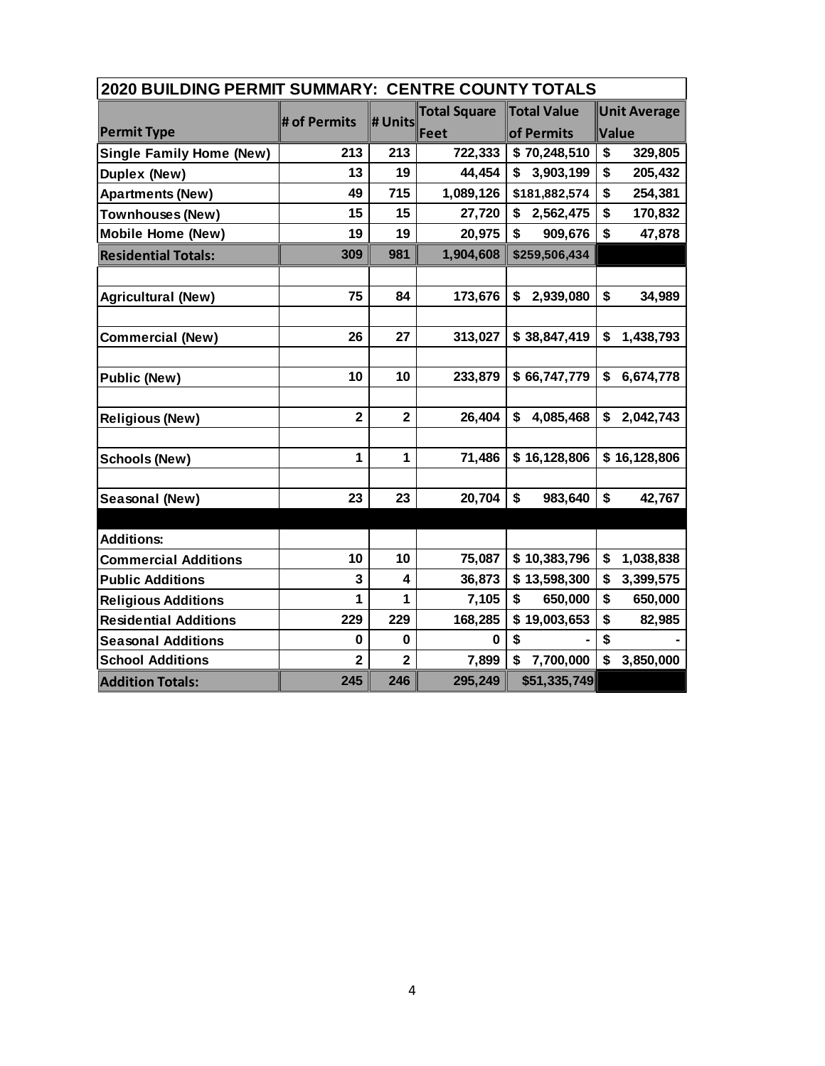| 2020 BUILDING PERMIT SUMMARY: CENTRE COUNTY TOTALS |                         |                         |                     |                    |                                 |  |  |  |  |
|----------------------------------------------------|-------------------------|-------------------------|---------------------|--------------------|---------------------------------|--|--|--|--|
|                                                    |                         |                         | <b>Total Square</b> | <b>Total Value</b> | <b>Unit Average</b>             |  |  |  |  |
| <b>Permit Type</b>                                 | # of Permits            | # Units                 | Feet                | of Permits         | Value                           |  |  |  |  |
| <b>Single Family Home (New)</b>                    | 213                     | 213                     | 722,333             | \$70,248,510       | \$<br>329,805                   |  |  |  |  |
| Duplex (New)                                       | 13                      | 19                      | 44,454              | 3,903,199<br>\$    | \$<br>205,432                   |  |  |  |  |
| <b>Apartments (New)</b>                            | 49                      | 715                     | 1,089,126           | \$181,882,574      | \$<br>254,381                   |  |  |  |  |
| <b>Townhouses (New)</b>                            | 15                      | 15                      | 27,720              | \$<br>2,562,475    | \$<br>170,832                   |  |  |  |  |
| <b>Mobile Home (New)</b>                           | 19                      | 19                      | 20,975              | \$<br>909,676      | \$<br>47,878                    |  |  |  |  |
| <b>Residential Totals:</b>                         | 309                     | 981                     | 1,904,608           | \$259,506,434      |                                 |  |  |  |  |
|                                                    |                         |                         |                     |                    |                                 |  |  |  |  |
| <b>Agricultural (New)</b>                          | 75                      | 84                      | 173,676             | 2,939,080<br>\$    | \$<br>34,989                    |  |  |  |  |
|                                                    |                         |                         |                     |                    |                                 |  |  |  |  |
| <b>Commercial (New)</b>                            | 26                      | 27                      | 313,027             | \$38,847,419       | \$<br>1,438,793                 |  |  |  |  |
|                                                    |                         |                         |                     |                    |                                 |  |  |  |  |
| <b>Public (New)</b>                                | 10                      | 10                      | 233,879             | \$66,747,779       | \$<br>6,674,778                 |  |  |  |  |
|                                                    |                         |                         |                     |                    |                                 |  |  |  |  |
| <b>Religious (New)</b>                             | $\overline{\mathbf{2}}$ | $\overline{\mathbf{2}}$ | 26,404              | \$<br>4,085,468    | \$<br>2,042,743                 |  |  |  |  |
|                                                    |                         |                         |                     |                    |                                 |  |  |  |  |
| <b>Schools (New)</b>                               | 1                       | $\mathbf{1}$            | 71,486              | \$16,128,806       | \$16,128,806                    |  |  |  |  |
|                                                    |                         |                         |                     |                    |                                 |  |  |  |  |
| Seasonal (New)                                     | 23                      | 23                      | 20,704              | \$<br>983,640      | \$<br>42,767                    |  |  |  |  |
|                                                    |                         |                         |                     |                    |                                 |  |  |  |  |
| <b>Additions:</b>                                  |                         |                         |                     |                    |                                 |  |  |  |  |
| <b>Commercial Additions</b>                        | 10                      | 10                      | 75,087              | \$10,383,796       | \$<br>1,038,838                 |  |  |  |  |
| <b>Public Additions</b>                            | 3                       | 4                       | 36,873              | \$13,598,300       | \$<br>3,399,575                 |  |  |  |  |
| <b>Religious Additions</b>                         | 1                       | 1                       | 7,105               | 650,000<br>\$      | \$<br>650,000                   |  |  |  |  |
| <b>Residential Additions</b>                       | 229                     | 229                     | 168,285             | \$19,003,653       | \$<br>82,985                    |  |  |  |  |
| <b>Seasonal Additions</b>                          | $\mathbf 0$             | 0                       | 0                   | \$                 | \$                              |  |  |  |  |
| <b>School Additions</b>                            | $\overline{2}$          | $\overline{2}$          | 7,899               | \$<br>7,700,000    | $\mathbf{\hat{s}}$<br>3,850,000 |  |  |  |  |
| <b>Addition Totals:</b>                            | 245                     | 246                     | 295,249             | \$51,335,749       |                                 |  |  |  |  |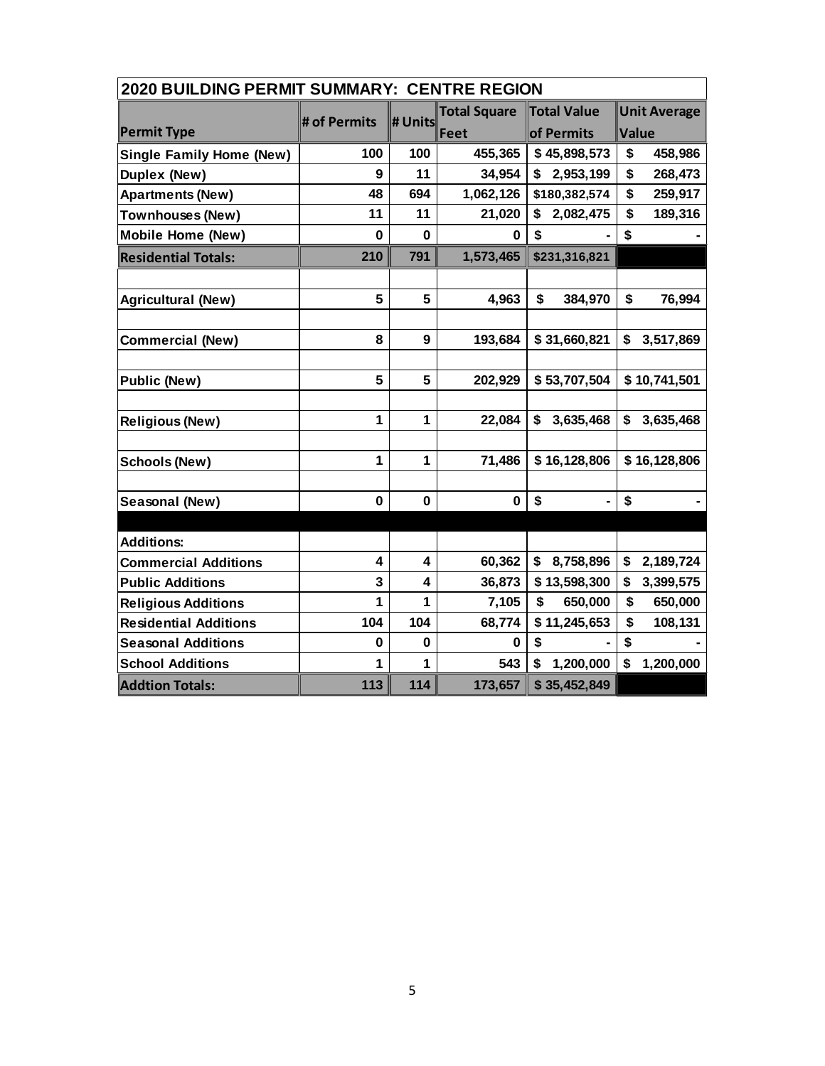| <b>2020 BUILDING PERMIT SUMMARY: CENTRE REGION</b> |              |              |                     |                    |                     |  |  |  |  |
|----------------------------------------------------|--------------|--------------|---------------------|--------------------|---------------------|--|--|--|--|
|                                                    |              |              | <b>Total Square</b> | <b>Total Value</b> | <b>Unit Average</b> |  |  |  |  |
| <b>Permit Type</b>                                 | # of Permits | # Units      | Feet                | of Permits         | Value               |  |  |  |  |
| <b>Single Family Home (New)</b>                    | 100          | 100          | 455,365             | \$45,898,573       | \$<br>458,986       |  |  |  |  |
| Duplex (New)                                       | 9            | 11           | 34,954              | \$<br>2,953,199    | \$<br>268,473       |  |  |  |  |
| <b>Apartments (New)</b>                            | 48           | 694          | 1,062,126           | \$180,382,574      | \$<br>259,917       |  |  |  |  |
| Townhouses (New)                                   | 11           | 11           | 21,020              | \$<br>2,082,475    | \$<br>189,316       |  |  |  |  |
| <b>Mobile Home (New)</b>                           | $\mathbf 0$  | $\bf{0}$     | 0                   | \$                 | \$                  |  |  |  |  |
| <b>Residential Totals:</b>                         | 210          | 791          | 1,573,465           | \$231,316,821      |                     |  |  |  |  |
|                                                    |              |              |                     |                    |                     |  |  |  |  |
| <b>Agricultural (New)</b>                          | 5            | 5            | 4,963               | \$<br>384,970      | \$<br>76,994        |  |  |  |  |
|                                                    |              |              |                     |                    |                     |  |  |  |  |
| <b>Commercial (New)</b>                            | 8            | 9            | 193,684             | \$31,660,821       | \$<br>3,517,869     |  |  |  |  |
|                                                    |              |              |                     |                    |                     |  |  |  |  |
| <b>Public (New)</b>                                | 5            | 5            | 202,929             | \$53,707,504       | \$10,741,501        |  |  |  |  |
|                                                    |              |              |                     |                    |                     |  |  |  |  |
| <b>Religious (New)</b>                             | 1            | 1            | 22,084              | 3,635,468<br>\$    | \$<br>3,635,468     |  |  |  |  |
|                                                    |              |              |                     |                    |                     |  |  |  |  |
| <b>Schools (New)</b>                               | $\mathbf{1}$ | $\mathbf{1}$ | 71,486              | \$16,128,806       | \$16,128,806        |  |  |  |  |
|                                                    |              |              |                     |                    |                     |  |  |  |  |
| Seasonal (New)                                     | 0            | $\bf{0}$     | $\bf{0}$            | \$                 | \$                  |  |  |  |  |
|                                                    |              |              |                     |                    |                     |  |  |  |  |
| <b>Additions:</b>                                  |              |              |                     |                    |                     |  |  |  |  |
| <b>Commercial Additions</b>                        | 4            | 4            | 60,362              | 8,758,896<br>\$    | \$<br>2,189,724     |  |  |  |  |
| <b>Public Additions</b>                            | 3            | 4            | 36,873              | \$13,598,300       | \$<br>3,399,575     |  |  |  |  |
| <b>Religious Additions</b>                         | 1            | 1            | 7,105               | \$<br>650,000      | \$<br>650,000       |  |  |  |  |
| <b>Residential Additions</b>                       | 104          | 104          | 68,774              | \$11,245,653       | \$<br>108,131       |  |  |  |  |
| <b>Seasonal Additions</b>                          | 0            | $\bf{0}$     | 0                   | \$                 | \$                  |  |  |  |  |
| <b>School Additions</b>                            | 1            | 1            | 543                 | \$<br>1,200,000    | \$<br>1,200,000     |  |  |  |  |
| <b>Addtion Totals:</b>                             | 113          | 114          | 173,657             | \$35,452,849       |                     |  |  |  |  |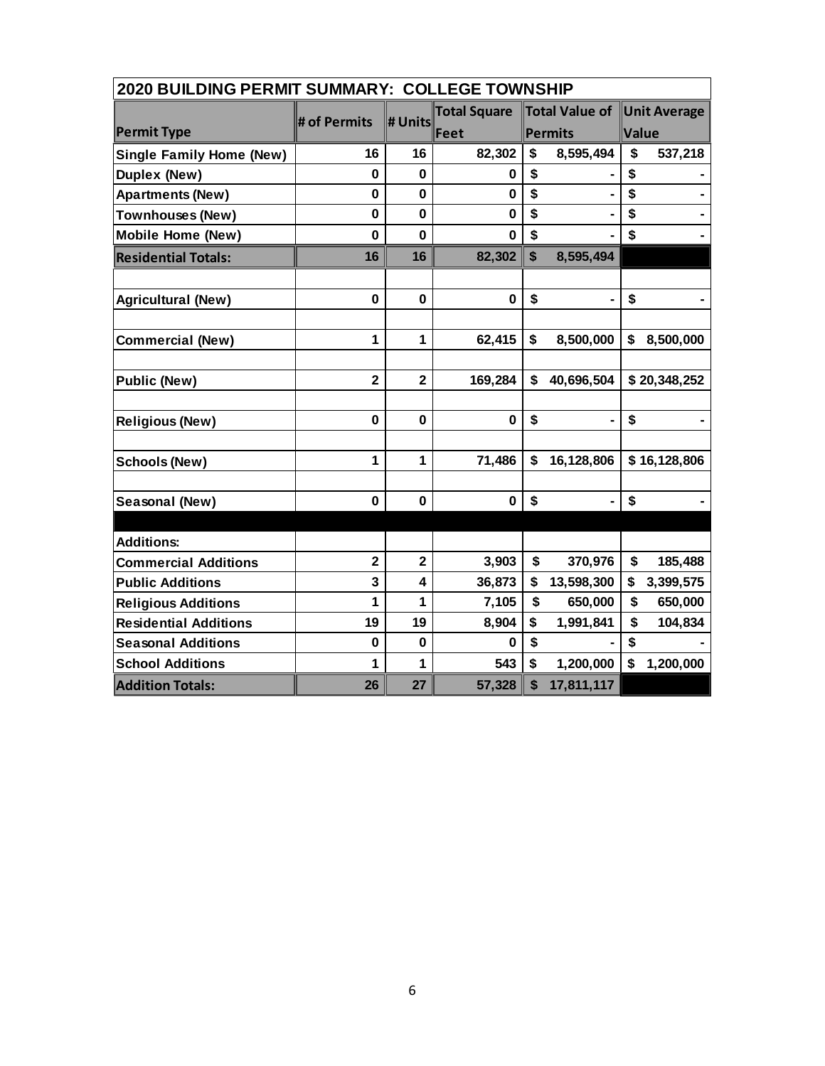| <b>2020 BUILDING PERMIT SUMMARY: COLLEGE TOWNSHIP</b> |                |                |                     |                                         |                     |  |  |  |  |
|-------------------------------------------------------|----------------|----------------|---------------------|-----------------------------------------|---------------------|--|--|--|--|
|                                                       |                |                | <b>Total Square</b> | Total Value of                          | <b>Unit Average</b> |  |  |  |  |
| <b>Permit Type</b>                                    | # of Permits   | # Units        | Feet                | Permits                                 | Value               |  |  |  |  |
| <b>Single Family Home (New)</b>                       | 16             | 16             | 82,302              | \$<br>8,595,494                         | \$<br>537,218       |  |  |  |  |
| Duplex (New)                                          | $\bf{0}$       | $\bf{0}$       | 0                   | \$                                      | \$                  |  |  |  |  |
| <b>Apartments (New)</b>                               | $\mathbf 0$    | $\mathbf 0$    | $\mathbf 0$         | \$                                      | \$                  |  |  |  |  |
| <b>Townhouses (New)</b>                               | $\mathbf 0$    | $\mathbf 0$    | $\mathbf 0$         | \$                                      | \$                  |  |  |  |  |
| <b>Mobile Home (New)</b>                              | $\mathbf{0}$   | $\mathbf{0}$   | 0                   | \$                                      | \$                  |  |  |  |  |
| <b>Residential Totals:</b>                            | 16             | 16             | 82,302              | $\boldsymbol{\mathsf{s}}$<br>8,595,494  |                     |  |  |  |  |
|                                                       |                |                |                     |                                         |                     |  |  |  |  |
| <b>Agricultural (New)</b>                             | $\mathbf 0$    | $\mathbf 0$    | $\mathbf 0$         | \$                                      | \$                  |  |  |  |  |
|                                                       |                |                |                     |                                         |                     |  |  |  |  |
| <b>Commercial (New)</b>                               | 1              | 1              | 62,415              | 8,500,000<br>\$                         | \$<br>8,500,000     |  |  |  |  |
|                                                       |                |                |                     |                                         |                     |  |  |  |  |
| <b>Public (New)</b>                                   | $\overline{2}$ | $\overline{2}$ | 169,284             | $\mathbf{\hat{s}}$<br>40,696,504        | \$20,348,252        |  |  |  |  |
|                                                       |                |                |                     |                                         |                     |  |  |  |  |
| <b>Religious (New)</b>                                | $\mathbf 0$    | $\mathbf 0$    | $\mathbf 0$         | \$<br>$\blacksquare$                    | \$                  |  |  |  |  |
|                                                       |                |                |                     |                                         |                     |  |  |  |  |
| <b>Schools (New)</b>                                  | 1              | 1              | 71,486              | \$<br>16,128,806                        | \$16,128,806        |  |  |  |  |
|                                                       |                |                |                     |                                         |                     |  |  |  |  |
| Seasonal (New)                                        | $\mathbf 0$    | 0              | 0                   | \$<br>$\frac{1}{2}$                     | \$                  |  |  |  |  |
|                                                       |                |                |                     |                                         |                     |  |  |  |  |
| <b>Additions:</b>                                     |                |                |                     |                                         |                     |  |  |  |  |
| <b>Commercial Additions</b>                           | $\mathbf{2}$   | $\mathbf{2}$   | 3,903               | \$<br>370,976                           | \$<br>185,488       |  |  |  |  |
| <b>Public Additions</b>                               | 3              | 4              | 36,873              | \$<br>13,598,300                        | \$<br>3,399,575     |  |  |  |  |
| <b>Religious Additions</b>                            | 1              | 1              | 7,105               | $\mathbf{\hat{s}}$<br>650,000           | \$<br>650,000       |  |  |  |  |
| <b>Residential Additions</b>                          | 19             | 19             | 8,904               | \$<br>1,991,841                         | \$<br>104,834       |  |  |  |  |
| <b>Seasonal Additions</b>                             | $\mathbf 0$    | $\mathbf 0$    | 0                   | \$                                      | \$                  |  |  |  |  |
| <b>School Additions</b>                               | 1              | 1              | 543                 | \$<br>1,200,000                         | \$<br>1,200,000     |  |  |  |  |
| <b>Addition Totals:</b>                               | 26             | 27             | 57,328              | $\boldsymbol{\mathsf{s}}$<br>17,811,117 |                     |  |  |  |  |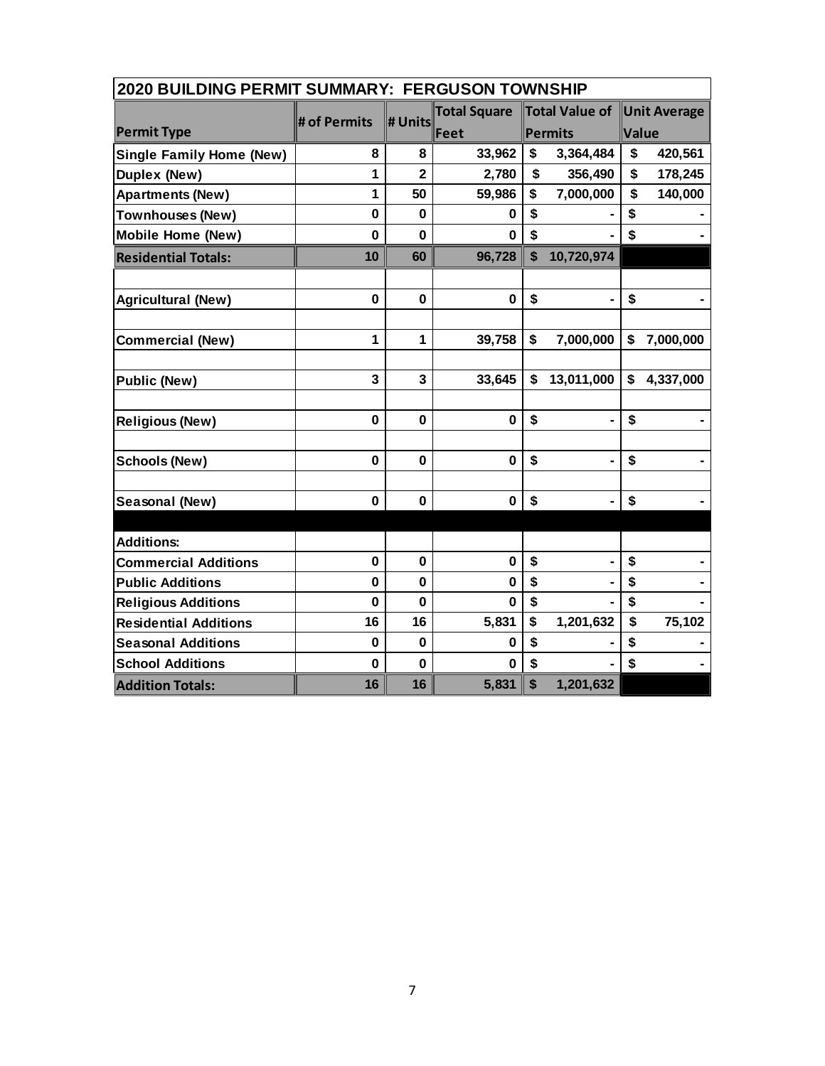| <b>2020 BUILDING PERMIT SUMMARY: FERGUSON TOWNSHIP</b> |              |                |                     |                           |                |       |                     |  |  |
|--------------------------------------------------------|--------------|----------------|---------------------|---------------------------|----------------|-------|---------------------|--|--|
|                                                        | # of Permits |                | <b>Total Square</b> |                           | Total Value of |       | <b>Unit Average</b> |  |  |
| <b>Permit Type</b>                                     |              | # Units        | Feet                |                           | Permits        | Value |                     |  |  |
| <b>Single Family Home (New)</b>                        | 8            | 8              | 33,962              | \$                        | 3,364,484      | \$    | 420,561             |  |  |
| Duplex (New)                                           | 1            | $\overline{2}$ | 2,780               | \$                        | 356,490        | \$    | 178,245             |  |  |
| <b>Apartments (New)</b>                                | 1            | 50             | 59,986              | \$                        | 7,000,000      | \$    | 140,000             |  |  |
| <b>Townhouses (New)</b>                                | $\mathbf 0$  | $\mathbf 0$    | 0                   | \$                        |                | \$    |                     |  |  |
| <b>Mobile Home (New)</b>                               | $\mathbf 0$  | $\mathbf{0}$   | 0                   | \$                        |                | \$    |                     |  |  |
| <b>Residential Totals:</b>                             | 10           | 60             | 96,728              | $\boldsymbol{\mathsf{s}}$ | 10,720,974     |       |                     |  |  |
|                                                        |              |                |                     |                           |                |       |                     |  |  |
| <b>Agricultural (New)</b>                              | $\bf{0}$     | $\mathbf 0$    | $\mathbf 0$         | \$                        |                | \$    |                     |  |  |
|                                                        |              |                |                     |                           |                |       |                     |  |  |
| <b>Commercial (New)</b>                                | 1            | 1              | 39,758              | \$                        | 7,000,000      | \$    | 7,000,000           |  |  |
|                                                        |              |                |                     |                           |                |       |                     |  |  |
| <b>Public (New)</b>                                    | 3            | 3              | 33,645              | \$                        | 13,011,000     | \$    | 4,337,000           |  |  |
|                                                        |              |                |                     |                           |                |       |                     |  |  |
| <b>Religious (New)</b>                                 | $\mathbf 0$  | $\mathbf 0$    | $\mathbf 0$         | \$                        | $\blacksquare$ | \$    |                     |  |  |
|                                                        |              |                |                     |                           |                |       |                     |  |  |
| <b>Schools (New)</b>                                   | $\bf{0}$     | 0              | 0                   | \$                        | $\blacksquare$ | \$    |                     |  |  |
|                                                        |              |                |                     |                           |                |       |                     |  |  |
| Seasonal (New)                                         | $\bf{0}$     | $\mathbf 0$    | $\mathbf 0$         | \$                        | $\blacksquare$ | \$    |                     |  |  |
|                                                        |              |                |                     |                           |                |       |                     |  |  |
| <b>Additions:</b>                                      |              |                |                     |                           |                |       |                     |  |  |
| <b>Commercial Additions</b>                            | $\mathbf 0$  | $\mathbf 0$    | 0                   | \$                        | -              | \$    |                     |  |  |
| <b>Public Additions</b>                                | $\bf{0}$     | 0              | 0                   | \$                        |                | \$    |                     |  |  |
| <b>Religious Additions</b>                             | $\bf{0}$     | 0              | 0                   | \$                        |                | \$    |                     |  |  |
| <b>Residential Additions</b>                           | 16           | 16             | 5,831               | \$                        | 1,201,632      | \$    | 75,102              |  |  |
| <b>Seasonal Additions</b>                              | $\mathbf 0$  | $\mathbf 0$    | $\bf{0}$            | \$                        |                | \$    |                     |  |  |
| <b>School Additions</b>                                | $\mathbf{0}$ | $\mathbf{0}$   | 0                   | \$                        |                | \$    |                     |  |  |
| <b>Addition Totals:</b>                                | 16           | 16             | 5,831               | \$                        | 1,201,632      |       |                     |  |  |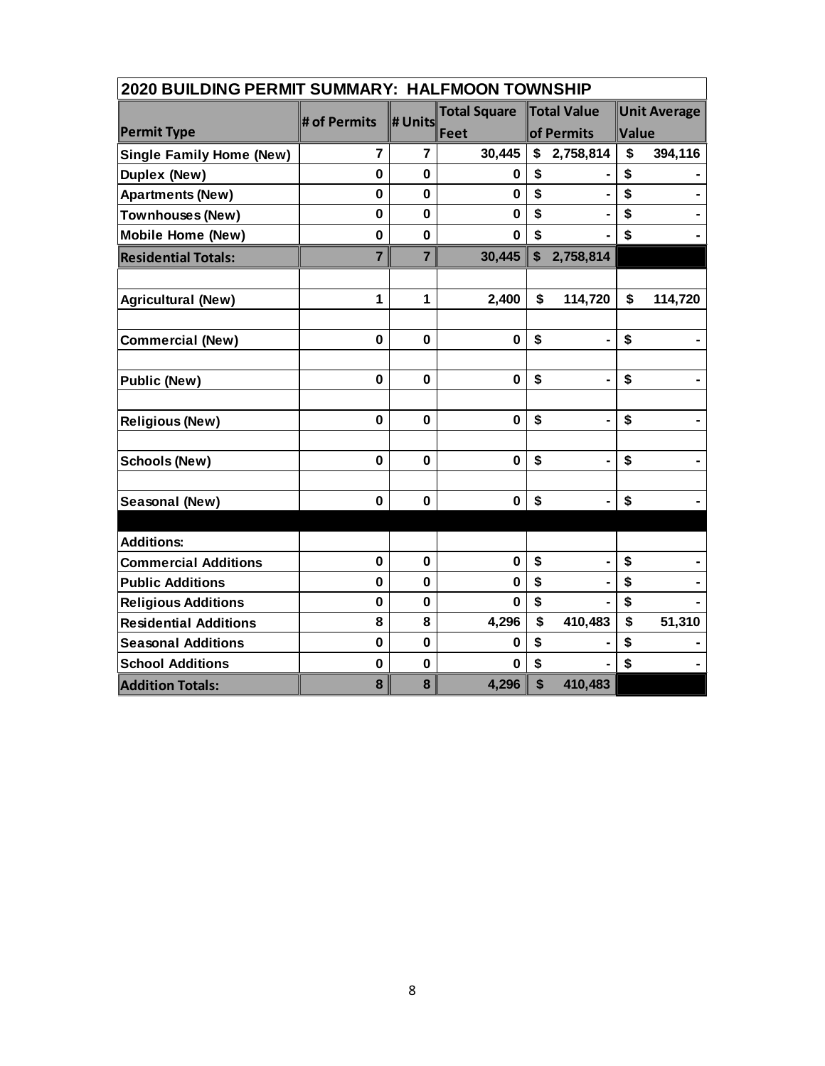| 2020 BUILDING PERMIT SUMMARY: HALFMOON TOWNSHIP |                |                |                     |    |                    |                     |         |  |
|-------------------------------------------------|----------------|----------------|---------------------|----|--------------------|---------------------|---------|--|
|                                                 |                |                | <b>Total Square</b> |    | <b>Total Value</b> | <b>Unit Average</b> |         |  |
| <b>Permit Type</b>                              | # of Permits   | # Units        | Feet                |    | of Permits         | Value               |         |  |
| <b>Single Family Home (New)</b>                 | 7              | 7              | 30,445              | \$ | 2,758,814          | \$                  | 394,116 |  |
| Duplex (New)                                    | $\mathbf 0$    | $\mathbf 0$    | 0                   | \$ |                    | \$                  |         |  |
| <b>Apartments (New)</b>                         | $\mathbf 0$    | $\mathbf 0$    | $\mathbf 0$         | \$ | $\blacksquare$     | \$                  |         |  |
| Townhouses (New)                                | $\mathbf 0$    | $\mathbf 0$    | $\mathbf 0$         | \$ |                    | \$                  |         |  |
| <b>Mobile Home (New)</b>                        | $\mathbf 0$    | $\mathbf 0$    | 0                   | \$ |                    | \$                  |         |  |
| <b>Residential Totals:</b>                      | $\overline{7}$ | $\overline{7}$ | 30,445              | \$ | 2,758,814          |                     |         |  |
|                                                 |                |                |                     |    |                    |                     |         |  |
| <b>Agricultural (New)</b>                       | 1              | 1              | 2,400               | \$ | 114,720            | \$                  | 114,720 |  |
| <b>Commercial (New)</b>                         | $\mathbf 0$    | $\mathbf 0$    | $\mathbf 0$         | \$ | $\blacksquare$     | \$                  |         |  |
|                                                 |                |                |                     |    |                    |                     |         |  |
| <b>Public (New)</b>                             | $\mathbf 0$    | $\mathbf 0$    | $\mathbf 0$         | \$ |                    | \$                  |         |  |
| <b>Religious (New)</b>                          | $\mathbf 0$    | $\mathbf 0$    | $\mathbf 0$         | \$ | $\blacksquare$     | \$                  |         |  |
| <b>Schools (New)</b>                            | $\mathbf 0$    | $\mathbf 0$    | $\mathbf 0$         | \$ | $\blacksquare$     | \$                  |         |  |
| Seasonal (New)                                  | $\mathbf 0$    | $\mathbf 0$    | $\mathbf 0$         | \$ | $\blacksquare$     | \$                  |         |  |
| <b>Additions:</b>                               |                |                |                     |    |                    |                     |         |  |
| <b>Commercial Additions</b>                     | $\mathbf 0$    | $\mathbf 0$    | $\bf{0}$            | \$ | ä,                 | \$                  |         |  |
| <b>Public Additions</b>                         | $\bf{0}$       | $\mathbf 0$    | 0                   | \$ |                    | \$                  |         |  |
| <b>Religious Additions</b>                      | $\mathbf 0$    | $\bf{0}$       | 0                   | \$ |                    | \$                  |         |  |
| <b>Residential Additions</b>                    | 8              | 8              | 4,296               | \$ | 410,483            | \$                  | 51,310  |  |
| <b>Seasonal Additions</b>                       | $\mathbf 0$    | $\mathbf 0$    | 0                   | \$ |                    | \$                  |         |  |
| <b>School Additions</b>                         | $\mathbf 0$    | $\mathbf 0$    | $\bf{0}$            | \$ |                    | \$                  |         |  |
| <b>Addition Totals:</b>                         | 8              | 8              | 4,296               | \$ | 410,483            |                     |         |  |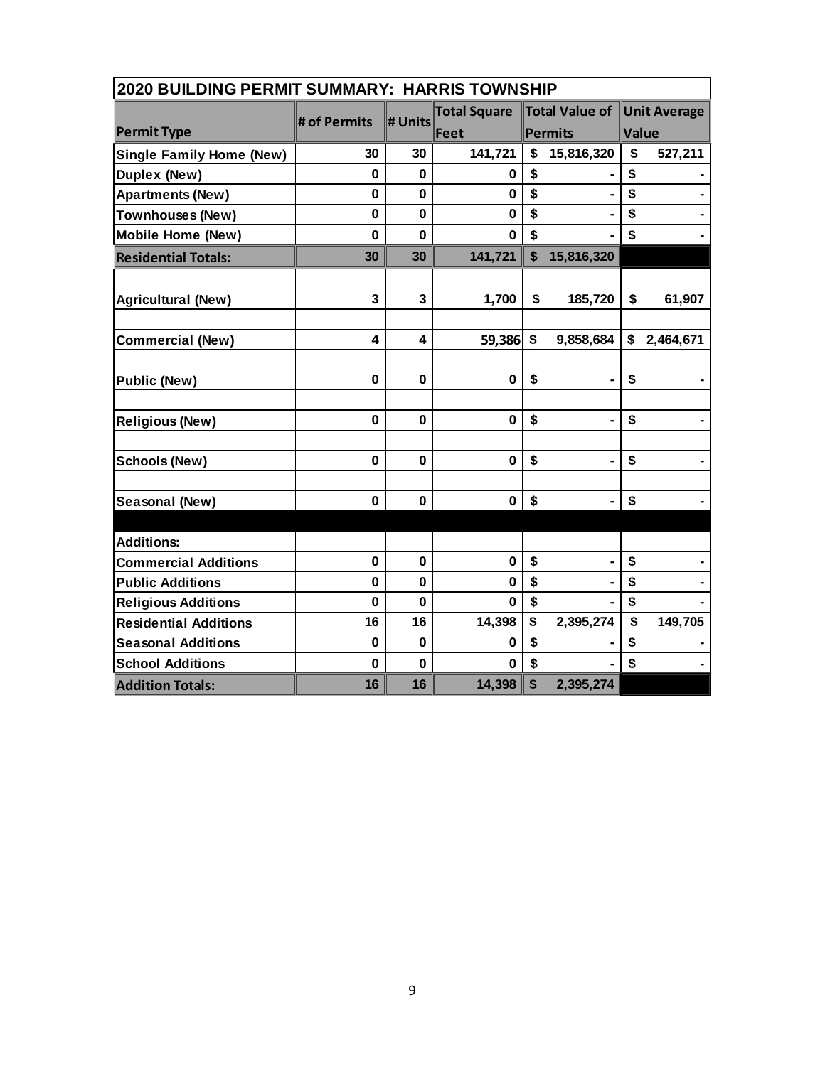| 2020 BUILDING PERMIT SUMMARY: HARRIS TOWNSHIP |              |             |                     |                           |                |                             |           |  |  |
|-----------------------------------------------|--------------|-------------|---------------------|---------------------------|----------------|-----------------------------|-----------|--|--|
|                                               | # of Permits |             | <b>Total Square</b> |                           |                | Total Value of Unit Average |           |  |  |
| <b>Permit Type</b>                            |              | # Units     | Feet                |                           | Permits        | Value                       |           |  |  |
| <b>Single Family Home (New)</b>               | 30           | 30          | 141,721             | \$                        | 15,816,320     | \$                          | 527,211   |  |  |
| Duplex (New)                                  | 0            | 0           | 0                   | \$                        |                | \$                          |           |  |  |
| <b>Apartments (New)</b>                       | $\bf{0}$     | 0           | $\mathbf 0$         | \$                        |                | \$                          |           |  |  |
| Townhouses (New)                              | $\bf{0}$     | $\bf{0}$    | 0                   | \$                        |                | \$                          |           |  |  |
| <b>Mobile Home (New)</b>                      | 0            | $\mathbf 0$ | 0                   | \$                        |                | \$                          |           |  |  |
| <b>Residential Totals:</b>                    | 30           | 30          | 141,721             | \$                        | 15,816,320     |                             |           |  |  |
|                                               |              |             |                     |                           |                |                             |           |  |  |
| <b>Agricultural (New)</b>                     | 3            | 3           | 1,700               | \$                        | 185,720        | \$                          | 61,907    |  |  |
|                                               |              |             |                     |                           |                |                             |           |  |  |
| <b>Commercial (New)</b>                       | 4            | 4           | 59,386              | $\boldsymbol{\hat{s}}$    | 9,858,684      | $\boldsymbol{\mathsf{s}}$   | 2,464,671 |  |  |
|                                               |              |             |                     |                           |                |                             |           |  |  |
| <b>Public (New)</b>                           | $\mathbf 0$  | $\mathbf 0$ | $\mathbf 0$         | \$                        | $\blacksquare$ | \$                          |           |  |  |
|                                               |              |             |                     |                           |                |                             |           |  |  |
| <b>Religious (New)</b>                        | $\bf{0}$     | $\mathbf 0$ | $\mathbf 0$         | \$                        | $\blacksquare$ | \$                          |           |  |  |
|                                               |              |             |                     |                           |                |                             |           |  |  |
| <b>Schools (New)</b>                          | $\bf{0}$     | $\mathbf 0$ | 0                   | \$                        | $\blacksquare$ | \$                          |           |  |  |
|                                               |              |             |                     |                           |                |                             |           |  |  |
| Seasonal (New)                                | 0            | $\bf{0}$    | $\mathbf 0$         | \$                        |                | \$                          |           |  |  |
|                                               |              |             |                     |                           |                |                             |           |  |  |
| <b>Additions:</b>                             |              |             |                     |                           |                |                             |           |  |  |
| <b>Commercial Additions</b>                   | $\mathbf 0$  | $\mathbf 0$ | $\mathbf 0$         | \$                        | $\blacksquare$ | \$                          |           |  |  |
| <b>Public Additions</b>                       | $\mathbf 0$  | $\mathbf 0$ | $\bf{0}$            | \$                        |                | \$                          |           |  |  |
| <b>Religious Additions</b>                    | $\bf{0}$     | $\bf{0}$    | 0                   | \$                        |                | \$                          |           |  |  |
| <b>Residential Additions</b>                  | 16           | 16          | 14,398              | \$                        | 2,395,274      | \$                          | 149,705   |  |  |
| <b>Seasonal Additions</b>                     | $\mathbf 0$  | $\mathbf 0$ | 0                   | \$                        |                | \$                          |           |  |  |
| <b>School Additions</b>                       | $\mathbf 0$  | $\mathbf 0$ | 0                   | \$                        |                | \$                          |           |  |  |
| <b>Addition Totals:</b>                       | 16           | 16          | 14,398              | $\boldsymbol{\mathsf{s}}$ | 2,395,274      |                             |           |  |  |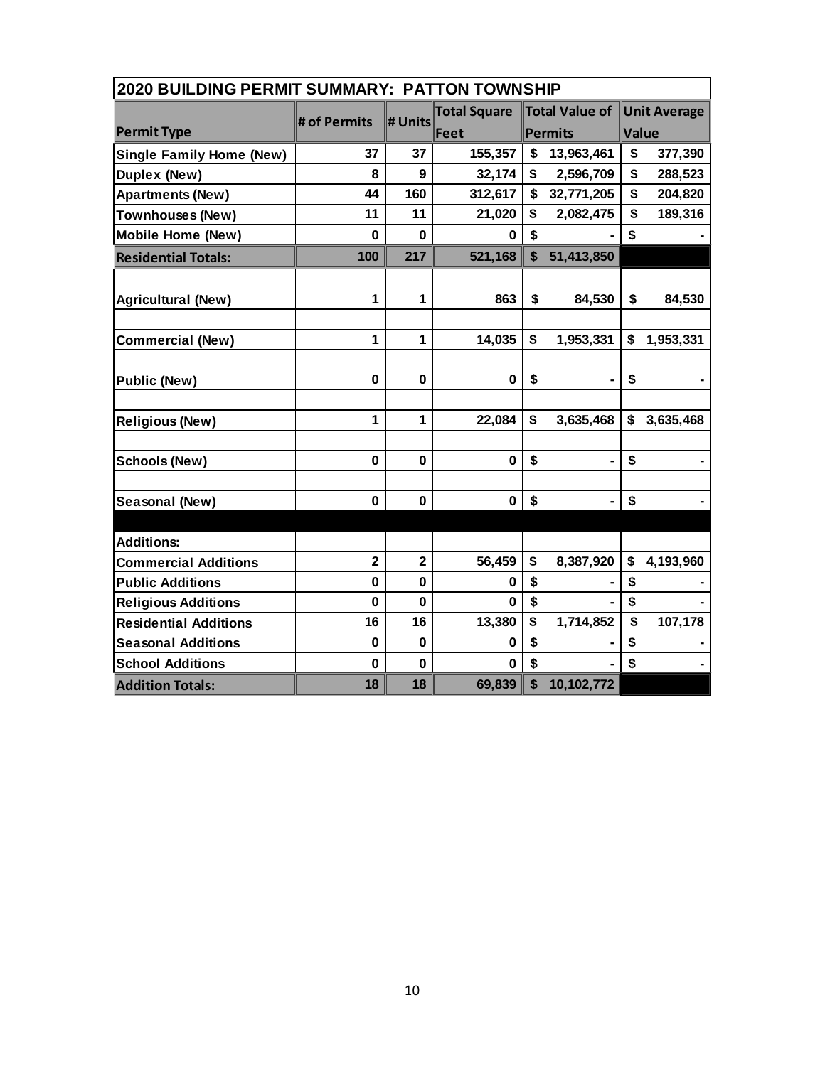| <b>2020 BUILDING PERMIT SUMMARY: PATTON TOWNSHIP</b> |                         |                         |                     |                           |                |                           |           |  |  |
|------------------------------------------------------|-------------------------|-------------------------|---------------------|---------------------------|----------------|---------------------------|-----------|--|--|
|                                                      |                         |                         | <b>Total Square</b> |                           | Total Value of | <b>Unit Average</b>       |           |  |  |
| <b>Permit Type</b>                                   | # of Permits            | # Units                 | Feet                |                           | Permits        | <b>Value</b>              |           |  |  |
| <b>Single Family Home (New)</b>                      | 37                      | 37                      | 155,357             | \$                        | 13,963,461     | \$                        | 377,390   |  |  |
| Duplex (New)                                         | 8                       | 9                       | 32,174              | \$                        | 2,596,709      | \$                        | 288,523   |  |  |
| <b>Apartments (New)</b>                              | 44                      | 160                     | 312,617             | \$                        | 32,771,205     | \$                        | 204,820   |  |  |
| <b>Townhouses (New)</b>                              | 11                      | 11                      | 21,020              | \$                        | 2,082,475      | \$                        | 189,316   |  |  |
| <b>Mobile Home (New)</b>                             | $\bf{0}$                | 0                       | 0                   | \$                        |                | \$                        |           |  |  |
| <b>Residential Totals:</b>                           | 100                     | 217                     | 521,168             | $\boldsymbol{\mathsf{s}}$ | 51,413,850     |                           |           |  |  |
|                                                      |                         |                         |                     |                           |                |                           |           |  |  |
| <b>Agricultural (New)</b>                            | 1                       | 1                       | 863                 | \$                        | 84,530         | \$                        | 84,530    |  |  |
|                                                      |                         |                         |                     |                           |                |                           |           |  |  |
| <b>Commercial (New)</b>                              | 1                       | 1                       | 14,035              | \$                        | 1,953,331      | $\boldsymbol{\mathsf{s}}$ | 1,953,331 |  |  |
|                                                      |                         |                         |                     |                           |                |                           |           |  |  |
| <b>Public (New)</b>                                  | $\bf{0}$                | 0                       | 0                   | \$                        |                | \$                        |           |  |  |
|                                                      |                         |                         |                     |                           |                |                           |           |  |  |
| <b>Religious (New)</b>                               | 1                       | $\mathbf{1}$            | 22,084              | \$                        | 3,635,468      | \$                        | 3,635,468 |  |  |
|                                                      |                         |                         |                     |                           |                |                           |           |  |  |
| <b>Schools (New)</b>                                 | $\mathbf 0$             | $\mathbf 0$             | $\mathbf 0$         | \$                        | $\blacksquare$ | \$                        |           |  |  |
|                                                      |                         |                         |                     |                           |                |                           |           |  |  |
| Seasonal (New)                                       | 0                       | 0                       | 0                   | \$                        | $\blacksquare$ | \$                        |           |  |  |
|                                                      |                         |                         |                     |                           |                |                           |           |  |  |
| <b>Additions:</b>                                    |                         |                         |                     |                           |                |                           |           |  |  |
| <b>Commercial Additions</b>                          | $\overline{\mathbf{2}}$ | $\overline{\mathbf{2}}$ | 56,459              | \$                        | 8,387,920      | \$                        | 4,193,960 |  |  |
| <b>Public Additions</b>                              | $\bf{0}$                | $\mathbf 0$             | 0                   | \$                        |                | \$                        |           |  |  |
| <b>Religious Additions</b>                           | $\mathbf 0$             | $\mathbf 0$             | 0                   | \$                        |                | \$                        |           |  |  |
| <b>Residential Additions</b>                         | 16                      | 16                      | 13,380              | \$                        | 1,714,852      | \$                        | 107,178   |  |  |
| <b>Seasonal Additions</b>                            | $\mathbf 0$             | $\mathbf 0$             | 0                   | \$                        |                | \$                        |           |  |  |
| <b>School Additions</b>                              | $\bf{0}$                | $\mathbf{0}$            | 0                   | \$                        |                | \$                        |           |  |  |
| <b>Addition Totals:</b>                              | 18                      | 18                      | 69,839              | \$                        | 10,102,772     |                           |           |  |  |

## 10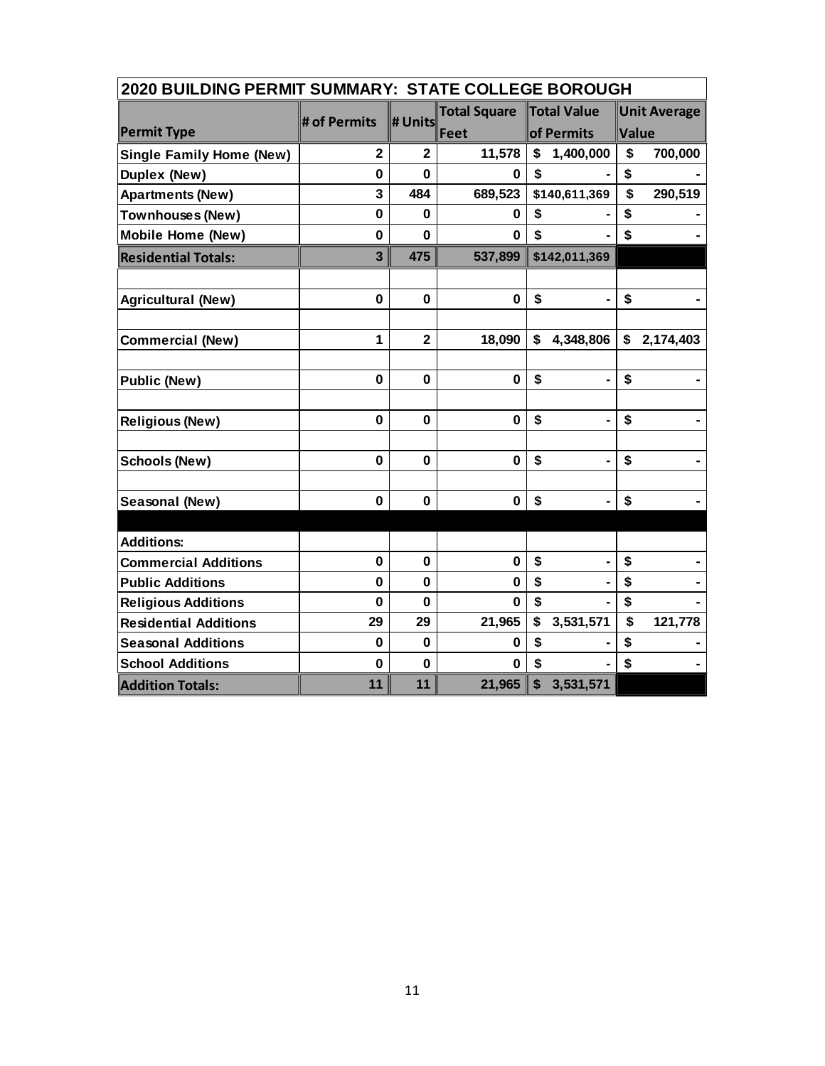| 2020 BUILDING PERMIT SUMMARY: STATE COLLEGE BOROUGH |                                           |                         |             |                      |                            |  |  |  |
|-----------------------------------------------------|-------------------------------------------|-------------------------|-------------|----------------------|----------------------------|--|--|--|
|                                                     | <b>Total Square</b><br><b>Total Value</b> |                         |             | <b>Unit Average</b>  |                            |  |  |  |
| <b>Permit Type</b>                                  | # of Permits                              | # Units                 | Feet        | of Permits           | Value                      |  |  |  |
| <b>Single Family Home (New)</b>                     | $\mathbf 2$                               | $\mathbf 2$             | 11,578      | 1,400,000<br>\$      | \$<br>700,000              |  |  |  |
| Duplex (New)                                        | $\mathbf 0$                               | $\bf{0}$                | 0           | \$                   | \$                         |  |  |  |
| <b>Apartments (New)</b>                             | 3                                         | 484                     | 689,523     | \$140,611,369        | \$<br>290,519              |  |  |  |
| <b>Townhouses (New)</b>                             | $\mathbf 0$                               | $\bf{0}$                | 0           | \$                   | \$                         |  |  |  |
| <b>Mobile Home (New)</b>                            | $\bf{0}$                                  | 0                       | U           | \$                   | \$                         |  |  |  |
| <b>Residential Totals:</b>                          | 3                                         | 475                     | 537,899     | \$142,011,369        |                            |  |  |  |
|                                                     |                                           |                         |             |                      |                            |  |  |  |
| <b>Agricultural (New)</b>                           | $\mathbf 0$                               | $\mathbf 0$             | $\mathbf 0$ | \$                   | \$                         |  |  |  |
| <b>Commercial (New)</b>                             | $\mathbf{1}$                              | $\overline{\mathbf{2}}$ | 18,090      | \$<br>4,348,806      | $\mathsf{\$}$<br>2,174,403 |  |  |  |
|                                                     |                                           |                         |             |                      |                            |  |  |  |
| <b>Public (New)</b>                                 | $\mathbf 0$                               | $\mathbf 0$             | $\mathbf 0$ | \$                   | \$                         |  |  |  |
|                                                     |                                           |                         |             |                      |                            |  |  |  |
| <b>Religious (New)</b>                              | $\mathbf 0$                               | $\mathbf 0$             | $\mathbf 0$ | \$<br>$\blacksquare$ | \$                         |  |  |  |
| <b>Schools (New)</b>                                | $\mathbf 0$                               | $\mathbf 0$             | $\bf{0}$    | \$<br>$\blacksquare$ | \$                         |  |  |  |
|                                                     |                                           |                         |             |                      |                            |  |  |  |
| Seasonal (New)                                      | $\mathbf 0$                               | $\mathbf 0$             | $\mathbf 0$ | \$<br>$\blacksquare$ | \$                         |  |  |  |
|                                                     |                                           |                         |             |                      |                            |  |  |  |
| <b>Additions:</b>                                   |                                           |                         |             |                      |                            |  |  |  |
| <b>Commercial Additions</b>                         | $\mathbf 0$                               | $\mathbf 0$             | $\mathbf 0$ | \$<br>ä,             | \$                         |  |  |  |
| <b>Public Additions</b>                             | $\mathbf 0$                               | $\mathbf 0$             | 0           | \$                   | \$                         |  |  |  |
| <b>Religious Additions</b>                          | $\bf{0}$                                  | 0                       | 0           | \$                   | \$                         |  |  |  |
| <b>Residential Additions</b>                        | 29                                        | 29                      | 21,965      | \$<br>3,531,571      | \$<br>121,778              |  |  |  |
| <b>Seasonal Additions</b>                           | $\bf{0}$                                  | $\bf{0}$                | 0           | \$                   | \$                         |  |  |  |
| <b>School Additions</b>                             | $\mathbf 0$                               | $\mathbf 0$             | $\bf{0}$    | \$                   | \$                         |  |  |  |
| <b>Addition Totals:</b>                             | 11                                        | 11                      | 21,965      | \$<br>3,531,571      |                            |  |  |  |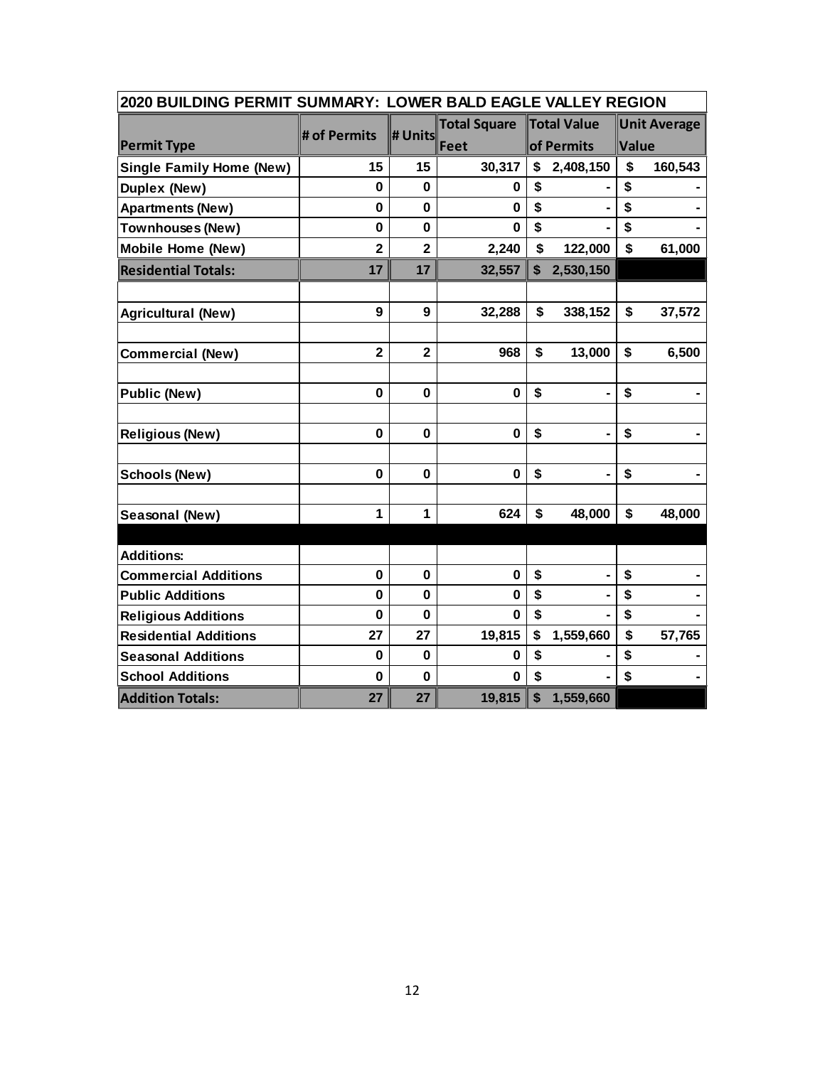| 2020 BUILDING PERMIT SUMMARY: LOWER BALD EAGLE VALLEY REGION |                |                         |                     |    |             |       |                     |  |
|--------------------------------------------------------------|----------------|-------------------------|---------------------|----|-------------|-------|---------------------|--|
|                                                              | # of Permits   | # Units                 | <b>Total Square</b> |    | Total Value |       | <b>Unit Average</b> |  |
| <b>Permit Type</b>                                           |                |                         | Feet                |    | of Permits  | Value |                     |  |
| <b>Single Family Home (New)</b>                              | 15             | 15                      | 30,317              | \$ | 2,408,150   | \$    | 160,543             |  |
| <b>Duplex (New)</b>                                          | $\bf{0}$       | 0                       | 0                   | \$ |             | \$    |                     |  |
| <b>Apartments (New)</b>                                      | $\mathbf 0$    | $\mathbf 0$             | $\bf{0}$            | \$ |             | \$    |                     |  |
| <b>Townhouses (New)</b>                                      | $\mathbf 0$    | $\mathbf 0$             | $\mathbf 0$         | \$ |             | \$    |                     |  |
| <b>Mobile Home (New)</b>                                     | $\overline{2}$ | $\overline{\mathbf{2}}$ | 2,240               | \$ | 122,000     | \$    | 61,000              |  |
| <b>Residential Totals:</b>                                   | 17             | 17                      | 32,557              | \$ | 2,530,150   |       |                     |  |
|                                                              |                |                         |                     |    |             |       |                     |  |
| <b>Agricultural (New)</b>                                    | 9              | 9                       | 32,288              | \$ | 338,152     | \$    | 37,572              |  |
|                                                              |                |                         |                     |    |             |       |                     |  |
| <b>Commercial (New)</b>                                      | $\overline{2}$ | $\overline{2}$          | 968                 | \$ | 13,000      | \$    | 6,500               |  |
|                                                              |                |                         |                     |    |             |       |                     |  |
| <b>Public (New)</b>                                          | 0              | $\mathbf 0$             | $\bf{0}$            | \$ |             | \$    |                     |  |
|                                                              |                |                         |                     |    |             |       |                     |  |
| <b>Religious (New)</b>                                       | 0              | $\mathbf 0$             | $\mathbf 0$         | \$ |             | \$    |                     |  |
|                                                              |                |                         |                     |    |             |       |                     |  |
| <b>Schools (New)</b>                                         | 0              | 0                       | $\mathbf 0$         | \$ |             | \$    |                     |  |
|                                                              |                |                         |                     |    |             |       |                     |  |
| Seasonal (New)                                               | 1              | 1                       | 624                 | \$ | 48,000      | \$    | 48,000              |  |
|                                                              |                |                         |                     |    |             |       |                     |  |
| <b>Additions:</b>                                            |                |                         |                     |    |             |       |                     |  |
| <b>Commercial Additions</b>                                  | $\mathbf 0$    | $\mathbf 0$             | $\bf{0}$            | \$ |             | \$    |                     |  |
| <b>Public Additions</b>                                      | $\mathbf 0$    | 0                       | 0                   | \$ |             | \$    |                     |  |
| <b>Religious Additions</b>                                   | $\mathbf 0$    | $\bf{0}$                | $\Omega$            | \$ |             | \$    |                     |  |
| <b>Residential Additions</b>                                 | 27             | 27                      | 19,815              | \$ | 1,559,660   | \$    | 57,765              |  |
| <b>Seasonal Additions</b>                                    | $\bf{0}$       | $\mathbf 0$             | 0                   | \$ |             | \$    |                     |  |
| <b>School Additions</b>                                      | $\mathbf 0$    | $\bf{0}$                | 0                   | \$ |             | \$    |                     |  |
| <b>Addition Totals:</b>                                      | 27             | 27                      | 19,815              | \$ | 1,559,660   |       |                     |  |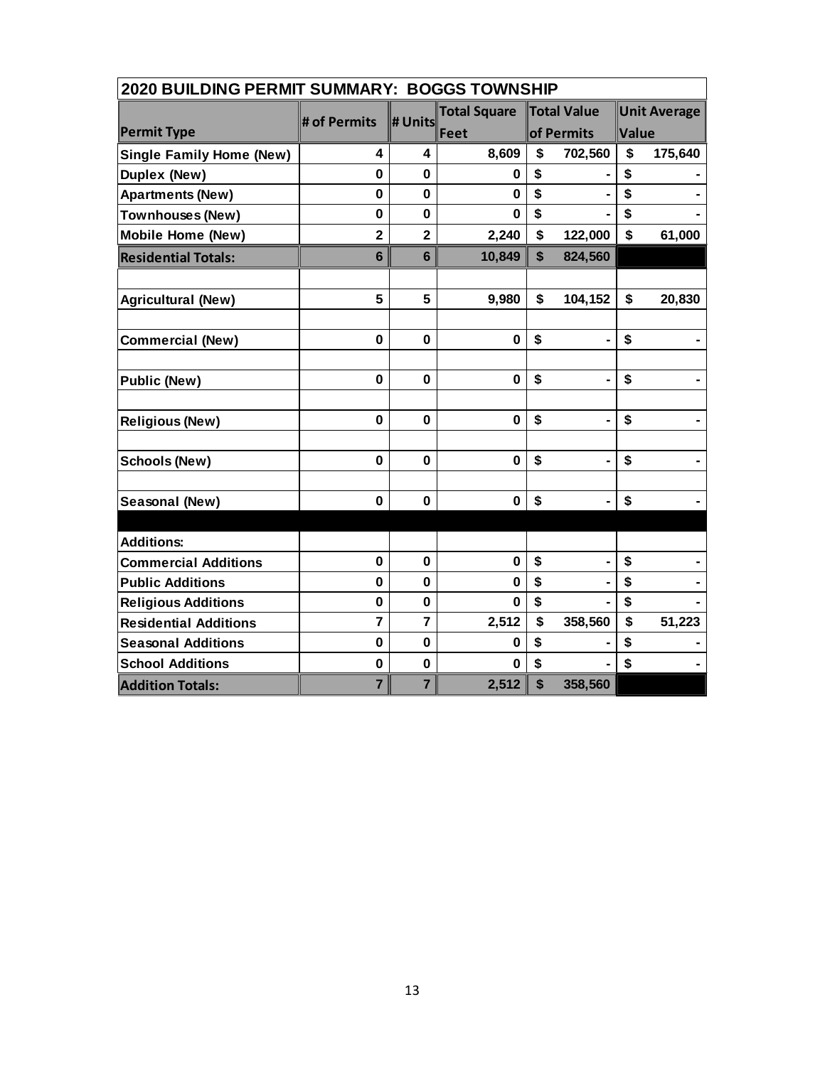| 2020 BUILDING PERMIT SUMMARY: BOGGS TOWNSHIP |                         |                         |                     |    |                    |       |                     |  |
|----------------------------------------------|-------------------------|-------------------------|---------------------|----|--------------------|-------|---------------------|--|
|                                              |                         |                         | <b>Total Square</b> |    | <b>Total Value</b> |       | <b>Unit Average</b> |  |
| <b>Permit Type</b>                           | # of Permits            | # Units                 | Feet                |    | of Permits         | Value |                     |  |
| <b>Single Family Home (New)</b>              | 4                       | 4                       | 8,609               | \$ | 702,560            | \$    | 175,640             |  |
| Duplex (New)                                 | $\mathbf 0$             | $\mathbf 0$             | 0                   | \$ |                    | \$    |                     |  |
| <b>Apartments (New)</b>                      | $\mathbf 0$             | $\mathbf 0$             | $\mathbf 0$         | \$ |                    | \$    |                     |  |
| Townhouses (New)                             | $\mathbf 0$             | $\bf{0}$                | $\bf{0}$            | \$ |                    | \$    |                     |  |
| <b>Mobile Home (New)</b>                     | $\overline{\mathbf{2}}$ | $\overline{\mathbf{2}}$ | 2,240               | \$ | 122,000            | \$    | 61,000              |  |
| <b>Residential Totals:</b>                   | $6\phantom{1}$          | $6\phantom{1}$          | 10,849              | \$ | 824,560            |       |                     |  |
|                                              |                         |                         |                     |    |                    |       |                     |  |
| <b>Agricultural (New)</b>                    | 5                       | 5                       | 9,980               | \$ | 104,152            | \$    | 20,830              |  |
| <b>Commercial (New)</b>                      | $\mathbf 0$             | $\mathbf 0$             | $\mathbf 0$         | \$ | $\blacksquare$     | \$    |                     |  |
|                                              |                         |                         |                     |    |                    |       |                     |  |
| <b>Public (New)</b>                          | $\mathbf 0$             | $\mathbf 0$             | $\mathbf 0$         | \$ | $\blacksquare$     | \$    |                     |  |
| <b>Religious (New)</b>                       | $\mathbf 0$             | $\mathbf 0$             | $\mathbf 0$         | \$ | $\blacksquare$     | \$    |                     |  |
|                                              |                         |                         |                     |    |                    |       |                     |  |
| <b>Schools (New)</b>                         | $\mathbf 0$             | $\mathbf 0$             | $\mathbf 0$         | \$ | $\blacksquare$     | \$    |                     |  |
| Seasonal (New)                               | $\mathbf 0$             | $\mathbf 0$             | $\mathbf 0$         | \$ | $\blacksquare$     | \$    |                     |  |
|                                              |                         |                         |                     |    |                    |       |                     |  |
| <b>Additions:</b>                            |                         |                         |                     |    |                    |       |                     |  |
| <b>Commercial Additions</b>                  | $\mathbf 0$             | $\mathbf 0$             | $\bf{0}$            | \$ | ä,                 | \$    |                     |  |
| <b>Public Additions</b>                      | $\bf{0}$                | $\mathbf 0$             | 0                   | \$ |                    | \$    |                     |  |
| <b>Religious Additions</b>                   | $\mathbf 0$             | $\bf{0}$                | 0                   | \$ |                    | \$    |                     |  |
| <b>Residential Additions</b>                 | $\overline{7}$          | $\overline{7}$          | 2,512               | \$ | 358,560            | \$    | 51,223              |  |
| <b>Seasonal Additions</b>                    | $\mathbf 0$             | $\mathbf 0$             | 0                   | \$ |                    | \$    |                     |  |
| <b>School Additions</b>                      | $\mathbf 0$             | $\mathbf 0$             | $\bf{0}$            | \$ |                    | \$    |                     |  |
| <b>Addition Totals:</b>                      | $\overline{7}$          | $\overline{7}$          | 2,512               | \$ | 358,560            |       |                     |  |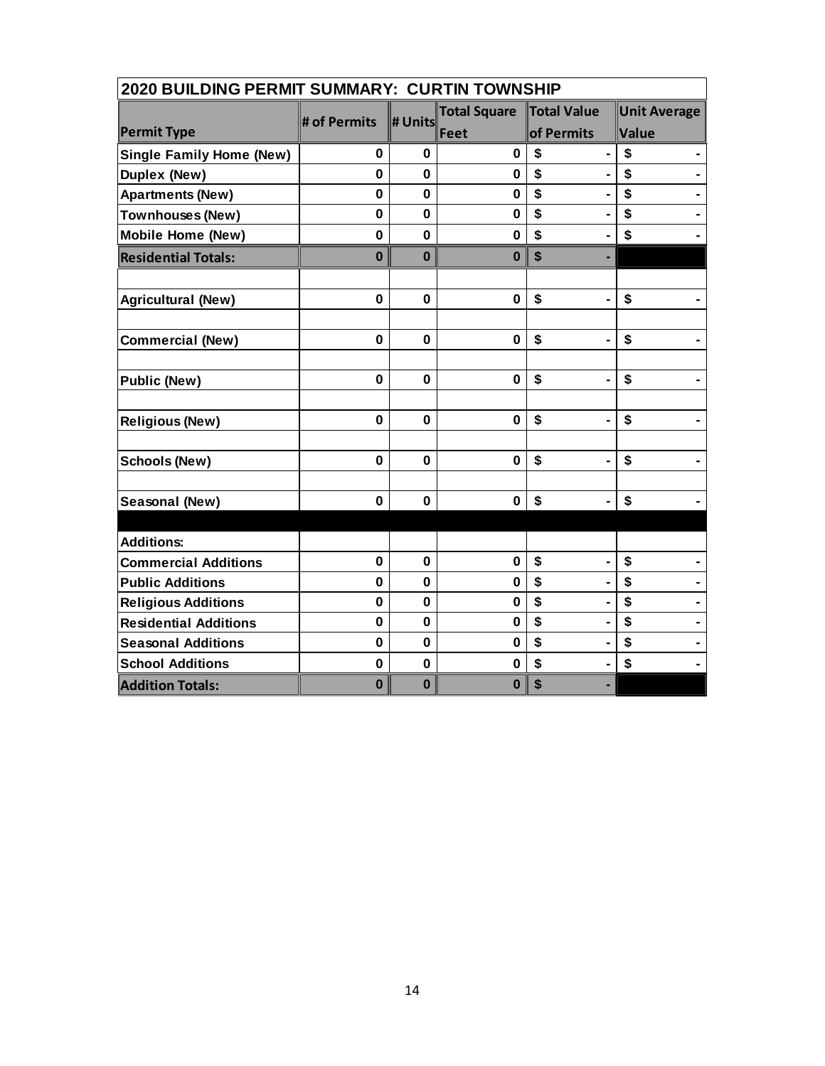| 2020 BUILDING PERMIT SUMMARY: CURTIN TOWNSHIP |              |              |                     |                      |                     |  |  |  |
|-----------------------------------------------|--------------|--------------|---------------------|----------------------|---------------------|--|--|--|
|                                               |              |              | <b>Total Square</b> | <b>Total Value</b>   | <b>Unit Average</b> |  |  |  |
| <b>Permit Type</b>                            | # of Permits | # Units      | Feet                | of Permits           | Value               |  |  |  |
| <b>Single Family Home (New)</b>               | 0            | $\bf{0}$     | $\bf{0}$            | \$<br>٠              | \$                  |  |  |  |
| Duplex (New)                                  | $\mathbf{0}$ | $\mathbf{0}$ | 0                   | \$<br>ä,             | \$                  |  |  |  |
| <b>Apartments (New)</b>                       | $\mathbf 0$  | $\mathbf 0$  | 0                   | \$<br>$\blacksquare$ | \$                  |  |  |  |
| <b>Townhouses (New)</b>                       | $\mathbf 0$  | $\mathbf 0$  | $\mathbf 0$         | \$                   | $\mathbf S$         |  |  |  |
| <b>Mobile Home (New)</b>                      | $\bf{0}$     | $\bf{0}$     | 0                   | \$<br>$\blacksquare$ | \$                  |  |  |  |
| <b>Residential Totals:</b>                    | $\bf{0}$     | $\bf{0}$     | $\bf{0}$            | \$<br>-              |                     |  |  |  |
|                                               |              |              |                     |                      |                     |  |  |  |
| <b>Agricultural (New)</b>                     | $\mathbf 0$  | $\mathbf{0}$ | $\mathbf 0$         | \$<br>$\blacksquare$ | \$                  |  |  |  |
|                                               |              |              |                     |                      |                     |  |  |  |
| <b>Commercial (New)</b>                       | $\mathbf 0$  | $\mathbf 0$  | $\mathbf 0$         | \$<br>$\blacksquare$ | \$                  |  |  |  |
| <b>Public (New)</b>                           | $\bf{0}$     | 0            | $\mathbf 0$         | \$<br>$\blacksquare$ | \$                  |  |  |  |
|                                               |              |              |                     |                      |                     |  |  |  |
| <b>Religious (New)</b>                        | $\mathbf 0$  | $\mathbf 0$  | $\mathbf 0$         | \$<br>ä,             | \$                  |  |  |  |
|                                               |              |              |                     |                      |                     |  |  |  |
| <b>Schools (New)</b>                          | $\mathbf 0$  | $\bf{0}$     | $\mathbf 0$         | \$<br>$\blacksquare$ | \$                  |  |  |  |
|                                               |              |              |                     |                      |                     |  |  |  |
| Seasonal (New)                                | $\mathbf 0$  | $\mathbf 0$  | 0                   | \$<br>$\blacksquare$ | \$                  |  |  |  |
|                                               |              |              |                     |                      |                     |  |  |  |
| <b>Additions:</b>                             |              |              |                     |                      |                     |  |  |  |
| <b>Commercial Additions</b>                   | $\mathbf 0$  | $\mathbf 0$  | $\mathbf 0$         | \$<br>$\blacksquare$ | \$                  |  |  |  |
| <b>Public Additions</b>                       | $\bf{0}$     | $\bf{0}$     | $\mathbf 0$         | \$<br>$\blacksquare$ | \$                  |  |  |  |
| <b>Religious Additions</b>                    | $\mathbf 0$  | $\mathbf 0$  | 0                   | \$<br>$\blacksquare$ | \$                  |  |  |  |
| <b>Residential Additions</b>                  | $\mathbf 0$  | $\mathbf 0$  | 0                   | \$                   | \$                  |  |  |  |
| <b>Seasonal Additions</b>                     | $\bf{0}$     | $\mathbf 0$  | $\mathbf 0$         | \$                   | \$                  |  |  |  |
| <b>School Additions</b>                       | $\mathbf 0$  | $\mathbf 0$  | 0                   | \$<br>$\blacksquare$ | \$                  |  |  |  |
| <b>Addition Totals:</b>                       | $\bf{0}$     | $\bf{0}$     | $\bf{0}$            | \$                   |                     |  |  |  |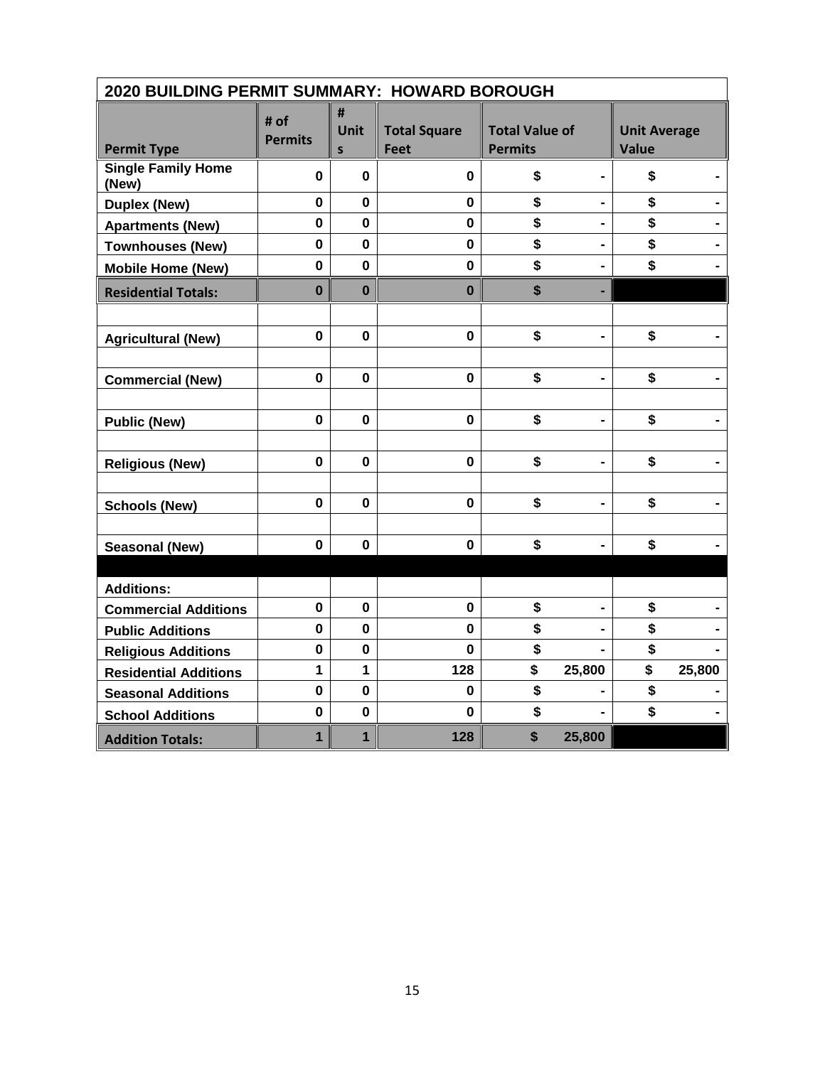| 2020 BUILDING PERMIT SUMMARY: HOWARD BOROUGH |                        |                           |                                    |                                         |                              |                              |        |
|----------------------------------------------|------------------------|---------------------------|------------------------------------|-----------------------------------------|------------------------------|------------------------------|--------|
| <b>Permit Type</b>                           | # of<br><b>Permits</b> | #<br>Unit<br>$\mathsf{s}$ | <b>Total Square</b><br><b>Feet</b> | <b>Total Value of</b><br><b>Permits</b> |                              | <b>Unit Average</b><br>Value |        |
| <b>Single Family Home</b><br>(New)           | 0                      | $\bf{0}$                  | $\mathbf 0$                        | \$                                      |                              | \$                           |        |
| <b>Duplex (New)</b>                          | $\mathbf 0$            | $\mathbf 0$               | $\mathbf 0$                        | \$                                      |                              | \$                           |        |
| <b>Apartments (New)</b>                      | $\mathbf 0$            | $\mathbf 0$               | $\mathbf 0$                        | \$                                      | $\blacksquare$               | \$                           |        |
| <b>Townhouses (New)</b>                      | $\mathbf 0$            | $\mathbf 0$               | $\mathbf 0$                        | \$                                      |                              | \$                           |        |
| <b>Mobile Home (New)</b>                     | $\mathbf 0$            | $\mathbf 0$               | $\mathbf 0$                        | \$                                      |                              | \$                           |        |
| <b>Residential Totals:</b>                   | $\bf{0}$               | $\mathbf 0$               | $\mathbf 0$                        | \$                                      | ٠                            |                              |        |
|                                              |                        |                           |                                    |                                         |                              |                              |        |
| <b>Agricultural (New)</b>                    | $\mathbf 0$            | $\mathbf{0}$              | $\mathbf 0$                        | \$                                      | $\blacksquare$               | \$                           |        |
|                                              |                        |                           |                                    |                                         |                              |                              |        |
| <b>Commercial (New)</b>                      | $\mathbf 0$            | $\mathbf 0$               | $\mathbf 0$                        | \$                                      |                              | \$                           |        |
|                                              |                        |                           |                                    |                                         |                              |                              |        |
| <b>Public (New)</b>                          | $\mathbf 0$            | $\bf{0}$                  | $\mathbf 0$                        | \$                                      | $\qquad \qquad \blacksquare$ | \$                           |        |
|                                              |                        |                           |                                    |                                         |                              |                              |        |
| <b>Religious (New)</b>                       | $\mathbf 0$            | $\mathbf 0$               | $\mathbf 0$                        | \$                                      | $\blacksquare$               | \$                           |        |
|                                              |                        |                           |                                    |                                         |                              |                              |        |
| <b>Schools (New)</b>                         | $\mathbf 0$            | $\bf{0}$                  | $\mathbf 0$                        | \$                                      |                              | \$                           |        |
|                                              |                        |                           |                                    |                                         |                              |                              |        |
| <b>Seasonal (New)</b>                        | $\mathbf 0$            | $\bf{0}$                  | $\mathbf 0$                        | \$                                      |                              | \$                           |        |
|                                              |                        |                           |                                    |                                         |                              |                              |        |
| <b>Additions:</b>                            |                        |                           |                                    |                                         |                              |                              |        |
| <b>Commercial Additions</b>                  | $\mathbf 0$            | $\mathbf 0$               | $\mathbf 0$                        | \$                                      |                              | \$                           |        |
| <b>Public Additions</b>                      | 0                      | $\mathbf 0$               | 0                                  | \$                                      |                              | \$                           |        |
| <b>Religious Additions</b>                   | $\mathbf 0$            | 0                         | $\mathbf 0$                        | \$                                      |                              | \$                           |        |
| <b>Residential Additions</b>                 | 1                      | 1                         | 128                                | \$                                      | 25,800                       | \$                           | 25,800 |
| <b>Seasonal Additions</b>                    | $\mathbf 0$            | $\mathbf 0$               | $\mathbf 0$                        | \$                                      |                              | \$                           |        |
| <b>School Additions</b>                      | $\mathbf 0$            | $\mathbf 0$               | $\mathbf 0$                        | \$                                      |                              | \$                           |        |
| <b>Addition Totals:</b>                      | 1                      | 1                         | 128                                | \$                                      | 25,800                       |                              |        |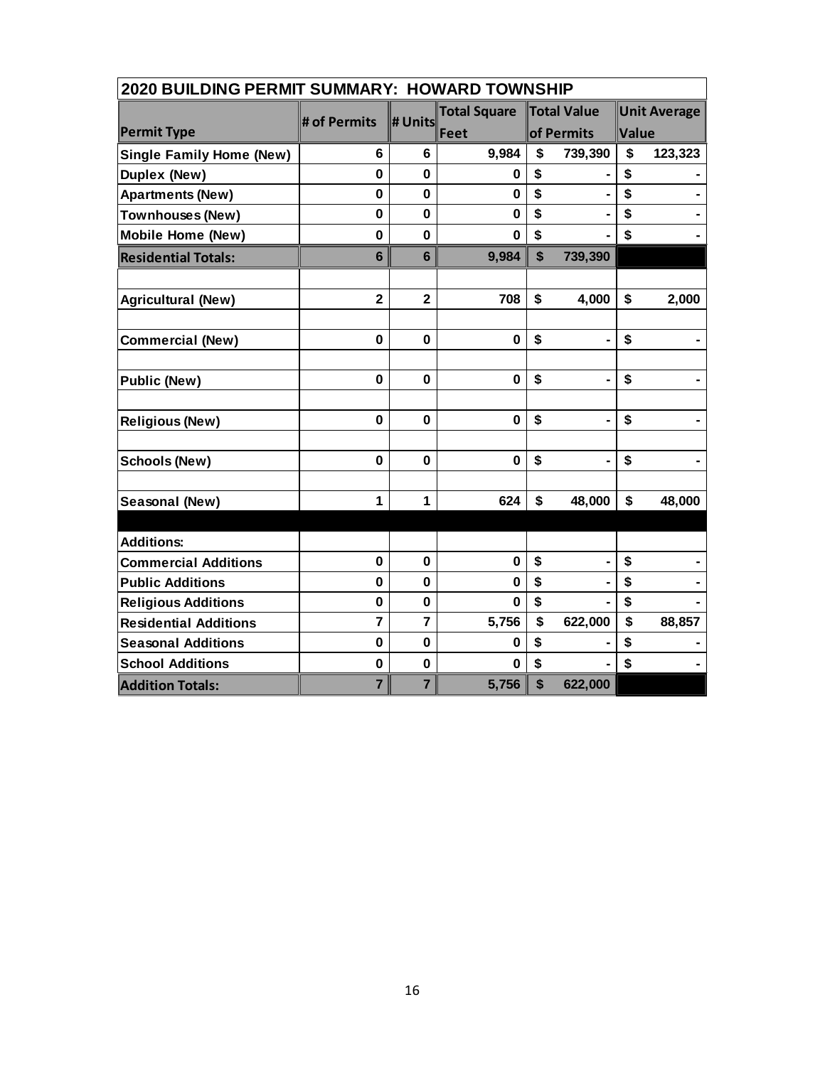| 2020 BUILDING PERMIT SUMMARY: HOWARD TOWNSHIP |                         |                |                     |    |                    |             |                     |  |
|-----------------------------------------------|-------------------------|----------------|---------------------|----|--------------------|-------------|---------------------|--|
|                                               |                         |                | <b>Total Square</b> |    | <b>Total Value</b> |             | <b>Unit Average</b> |  |
| <b>Permit Type</b>                            | # of Permits            | # Units        | Feet                |    | of Permits         | Value       |                     |  |
| <b>Single Family Home (New)</b>               | 6                       | 6              | 9,984               | \$ | 739,390            | \$          | 123,323             |  |
| Duplex (New)                                  | $\mathbf 0$             | $\mathbf 0$    | 0                   | \$ |                    | \$          |                     |  |
| <b>Apartments (New)</b>                       | $\mathbf 0$             | $\mathbf 0$    | 0                   | \$ | ä,                 | \$          |                     |  |
| <b>Townhouses (New)</b>                       | $\mathbf 0$             | $\bf{0}$       | $\bf{0}$            | \$ |                    | \$          |                     |  |
| <b>Mobile Home (New)</b>                      | $\mathbf 0$             | $\mathbf 0$    | 0                   | \$ |                    | \$          |                     |  |
| <b>Residential Totals:</b>                    | $6\phantom{1}$          | $6\phantom{1}$ | 9,984               | \$ | 739,390            |             |                     |  |
|                                               | $\overline{\mathbf{2}}$ | $\overline{2}$ | 708                 | \$ | 4,000              | \$          |                     |  |
| <b>Agricultural (New)</b>                     |                         |                |                     |    |                    |             | 2,000               |  |
| <b>Commercial (New)</b>                       | $\mathbf 0$             | $\mathbf 0$    | $\mathbf 0$         | \$ | $\blacksquare$     | \$          |                     |  |
|                                               | $\mathbf 0$             | $\bf{0}$       | $\bf{0}$            | \$ |                    | \$          |                     |  |
| <b>Public (New)</b>                           |                         |                |                     |    |                    |             |                     |  |
| <b>Religious (New)</b>                        | $\bf{0}$                | $\bf{0}$       | $\mathbf 0$         | \$ | ä,                 | \$          |                     |  |
|                                               | $\bf{0}$                | $\bf{0}$       |                     |    |                    |             |                     |  |
| <b>Schools (New)</b>                          |                         |                | $\bf{0}$            | \$ |                    | \$          |                     |  |
| Seasonal (New)                                | $\mathbf{1}$            | 1              | 624                 | \$ | 48,000             | $\mathbf S$ | 48,000              |  |
|                                               |                         |                |                     |    |                    |             |                     |  |
| <b>Additions:</b>                             |                         |                |                     |    |                    |             |                     |  |
| <b>Commercial Additions</b>                   | $\mathbf 0$             | $\bf{0}$       | $\bf{0}$            | \$ | $\blacksquare$     | \$          |                     |  |
| <b>Public Additions</b>                       | $\mathbf 0$             | $\mathbf 0$    | 0                   | \$ |                    | \$          |                     |  |
| <b>Religious Additions</b>                    | $\mathbf 0$             | $\bf{0}$       | $\mathbf{0}$        | \$ |                    | \$          |                     |  |
| <b>Residential Additions</b>                  | $\overline{7}$          | $\overline{7}$ | 5,756               | \$ | 622,000            | \$          | 88,857              |  |
| <b>Seasonal Additions</b>                     | $\mathbf 0$             | $\mathbf 0$    | 0                   | \$ |                    | \$          |                     |  |
| <b>School Additions</b>                       | $\mathbf 0$             | $\mathbf 0$    | O                   | \$ |                    | \$          |                     |  |
| <b>Addition Totals:</b>                       | $\overline{7}$          | $\overline{7}$ | 5,756               | \$ | 622,000            |             |                     |  |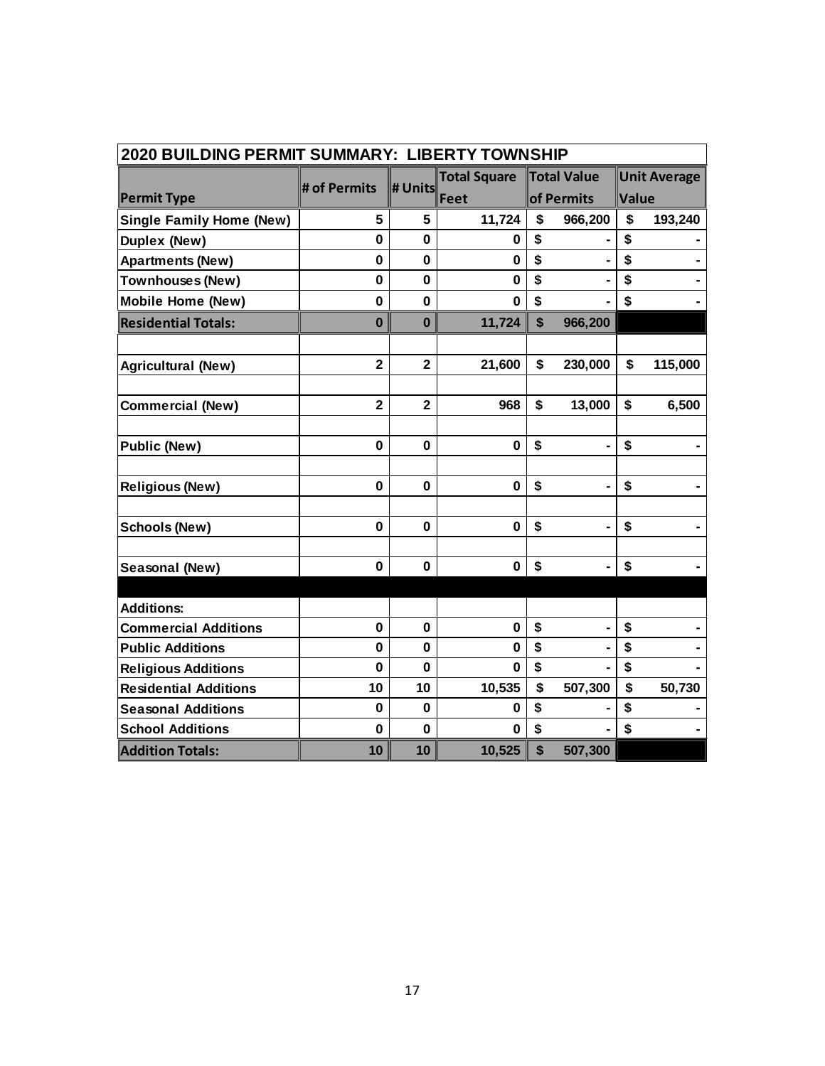| 2020 BUILDING PERMIT SUMMARY: LIBERTY TOWNSHIP |                |                         |                     |            |                    |       |                     |  |
|------------------------------------------------|----------------|-------------------------|---------------------|------------|--------------------|-------|---------------------|--|
|                                                | # of Permits   | # Units                 | <b>Total Square</b> |            | <b>Total Value</b> |       | <b>Unit Average</b> |  |
| <b>Permit Type</b>                             |                |                         | Feet                | of Permits |                    | Value |                     |  |
| <b>Single Family Home (New)</b>                | 5              | 5                       | 11,724              | \$         | 966,200            | \$    | 193,240             |  |
| Duplex (New)                                   | $\mathbf 0$    | $\mathbf 0$             | 0                   | \$         |                    | \$    |                     |  |
| <b>Apartments (New)</b>                        | 0              | $\mathbf 0$             | $\bf{0}$            | \$         |                    | \$    |                     |  |
| <b>Townhouses (New)</b>                        | 0              | $\mathbf 0$             | $\bf{0}$            | \$         |                    | \$    |                     |  |
| <b>Mobile Home (New)</b>                       | 0              | $\mathbf 0$             | $\bf{0}$            | \$         |                    | \$    |                     |  |
| <b>Residential Totals:</b>                     | $\bf{0}$       | $\bf{0}$                | 11,724              | \$         | 966,200            |       |                     |  |
|                                                |                |                         |                     |            |                    |       |                     |  |
| <b>Agricultural (New)</b>                      | $\overline{2}$ | $\overline{2}$          | 21,600              | \$         | 230,000            | \$    | 115,000             |  |
|                                                |                |                         |                     |            |                    |       |                     |  |
| <b>Commercial (New)</b>                        | $\overline{2}$ | $\overline{\mathbf{2}}$ | 968                 | \$         | 13,000             | \$    | 6,500               |  |
|                                                |                |                         |                     |            |                    |       |                     |  |
| <b>Public (New)</b>                            | $\mathbf 0$    | $\mathbf 0$             | $\bf{0}$            | \$         |                    | \$    |                     |  |
|                                                |                |                         |                     |            |                    |       |                     |  |
| <b>Religious (New)</b>                         | 0              | 0                       | 0                   | \$         |                    | \$    |                     |  |
|                                                |                |                         |                     |            |                    |       |                     |  |
| <b>Schools (New)</b>                           | $\mathbf 0$    | $\mathbf 0$             | $\bf{0}$            | \$         |                    | \$    |                     |  |
|                                                |                |                         |                     |            |                    |       |                     |  |
| Seasonal (New)                                 | $\mathbf 0$    | $\mathbf 0$             | $\bf{0}$            | \$         |                    | \$    |                     |  |
|                                                |                |                         |                     |            |                    |       |                     |  |
| <b>Additions:</b>                              |                |                         |                     |            |                    |       |                     |  |
| <b>Commercial Additions</b>                    | $\mathbf 0$    | 0                       | $\bf{0}$            | \$         |                    | \$    |                     |  |
| <b>Public Additions</b>                        | $\mathbf 0$    | $\mathbf 0$             | $\bf{0}$            | \$         |                    | \$    |                     |  |
| <b>Religious Additions</b>                     | $\mathbf 0$    | $\mathbf 0$             | $\bf{0}$            | \$         |                    | \$    |                     |  |
| <b>Residential Additions</b>                   | 10             | 10                      | 10,535              | \$         | 507,300            | \$    | 50,730              |  |
| <b>Seasonal Additions</b>                      | $\mathbf 0$    | $\mathbf 0$             | 0                   | \$         |                    | \$    |                     |  |
| <b>School Additions</b>                        | $\bf{0}$       | $\mathbf 0$             | $\bf{0}$            | \$         |                    | \$    |                     |  |
| <b>Addition Totals:</b>                        | 10             | 10                      | 10,525              | \$         | 507,300            |       |                     |  |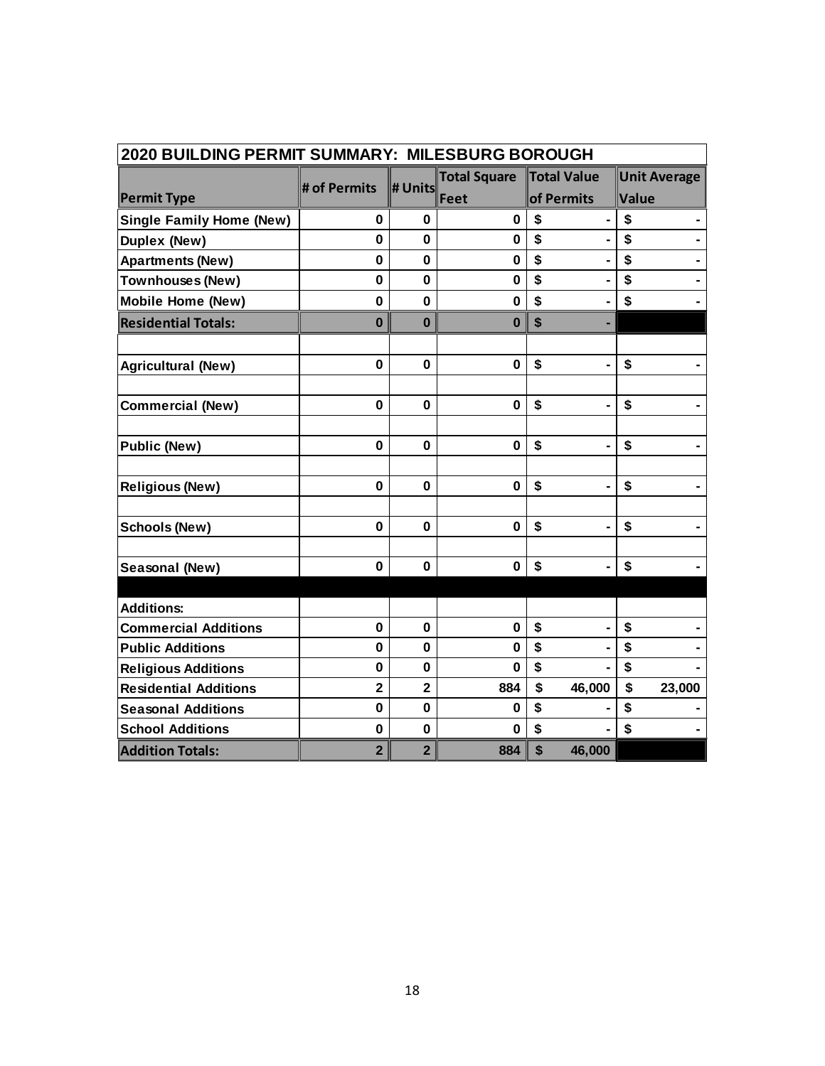| 2020 BUILDING PERMIT SUMMARY: MILESBURG BOROUGH |                |                         |                     |                      |                     |  |  |  |  |
|-------------------------------------------------|----------------|-------------------------|---------------------|----------------------|---------------------|--|--|--|--|
|                                                 | # of Permits   | # Units                 | <b>Total Square</b> | Total Value          | <b>Unit Average</b> |  |  |  |  |
| <b>Permit Type</b>                              |                |                         | Feet                | of Permits           | Value               |  |  |  |  |
| <b>Single Family Home (New)</b>                 | $\mathbf 0$    | $\mathbf 0$             | $\bf{0}$            | \$                   | \$                  |  |  |  |  |
| Duplex (New)                                    | $\mathbf 0$    | $\mathbf 0$             | $\bf{0}$            | \$                   | \$                  |  |  |  |  |
| <b>Apartments (New)</b>                         | $\mathbf{0}$   | $\mathbf 0$             | $\mathbf 0$         | \$                   | \$                  |  |  |  |  |
| <b>Townhouses (New)</b>                         | $\mathbf 0$    | $\mathbf 0$             | $\mathbf 0$         | \$                   | \$                  |  |  |  |  |
| <b>Mobile Home (New)</b>                        | $\mathbf{0}$   | $\mathbf 0$             | $\bf{0}$            | \$                   | \$                  |  |  |  |  |
| <b>Residential Totals:</b>                      | $\mathbf 0$    | $\bf{0}$                | $\bf{0}$            | \$                   |                     |  |  |  |  |
|                                                 |                |                         |                     |                      |                     |  |  |  |  |
| <b>Agricultural (New)</b>                       | $\mathbf 0$    | $\mathbf 0$             | $\mathbf 0$         | \$                   | \$                  |  |  |  |  |
|                                                 |                |                         |                     |                      |                     |  |  |  |  |
| <b>Commercial (New)</b>                         | $\mathbf 0$    | $\mathbf 0$             | $\mathbf 0$         | \$                   | \$                  |  |  |  |  |
| <b>Public (New)</b>                             | $\mathbf 0$    | $\mathbf 0$             | $\bf{0}$            | \$                   | \$                  |  |  |  |  |
|                                                 |                |                         |                     |                      |                     |  |  |  |  |
| <b>Religious (New)</b>                          | $\mathbf 0$    | $\mathbf 0$             | $\bf{0}$            | \$                   | \$                  |  |  |  |  |
| <b>Schools (New)</b>                            | $\mathbf 0$    | 0                       | $\bf{0}$            | \$<br>$\blacksquare$ | \$                  |  |  |  |  |
|                                                 |                |                         |                     |                      |                     |  |  |  |  |
| Seasonal (New)                                  | $\mathbf 0$    | 0                       | $\mathbf 0$         | \$                   | \$                  |  |  |  |  |
|                                                 |                |                         |                     |                      |                     |  |  |  |  |
| <b>Additions:</b>                               |                |                         |                     |                      |                     |  |  |  |  |
| <b>Commercial Additions</b>                     | $\mathbf 0$    | $\mathbf 0$             | $\mathbf 0$         | \$                   | \$                  |  |  |  |  |
| <b>Public Additions</b>                         | $\mathbf 0$    | $\mathbf 0$             | $\bf{0}$            | \$                   | \$                  |  |  |  |  |
| <b>Religious Additions</b>                      | $\bf{0}$       | $\mathbf 0$             | $\bf{0}$            | \$                   | \$                  |  |  |  |  |
| <b>Residential Additions</b>                    | $\overline{2}$ | $\overline{\mathbf{2}}$ | 884                 | \$<br>46,000         | \$<br>23,000        |  |  |  |  |
| <b>Seasonal Additions</b>                       | 0              | $\mathbf 0$             | $\bf{0}$            | \$                   | \$                  |  |  |  |  |
| <b>School Additions</b>                         | $\mathbf 0$    | $\mathbf 0$             | $\bf{0}$            | \$                   | \$                  |  |  |  |  |
| <b>Addition Totals:</b>                         | $\overline{2}$ | $\overline{2}$          | 884                 | \$<br>46,000         |                     |  |  |  |  |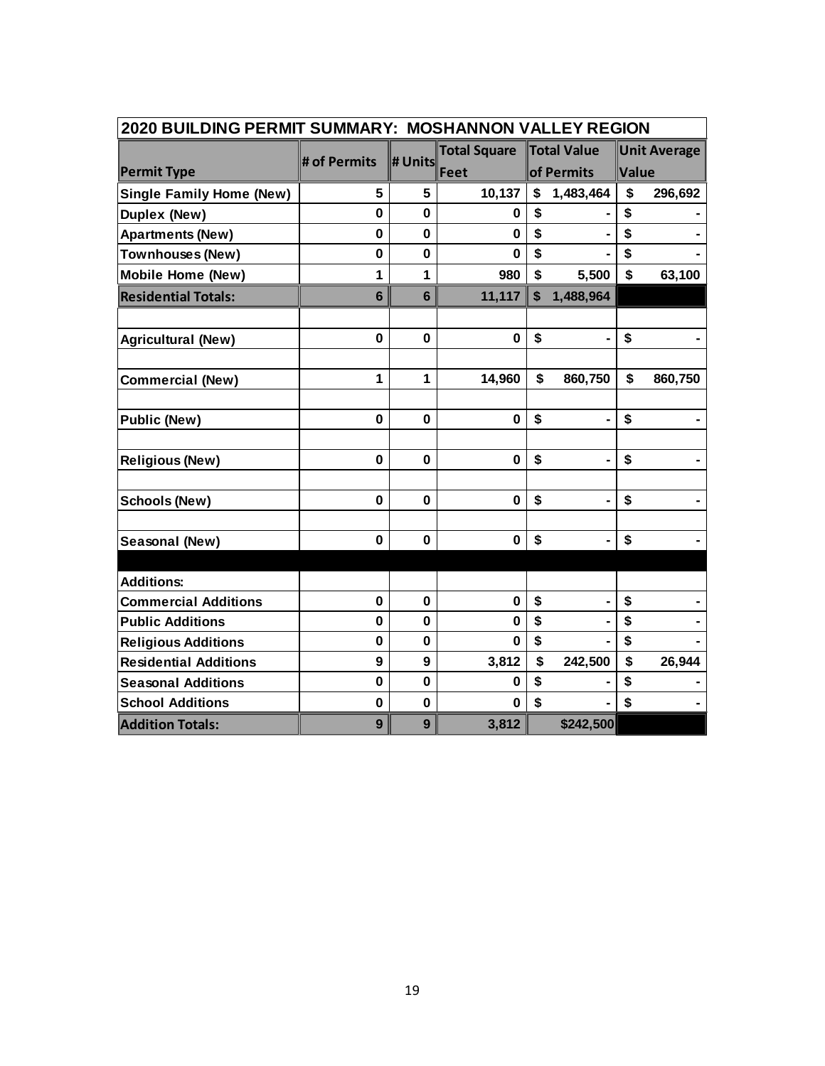| 2020 BUILDING PERMIT SUMMARY: MOSHANNON VALLEY REGION |                |                |                     |                           |                              |                     |         |  |
|-------------------------------------------------------|----------------|----------------|---------------------|---------------------------|------------------------------|---------------------|---------|--|
|                                                       | # of Permits   | # Units        | <b>Total Square</b> |                           | Total Value                  | <b>Unit Average</b> |         |  |
| <b>Permit Type</b>                                    |                |                | Feet                |                           | of Permits                   | Value               |         |  |
| <b>Single Family Home (New)</b>                       | 5              | 5              | 10,137              | \$                        | 1,483,464                    | \$                  | 296,692 |  |
| Duplex (New)                                          | 0              | $\mathbf 0$    | 0                   | \$                        |                              | \$                  |         |  |
| <b>Apartments (New)</b>                               | 0              | $\mathbf{0}$   | $\bf{0}$            | \$                        |                              | \$                  |         |  |
| <b>Townhouses (New)</b>                               | 0              | 0              | 0                   | \$                        |                              | \$                  |         |  |
| <b>Mobile Home (New)</b>                              | 1              | 1              | 980                 | \$                        | 5,500                        | \$                  | 63,100  |  |
| <b>Residential Totals:</b>                            | $6\phantom{1}$ | $6\phantom{1}$ | 11,117              | $\boldsymbol{\mathsf{s}}$ | 1,488,964                    |                     |         |  |
|                                                       |                |                |                     |                           |                              |                     |         |  |
| <b>Agricultural (New)</b>                             | $\mathbf{0}$   | $\mathbf{0}$   | $\mathbf 0$         | \$                        |                              | \$                  |         |  |
|                                                       |                |                |                     |                           |                              |                     |         |  |
| <b>Commercial (New)</b>                               | 1              | 1              | 14,960              | \$                        | 860,750                      | \$                  | 860,750 |  |
|                                                       |                |                |                     |                           |                              |                     |         |  |
| <b>Public (New)</b>                                   | 0              | 0              | $\mathbf 0$         | \$                        |                              | \$                  |         |  |
|                                                       |                |                |                     |                           |                              |                     |         |  |
| <b>Religious (New)</b>                                | 0              | 0              | $\mathbf 0$         | \$                        | $\blacksquare$               | \$                  |         |  |
|                                                       |                |                |                     |                           |                              |                     |         |  |
| <b>Schools (New)</b>                                  | 0              | 0              | $\mathbf 0$         | \$                        |                              | \$                  |         |  |
| Seasonal (New)                                        | $\bf{0}$       | $\mathbf 0$    | $\bf{0}$            | \$                        | $\qquad \qquad \blacksquare$ | \$                  |         |  |
|                                                       |                |                |                     |                           |                              |                     |         |  |
| <b>Additions:</b>                                     |                |                |                     |                           |                              |                     |         |  |
| <b>Commercial Additions</b>                           | $\mathbf 0$    | $\mathbf 0$    | $\mathbf 0$         | \$                        |                              | \$                  |         |  |
| <b>Public Additions</b>                               | $\mathbf 0$    | 0              | $\bf{0}$            | \$                        |                              | \$                  |         |  |
| <b>Religious Additions</b>                            | $\bf{0}$       | $\mathbf 0$    | 0                   | \$                        |                              | \$                  |         |  |
| <b>Residential Additions</b>                          | 9              | 9              | 3,812               | \$                        | 242,500                      | \$                  | 26,944  |  |
| <b>Seasonal Additions</b>                             | $\mathbf 0$    | 0              | 0                   | \$                        |                              | \$                  |         |  |
| <b>School Additions</b>                               | $\mathbf 0$    | $\mathbf 0$    | $\bf{0}$            | \$                        |                              | \$                  |         |  |
| <b>Addition Totals:</b>                               | 9              | 9              | 3,812               |                           | \$242,500                    |                     |         |  |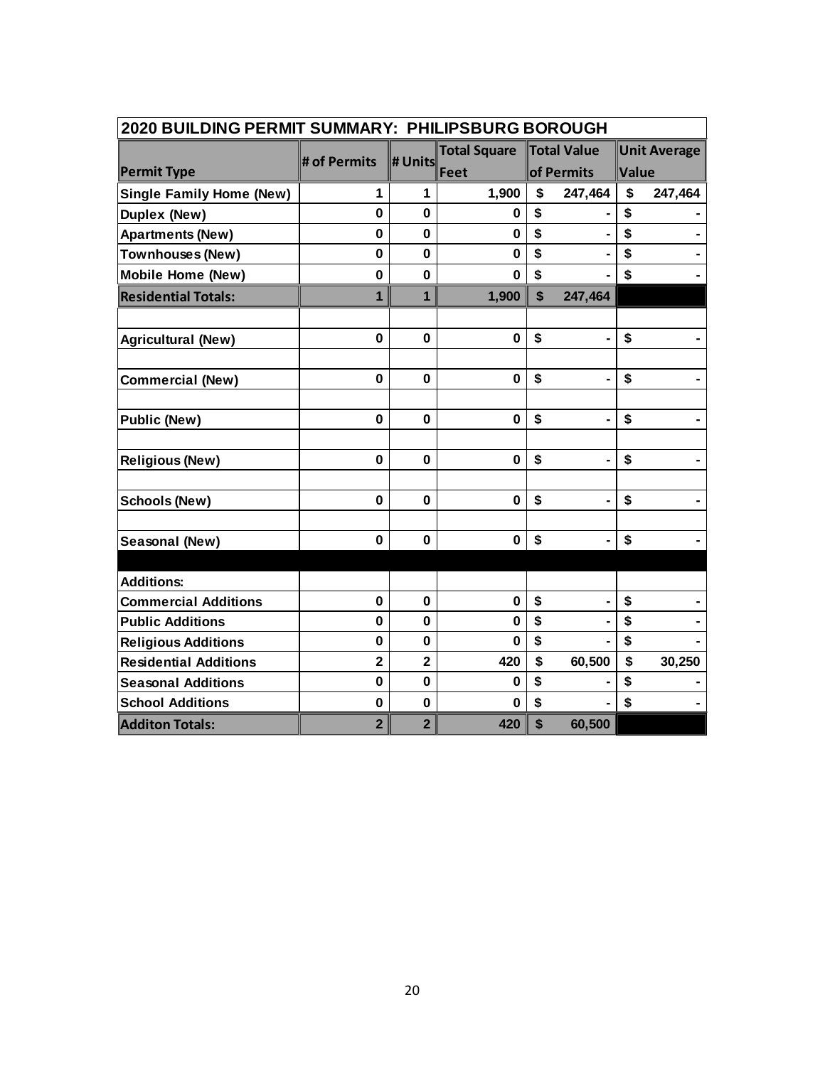| 2020 BUILDING PERMIT SUMMARY: PHILIPSBURG BOROUGH |                |                |                     |    |                |       |                     |  |
|---------------------------------------------------|----------------|----------------|---------------------|----|----------------|-------|---------------------|--|
|                                                   | # of Permits   | # Units        | <b>Total Square</b> |    | Total Value    |       | <b>Unit Average</b> |  |
| <b>Permit Type</b>                                |                |                | Feet                |    | of Permits     | Value |                     |  |
| <b>Single Family Home (New)</b>                   | 1              | 1              | 1,900               | \$ | 247,464        | \$    | 247,464             |  |
| Duplex (New)                                      | $\mathbf 0$    | 0              | 0                   | \$ |                | \$    |                     |  |
| <b>Apartments (New)</b>                           | $\mathbf 0$    | $\mathbf 0$    | $\bf{0}$            | \$ |                | \$    |                     |  |
| <b>Townhouses (New)</b>                           | $\mathbf 0$    | $\mathbf 0$    | $\bf{0}$            | \$ |                | \$    |                     |  |
| <b>Mobile Home (New)</b>                          | 0              | $\mathbf 0$    | 0                   | \$ |                | \$    |                     |  |
| <b>Residential Totals:</b>                        | 1              | $\mathbf{1}$   | 1,900               | \$ | 247,464        |       |                     |  |
|                                                   |                |                |                     |    |                |       |                     |  |
| <b>Agricultural (New)</b>                         | $\bf{0}$       | $\mathbf 0$    | $\bf{0}$            | \$ |                | \$    |                     |  |
|                                                   |                |                |                     |    |                |       |                     |  |
| <b>Commercial (New)</b>                           | 0              | 0              | $\mathbf 0$         | \$ | $\blacksquare$ | \$    |                     |  |
|                                                   |                |                |                     |    |                |       |                     |  |
| <b>Public (New)</b>                               | $\bf{0}$       | 0              | $\bf{0}$            | \$ |                | \$    |                     |  |
| <b>Religious (New)</b>                            | 0              | $\mathbf 0$    | $\bf{0}$            | \$ |                | \$    |                     |  |
|                                                   |                |                |                     |    |                |       |                     |  |
| <b>Schools (New)</b>                              | 0              | 0              | $\bf{0}$            | \$ |                | \$    |                     |  |
| Seasonal (New)                                    | $\bf{0}$       | $\mathbf 0$    | $\bf{0}$            | \$ |                | \$    |                     |  |
|                                                   |                |                |                     |    |                |       |                     |  |
| <b>Additions:</b>                                 |                |                |                     |    |                |       |                     |  |
| <b>Commercial Additions</b>                       | $\bf{0}$       | $\mathbf 0$    | $\mathbf 0$         | \$ |                | \$    |                     |  |
| <b>Public Additions</b>                           | $\mathbf 0$    | $\mathbf 0$    | $\bf{0}$            | \$ |                | \$    |                     |  |
| <b>Religious Additions</b>                        | 0              | $\bf{0}$       | 0                   | \$ |                | \$    |                     |  |
| <b>Residential Additions</b>                      | $\overline{2}$ | $\overline{2}$ | 420                 | \$ | 60,500         | \$    | 30,250              |  |
| <b>Seasonal Additions</b>                         | $\bf{0}$       | $\mathbf 0$    | $\bf{0}$            | \$ |                | \$    |                     |  |
| <b>School Additions</b>                           | $\mathbf 0$    | $\mathbf 0$    | $\bf{0}$            | \$ |                | \$    |                     |  |
| <b>Additon Totals:</b>                            | $\overline{2}$ | $\overline{2}$ | 420                 | \$ | 60,500         |       |                     |  |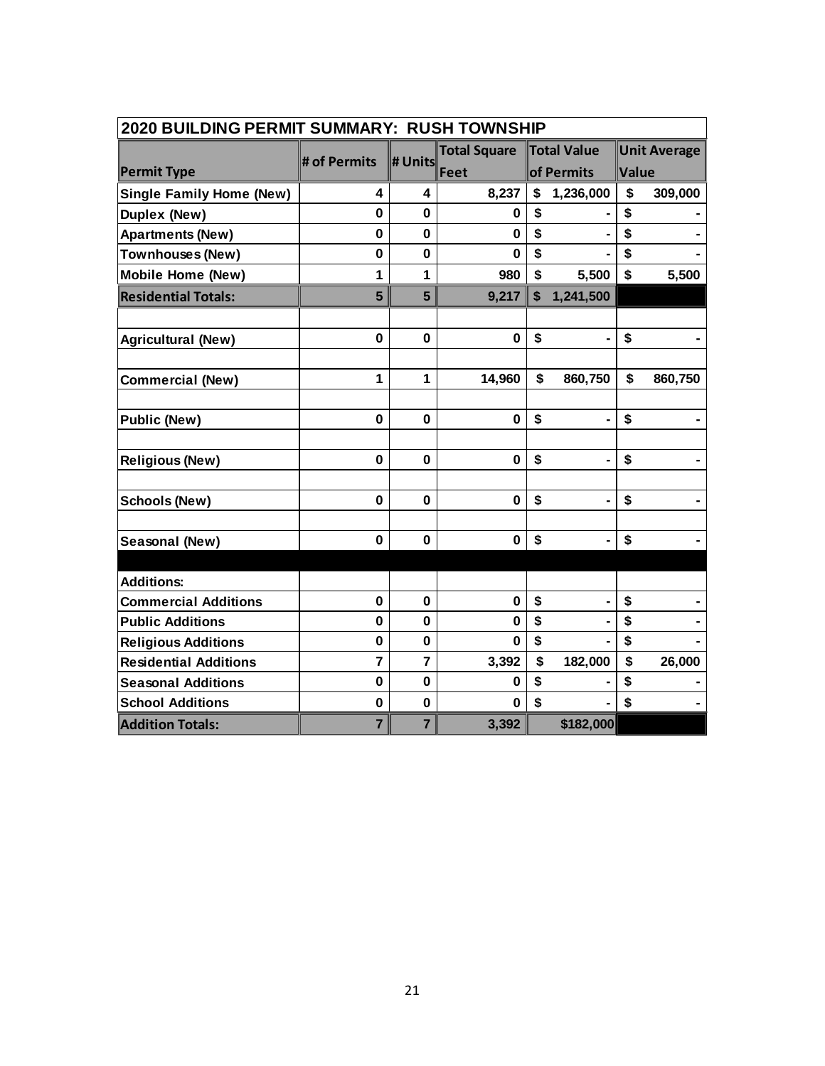| 2020 BUILDING PERMIT SUMMARY: RUSH TOWNSHIP |                         |                |                     |    |                    |             |                     |  |
|---------------------------------------------|-------------------------|----------------|---------------------|----|--------------------|-------------|---------------------|--|
|                                             | # of Permits            | # Units        | <b>Total Square</b> |    | <b>Total Value</b> |             | <b>Unit Average</b> |  |
| <b>Permit Type</b>                          |                         |                | Feet                |    | of Permits         | Value       |                     |  |
| <b>Single Family Home (New)</b>             | 4                       | 4              | 8,237               | \$ | 1,236,000          | \$          | 309,000             |  |
| <b>Duplex (New)</b>                         | $\mathbf{0}$            | 0              | 0                   | \$ |                    | \$          |                     |  |
| <b>Apartments (New)</b>                     | $\mathbf 0$             | 0              | $\bf{0}$            | \$ |                    | \$          |                     |  |
| <b>Townhouses (New)</b>                     | $\mathbf 0$             | $\mathbf 0$    | $\bf{0}$            | \$ |                    | \$          |                     |  |
| <b>Mobile Home (New)</b>                    | 1                       | 1              | 980                 | \$ | 5,500              | \$          | 5,500               |  |
| <b>Residential Totals:</b>                  | 5                       | 5              | 9,217               | \$ | 1,241,500          |             |                     |  |
|                                             |                         |                |                     |    |                    |             |                     |  |
| <b>Agricultural (New)</b>                   | 0                       | $\mathbf 0$    | $\bf{0}$            | \$ |                    | \$          |                     |  |
|                                             | 1                       | 1              |                     | \$ |                    | $\mathbf S$ |                     |  |
| <b>Commercial (New)</b>                     |                         |                | 14,960              |    | 860,750            |             | 860,750             |  |
| <b>Public (New)</b>                         | $\mathbf{0}$            | $\bf{0}$       | $\mathbf 0$         | \$ |                    | \$          |                     |  |
|                                             |                         |                |                     |    |                    |             |                     |  |
| <b>Religious (New)</b>                      | $\mathbf 0$             | $\mathbf 0$    | $\mathbf 0$         | \$ |                    | \$          |                     |  |
| <b>Schools (New)</b>                        | 0                       | $\bf{0}$       | $\bf{0}$            | \$ |                    | \$          |                     |  |
|                                             |                         |                |                     |    |                    |             |                     |  |
| Seasonal (New)                              | 0                       | 0              | $\bf{0}$            | \$ |                    | \$          |                     |  |
|                                             |                         |                |                     |    |                    |             |                     |  |
| <b>Additions:</b>                           |                         |                |                     |    |                    |             |                     |  |
| <b>Commercial Additions</b>                 | $\mathbf 0$             | $\mathbf 0$    | $\bf{0}$            | \$ |                    | \$          |                     |  |
| <b>Public Additions</b>                     | $\mathbf 0$             | 0              | $\bf{0}$            | \$ |                    | \$          |                     |  |
| <b>Religious Additions</b>                  | $\mathbf 0$             | 0              | $\bf{0}$            | \$ |                    | \$          |                     |  |
| <b>Residential Additions</b>                | $\overline{\mathbf{r}}$ | $\overline{7}$ | 3,392               | \$ | 182,000            | \$          | 26,000              |  |
| <b>Seasonal Additions</b>                   | 0                       | $\mathbf 0$    | 0                   | \$ |                    | \$          |                     |  |
| <b>School Additions</b>                     | $\mathbf 0$             | $\mathbf 0$    | $\bf{0}$            | \$ |                    | \$          |                     |  |
| <b>Addition Totals:</b>                     | $\overline{7}$          | $\overline{7}$ | 3,392               |    | \$182,000          |             |                     |  |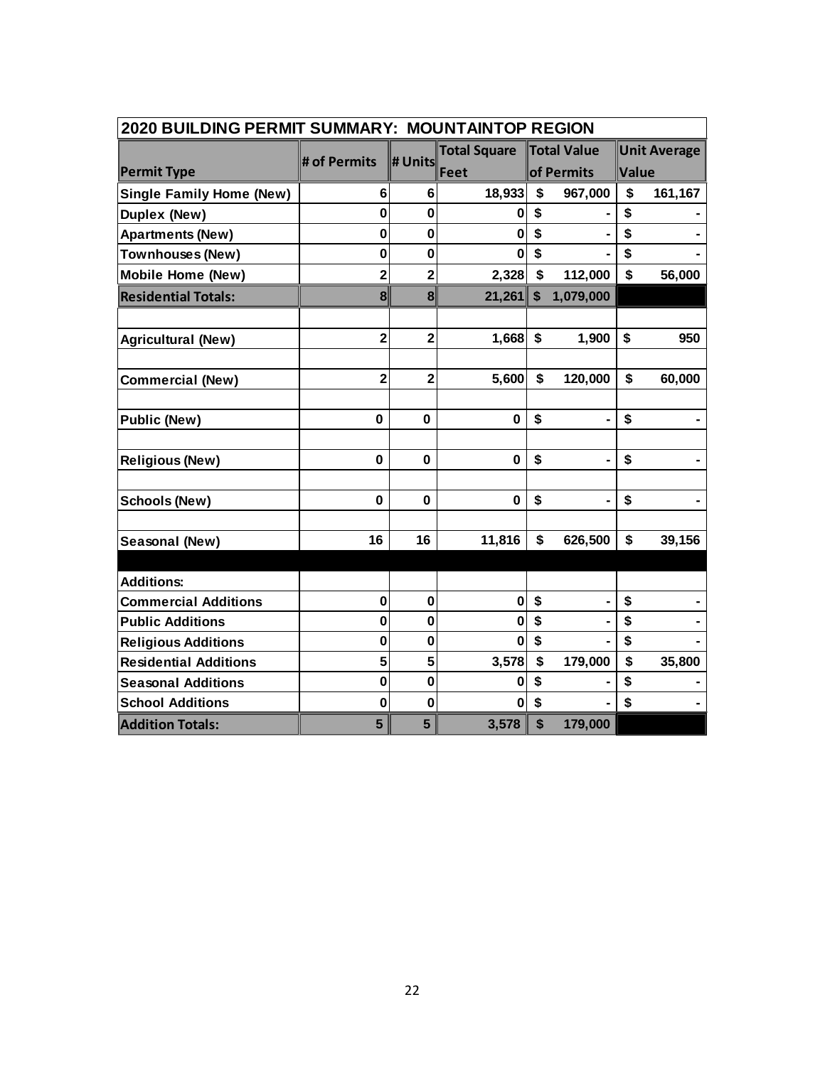| 2020 BUILDING PERMIT SUMMARY: MOUNTAINTOP REGION |                         |                         |                     |                           |             |       |                     |
|--------------------------------------------------|-------------------------|-------------------------|---------------------|---------------------------|-------------|-------|---------------------|
|                                                  | # of Permits            | # Units                 | <b>Total Square</b> |                           | Total Value |       | <b>Unit Average</b> |
| <b>Permit Type</b>                               |                         |                         | Feet                |                           | of Permits  | Value |                     |
| <b>Single Family Home (New)</b>                  | 6                       | 6                       | 18,933              | \$                        | 967,000     | \$    | 161,167             |
| <b>Duplex (New)</b>                              | $\bf{0}$                | 0                       | O                   | \$                        |             | \$    |                     |
| <b>Apartments (New)</b>                          | 0                       | 0                       | 0                   | \$                        |             | \$    |                     |
| <b>Townhouses (New)</b>                          | $\bf{0}$                | $\bf{0}$                | 0                   | \$                        |             | \$    |                     |
| <b>Mobile Home (New)</b>                         | $\overline{2}$          | $\overline{2}$          | 2,328               | \$                        | 112,000     | \$    | 56,000              |
| <b>Residential Totals:</b>                       | 8                       | 8                       | 21,261              | $\boldsymbol{\mathsf{s}}$ | 1,079,000   |       |                     |
|                                                  |                         |                         |                     |                           |             |       |                     |
| <b>Agricultural (New)</b>                        | $\overline{\mathbf{2}}$ | $\overline{2}$          | 1,668               | \$                        | 1,900       | \$    | 950                 |
|                                                  |                         |                         |                     |                           |             |       |                     |
| <b>Commercial (New)</b>                          | $\overline{\mathbf{2}}$ | $\overline{\mathbf{2}}$ | 5,600               | \$                        | 120,000     | \$    | 60,000              |
|                                                  |                         |                         |                     |                           |             |       |                     |
| <b>Public (New)</b>                              | 0                       | $\mathbf{0}$            | $\mathbf 0$         | \$                        |             | \$    |                     |
| <b>Religious (New)</b>                           | $\mathbf 0$             | $\mathbf 0$             | $\mathbf 0$         | \$                        |             | \$    |                     |
|                                                  |                         |                         |                     |                           |             |       |                     |
| <b>Schools (New)</b>                             | 0                       | $\bf{0}$                | $\bf{0}$            | \$                        |             | \$    |                     |
|                                                  |                         |                         |                     |                           |             |       |                     |
| Seasonal (New)                                   | 16                      | 16                      | 11,816              | \$                        | 626,500     | \$    | 39,156              |
|                                                  |                         |                         |                     |                           |             |       |                     |
| <b>Additions:</b>                                | $\mathbf 0$             | $\mathbf 0$             | $\bf{0}$            | \$                        |             | \$    |                     |
| <b>Commercial Additions</b>                      | 0                       |                         |                     | \$                        |             | \$    |                     |
| <b>Public Additions</b>                          |                         | 0                       | 0<br>$\bf{0}$       | \$                        |             | \$    |                     |
| <b>Religious Additions</b>                       | $\mathbf 0$             | $\bf{0}$                |                     |                           |             | \$    |                     |
| <b>Residential Additions</b>                     | 5                       | 5                       | 3,578               | \$                        | 179,000     |       | 35,800              |
| <b>Seasonal Additions</b>                        | $\bf{0}$                | 0                       | 0                   | \$                        |             | \$    |                     |
| <b>School Additions</b>                          | $\bf{0}$                | 0                       | 0                   | \$                        |             | \$    |                     |
| <b>Addition Totals:</b>                          | 5                       | 5                       | 3,578               | \$                        | 179,000     |       |                     |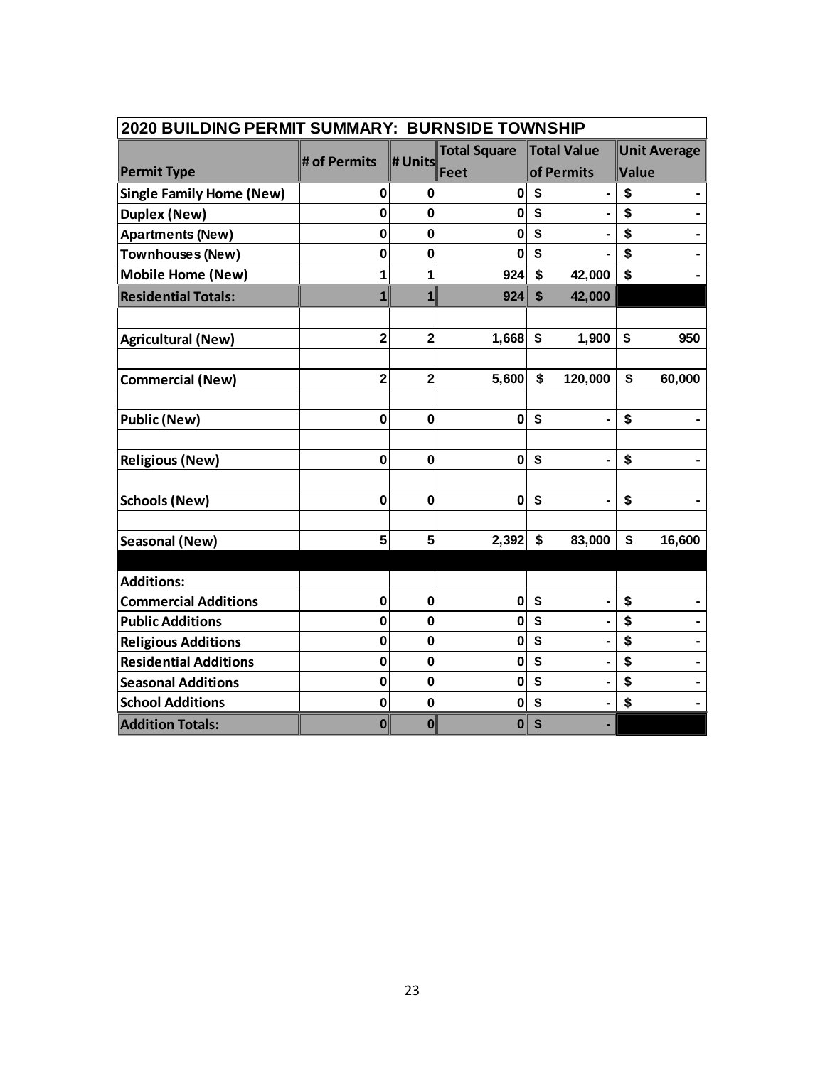|                                 | 2020 BUILDING PERMIT SUMMARY: BURNSIDE TOWNSHIP |                |                     |                                     |                     |  |  |  |  |  |
|---------------------------------|-------------------------------------------------|----------------|---------------------|-------------------------------------|---------------------|--|--|--|--|--|
|                                 | # of Permits                                    | # Units        | <b>Total Square</b> | Total Value                         | <b>Unit Average</b> |  |  |  |  |  |
| <b>Permit Type</b>              |                                                 |                | Feet                | of Permits                          | Value               |  |  |  |  |  |
| <b>Single Family Home (New)</b> | 0                                               | 0              | 0                   | \$<br>$\blacksquare$                | \$                  |  |  |  |  |  |
| <b>Duplex (New)</b>             | 0                                               | 0              | 0                   | \$                                  | \$                  |  |  |  |  |  |
| <b>Apartments (New)</b>         | $\mathbf 0$                                     | $\bf{0}$       | 0                   | \$                                  | \$                  |  |  |  |  |  |
| <b>Townhouses (New)</b>         | 0                                               | 0              | 0                   | \$                                  | \$                  |  |  |  |  |  |
| <b>Mobile Home (New)</b>        | 1                                               | 1              | 924                 | \$<br>42,000                        | \$                  |  |  |  |  |  |
| <b>Residential Totals:</b>      | $\mathbf{1}$                                    | $\mathbf{1}$   | 924                 | 42,000<br>$\boldsymbol{\mathsf{s}}$ |                     |  |  |  |  |  |
|                                 |                                                 |                |                     |                                     |                     |  |  |  |  |  |
| <b>Agricultural (New)</b>       | $\overline{\mathbf{c}}$                         | $\overline{2}$ | 1,668               | \$<br>1,900                         | \$<br>950           |  |  |  |  |  |
|                                 |                                                 |                |                     |                                     |                     |  |  |  |  |  |
| <b>Commercial (New)</b>         | $\overline{2}$                                  | $\overline{2}$ | 5,600               | \$<br>120,000                       | \$<br>60,000        |  |  |  |  |  |
|                                 |                                                 |                |                     |                                     |                     |  |  |  |  |  |
| <b>Public (New)</b>             | $\mathbf 0$                                     | $\bf{0}$       | $\mathbf 0$         | \$<br>$\blacksquare$                | \$                  |  |  |  |  |  |
|                                 |                                                 |                |                     |                                     |                     |  |  |  |  |  |
| <b>Religious (New)</b>          | $\mathbf 0$                                     | $\bf{0}$       | $\pmb{0}$           | \$<br>$\blacksquare$                | \$                  |  |  |  |  |  |
|                                 |                                                 |                |                     |                                     |                     |  |  |  |  |  |
| <b>Schools (New)</b>            | 0                                               | $\bf{0}$       | 0                   | \$                                  | \$                  |  |  |  |  |  |
|                                 |                                                 |                |                     |                                     |                     |  |  |  |  |  |
| <b>Seasonal (New)</b>           | 5                                               | 5              | 2,392               | \$<br>83,000                        | \$<br>16,600        |  |  |  |  |  |
|                                 |                                                 |                |                     |                                     |                     |  |  |  |  |  |
| <b>Additions:</b>               |                                                 |                |                     |                                     |                     |  |  |  |  |  |
| <b>Commercial Additions</b>     | $\mathbf 0$                                     | $\mathbf 0$    | $\mathbf{0}$        | \$<br>ä,                            | \$                  |  |  |  |  |  |
| <b>Public Additions</b>         | 0                                               | 0              | 0                   | \$                                  | \$                  |  |  |  |  |  |
| <b>Religious Additions</b>      | $\mathbf 0$                                     | $\bf{0}$       | 0                   | \$                                  | \$                  |  |  |  |  |  |
| <b>Residential Additions</b>    | $\mathbf 0$                                     | $\bf{0}$       | 0                   | \$                                  | \$                  |  |  |  |  |  |
| <b>Seasonal Additions</b>       | $\mathbf 0$                                     | $\mathbf 0$    | $\mathbf 0$         | \$                                  | \$                  |  |  |  |  |  |
| <b>School Additions</b>         | 0                                               | $\bf{0}$       | 0                   | \$<br>۰                             | \$                  |  |  |  |  |  |
| <b>Addition Totals:</b>         | 0                                               | 0              | 0                   | \$                                  |                     |  |  |  |  |  |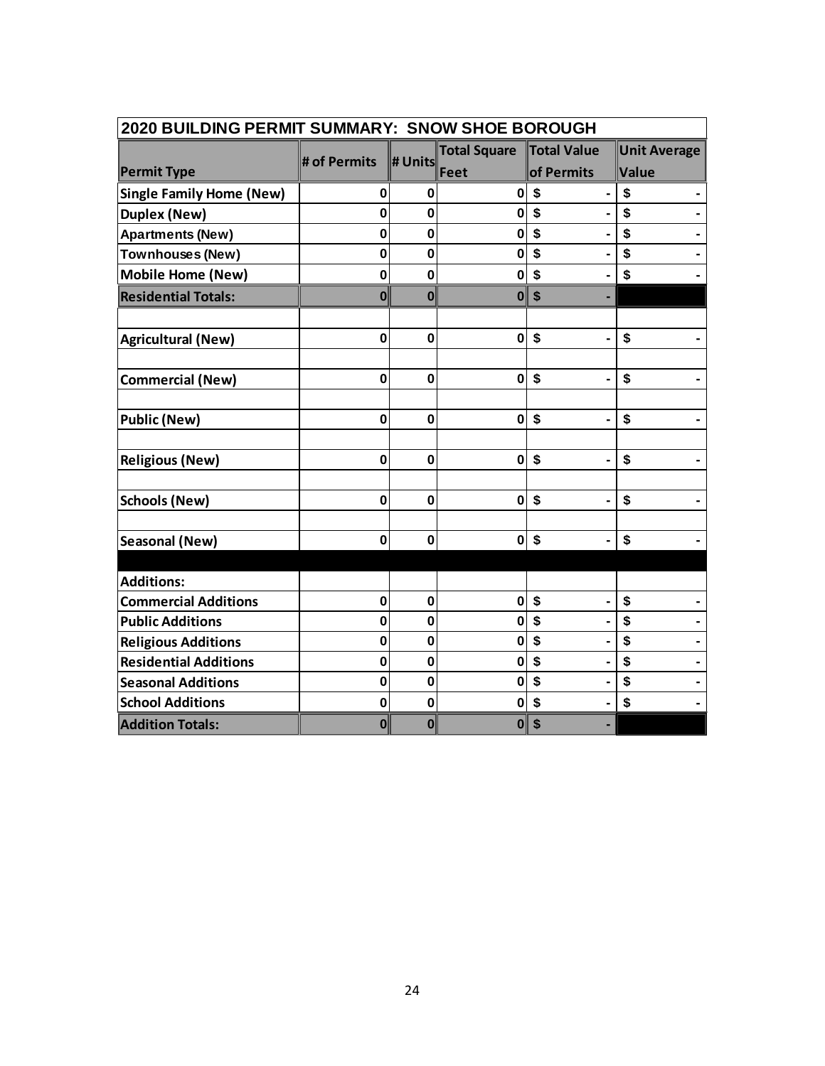|                                 | 2020 BUILDING PERMIT SUMMARY: SNOW SHOE BOROUGH |                  |                     |                           |                     |  |  |  |  |
|---------------------------------|-------------------------------------------------|------------------|---------------------|---------------------------|---------------------|--|--|--|--|
|                                 | # of Permits                                    | # Units          | <b>Total Square</b> | Total Value               | <b>Unit Average</b> |  |  |  |  |
| <b>Permit Type</b>              |                                                 |                  | Feet                | of Permits                | Value               |  |  |  |  |
| <b>Single Family Home (New)</b> | $\bf{0}$                                        | 0                | 0                   | \$                        | \$                  |  |  |  |  |
| <b>Duplex (New)</b>             | $\bf{0}$                                        | 0                | 0                   | \$                        | \$                  |  |  |  |  |
| <b>Apartments (New)</b>         | 0                                               | 0                | 0                   | \$                        | \$                  |  |  |  |  |
| <b>Townhouses (New)</b>         | $\bf{0}$                                        | $\bf{0}$         | 0                   | \$                        | \$                  |  |  |  |  |
| <b>Mobile Home (New)</b>        | $\mathbf 0$                                     | $\bf{0}$         | 0                   | \$                        | \$                  |  |  |  |  |
| <b>Residential Totals:</b>      | $\bf{0}$                                        | $\boldsymbol{0}$ | 0                   | \$                        |                     |  |  |  |  |
|                                 |                                                 |                  |                     |                           |                     |  |  |  |  |
| <b>Agricultural (New)</b>       | $\mathbf 0$                                     | $\bf{0}$         | $\mathbf 0$         | \$                        | \$                  |  |  |  |  |
|                                 |                                                 |                  |                     |                           |                     |  |  |  |  |
| <b>Commercial (New)</b>         | $\mathbf 0$                                     | $\mathbf 0$      | $\mathbf 0$         | \$                        | \$                  |  |  |  |  |
| <b>Public (New)</b>             | $\mathbf{0}$                                    | $\bf{0}$         | $\mathbf{0}$        | \$<br>Ξ.                  | \$                  |  |  |  |  |
|                                 |                                                 |                  |                     |                           |                     |  |  |  |  |
| <b>Religious (New)</b>          | $\mathbf 0$                                     | $\mathbf 0$      | $\mathbf 0$         | \$                        | \$                  |  |  |  |  |
|                                 |                                                 |                  |                     |                           |                     |  |  |  |  |
| <b>Schools (New)</b>            | $\mathbf 0$                                     | $\mathbf 0$      | 0                   | \$                        | \$                  |  |  |  |  |
| Seasonal (New)                  | 0                                               | 0                | 0                   | $\boldsymbol{\mathsf{s}}$ | \$                  |  |  |  |  |
|                                 |                                                 |                  |                     |                           |                     |  |  |  |  |
| <b>Additions:</b>               |                                                 |                  |                     |                           |                     |  |  |  |  |
| <b>Commercial Additions</b>     | $\bf{0}$                                        | $\mathbf 0$      | $\mathbf 0$         | \$                        | \$                  |  |  |  |  |
| <b>Public Additions</b>         | 0                                               | 0                | 0                   | \$                        | \$                  |  |  |  |  |
| <b>Religious Additions</b>      | $\bf{0}$                                        | $\bf{0}$         | $\mathbf 0$         | \$                        | \$                  |  |  |  |  |
| <b>Residential Additions</b>    | $\bf{0}$                                        | $\bf{0}$         | 0                   | \$                        | \$                  |  |  |  |  |
| <b>Seasonal Additions</b>       | $\bf{0}$                                        | $\bf{0}$         | 0                   | \$                        | \$                  |  |  |  |  |
| <b>School Additions</b>         | $\mathbf 0$                                     | $\bf{0}$         | 0                   | \$                        | \$                  |  |  |  |  |
| <b>Addition Totals:</b>         | 0                                               | 0                | 0                   | \$                        |                     |  |  |  |  |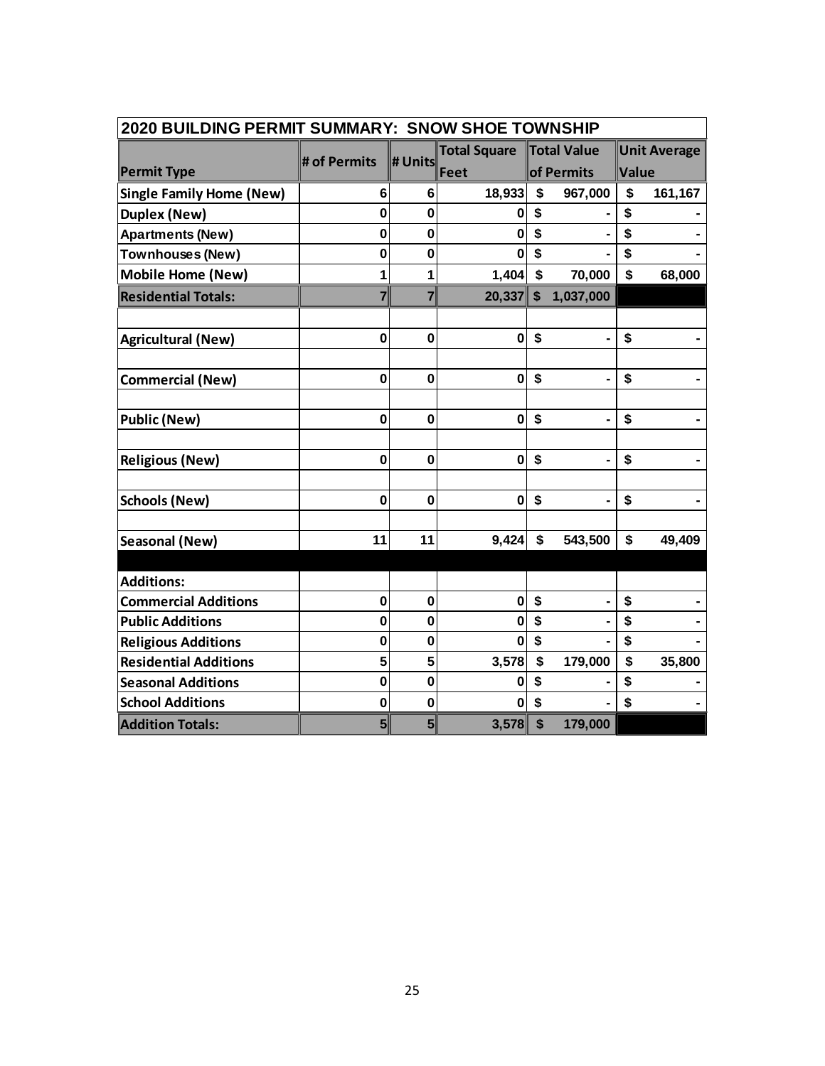| 2020 BUILDING PERMIT SUMMARY: SNOW SHOE TOWNSHIP |                |                |                     |                           |                |       |                     |  |  |  |  |
|--------------------------------------------------|----------------|----------------|---------------------|---------------------------|----------------|-------|---------------------|--|--|--|--|
|                                                  | # of Permits   | # Units        | <b>Total Square</b> |                           | Total Value    |       | <b>Unit Average</b> |  |  |  |  |
| <b>Permit Type</b>                               |                |                | Feet                |                           | of Permits     | Value |                     |  |  |  |  |
| <b>Single Family Home (New)</b>                  | 6              | 6              | 18,933              | \$                        | 967,000        | \$    | 161,167             |  |  |  |  |
| <b>Duplex (New)</b>                              | $\bf{0}$       | 0              | n                   | \$                        |                | \$    |                     |  |  |  |  |
| <b>Apartments (New)</b>                          | 0              | 0              | 0                   | \$                        |                | \$    |                     |  |  |  |  |
| Townhouses (New)                                 | $\bf{0}$       | $\bf{0}$       | O                   | \$                        |                | \$    |                     |  |  |  |  |
| <b>Mobile Home (New)</b>                         | 1              | 1              | 1,404               | $\boldsymbol{\mathsf{s}}$ | 70,000         | \$    | 68,000              |  |  |  |  |
| <b>Residential Totals:</b>                       | $\overline{7}$ | $\overline{7}$ | $20,337$ \$         |                           | 1,037,000      |       |                     |  |  |  |  |
|                                                  |                |                |                     |                           |                |       |                     |  |  |  |  |
| <b>Agricultural (New)</b>                        | $\mathbf 0$    | $\bf{0}$       | $\mathbf 0$         | \$                        |                | \$    |                     |  |  |  |  |
|                                                  |                |                |                     |                           |                |       |                     |  |  |  |  |
| <b>Commercial (New)</b>                          | $\mathbf 0$    | $\mathbf 0$    | $\mathbf 0$         | \$                        |                | \$    |                     |  |  |  |  |
|                                                  |                |                |                     |                           |                |       |                     |  |  |  |  |
| <b>Public (New)</b>                              | $\mathbf 0$    | $\mathbf 0$    | $\mathbf 0$         | \$                        | $\blacksquare$ | \$    |                     |  |  |  |  |
|                                                  |                |                |                     |                           |                |       |                     |  |  |  |  |
| <b>Religious (New)</b>                           | $\mathbf 0$    | $\mathbf 0$    | $\pmb{0}$           | \$                        | $\blacksquare$ | \$    |                     |  |  |  |  |
|                                                  |                | $\mathbf 0$    |                     |                           |                |       |                     |  |  |  |  |
| <b>Schools (New)</b>                             | 0              |                | 0                   | \$                        |                | \$    |                     |  |  |  |  |
| Seasonal (New)                                   | 11             | 11             | 9,424               | \$                        | 543,500        | \$    | 49,409              |  |  |  |  |
|                                                  |                |                |                     |                           |                |       |                     |  |  |  |  |
| <b>Additions:</b>                                |                |                |                     |                           |                |       |                     |  |  |  |  |
| <b>Commercial Additions</b>                      | $\mathbf 0$    | $\mathbf 0$    | $\bf{0}$            | \$                        |                | \$    |                     |  |  |  |  |
| <b>Public Additions</b>                          | 0              | 0              | 0                   | \$                        |                | \$    |                     |  |  |  |  |
| <b>Religious Additions</b>                       | $\mathbf 0$    | $\bf{0}$       | $\bf{0}$            | \$                        |                | \$    |                     |  |  |  |  |
| <b>Residential Additions</b>                     | 5              | 5              | 3,578               | \$                        | 179,000        | \$    | 35,800              |  |  |  |  |
| <b>Seasonal Additions</b>                        | $\bf{0}$       | $\bf{0}$       | 0                   | \$                        |                | \$    |                     |  |  |  |  |
| <b>School Additions</b>                          | $\bf{0}$       | $\bf{0}$       | 0                   | \$                        |                | \$    |                     |  |  |  |  |
| <b>Addition Totals:</b>                          | 5 <sup>2</sup> | 5 <sup>1</sup> | 3,578               | $\boldsymbol{\mathsf{s}}$ | 179,000        |       |                     |  |  |  |  |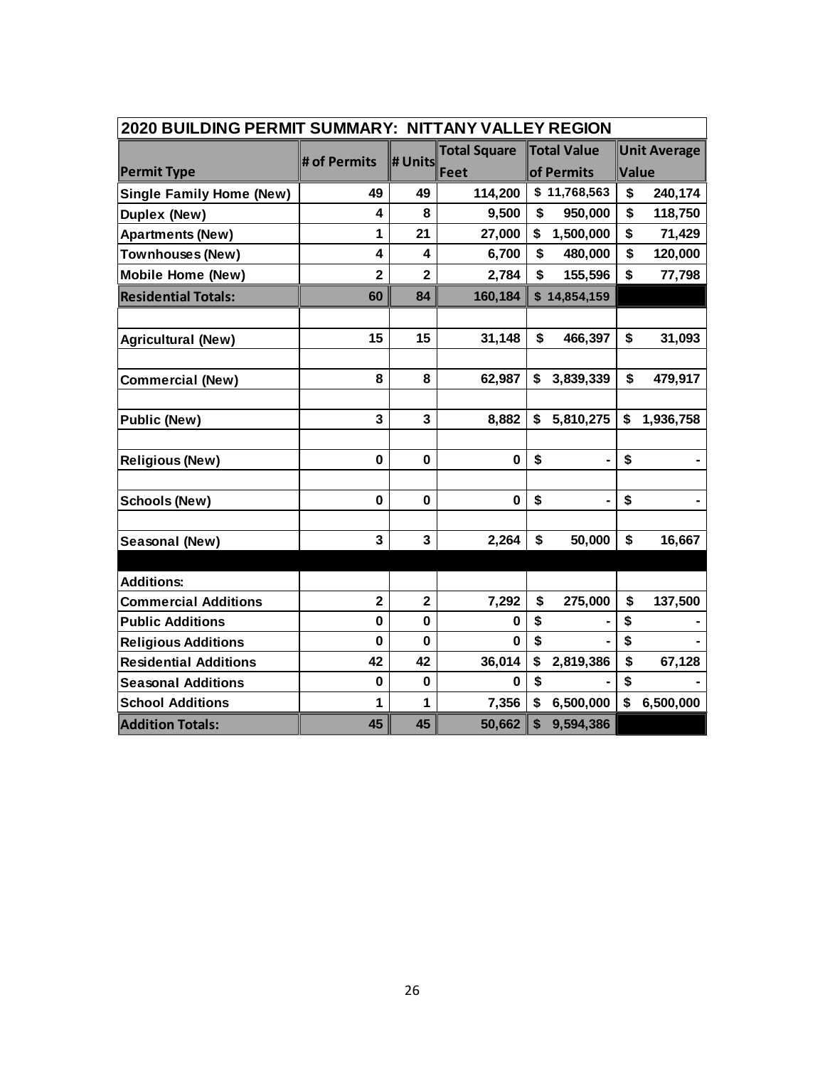| 2020 BUILDING PERMIT SUMMARY: NITTANY VALLEY REGION |                         |                         |                     |                 |                             |  |  |  |  |  |  |
|-----------------------------------------------------|-------------------------|-------------------------|---------------------|-----------------|-----------------------------|--|--|--|--|--|--|
|                                                     | # of Permits            | # Units                 | <b>Total Square</b> | Total Value     | <b>Unit Average</b>         |  |  |  |  |  |  |
| <b>Permit Type</b>                                  |                         |                         | Feet                | of Permits      | Value                       |  |  |  |  |  |  |
| <b>Single Family Home (New)</b>                     | 49                      | 49                      | 114,200             | \$11,768,563    | \$<br>240,174               |  |  |  |  |  |  |
| <b>Duplex (New)</b>                                 | 4                       | 8                       | 9,500               | \$<br>950,000   | \$<br>118,750               |  |  |  |  |  |  |
| <b>Apartments (New)</b>                             | 1                       | 21                      | 27,000              | \$<br>1,500,000 | \$<br>71,429                |  |  |  |  |  |  |
| <b>Townhouses (New)</b>                             | 4                       | 4                       | 6,700               | \$<br>480,000   | \$<br>120,000               |  |  |  |  |  |  |
| <b>Mobile Home (New)</b>                            | $\overline{2}$          | $\overline{2}$          | 2,784               | \$<br>155,596   | \$<br>77,798                |  |  |  |  |  |  |
| <b>Residential Totals:</b>                          | 60                      | 84                      | 160,184             | \$14,854,159    |                             |  |  |  |  |  |  |
|                                                     |                         |                         |                     |                 |                             |  |  |  |  |  |  |
| <b>Agricultural (New)</b>                           | 15                      | 15                      | 31,148              | \$<br>466,397   | $\boldsymbol{\$}$<br>31,093 |  |  |  |  |  |  |
|                                                     |                         |                         |                     |                 |                             |  |  |  |  |  |  |
| <b>Commercial (New)</b>                             | 8                       | 8                       | 62,987              | 3,839,339<br>\$ | \$<br>479,917               |  |  |  |  |  |  |
|                                                     |                         |                         |                     |                 |                             |  |  |  |  |  |  |
| <b>Public (New)</b>                                 | 3                       | 3                       | 8,882               | 5,810,275<br>\$ | \$<br>1,936,758             |  |  |  |  |  |  |
|                                                     |                         |                         |                     |                 |                             |  |  |  |  |  |  |
| <b>Religious (New)</b>                              | $\mathbf 0$             | $\mathbf 0$             | $\pmb{0}$           | \$              | \$                          |  |  |  |  |  |  |
|                                                     |                         |                         |                     |                 |                             |  |  |  |  |  |  |
| <b>Schools (New)</b>                                | 0                       | 0                       | $\bf{0}$            | \$              | \$                          |  |  |  |  |  |  |
| Seasonal (New)                                      | 3                       | 3                       | 2,264               | \$<br>50,000    | \$<br>16,667                |  |  |  |  |  |  |
|                                                     |                         |                         |                     |                 |                             |  |  |  |  |  |  |
| <b>Additions:</b>                                   |                         |                         |                     |                 |                             |  |  |  |  |  |  |
| <b>Commercial Additions</b>                         | $\overline{\mathbf{2}}$ | $\overline{\mathbf{2}}$ | 7,292               | \$<br>275,000   | \$<br>137,500               |  |  |  |  |  |  |
| <b>Public Additions</b>                             | $\mathbf 0$             | $\mathbf{0}$            | 0                   | \$              | \$                          |  |  |  |  |  |  |
| <b>Religious Additions</b>                          | $\mathbf 0$             | 0                       | $\bf{0}$            | \$              | \$                          |  |  |  |  |  |  |
| <b>Residential Additions</b>                        | 42                      | 42                      | 36,014              | \$<br>2,819,386 | \$<br>67,128                |  |  |  |  |  |  |
| <b>Seasonal Additions</b>                           | 0                       | 0                       | 0                   | \$              | \$                          |  |  |  |  |  |  |
| <b>School Additions</b>                             | 1                       | 1                       | 7,356               | 6,500,000<br>\$ | \$<br>6,500,000             |  |  |  |  |  |  |
| <b>Addition Totals:</b>                             | 45                      | 45                      | 50,662              | \$<br>9,594,386 |                             |  |  |  |  |  |  |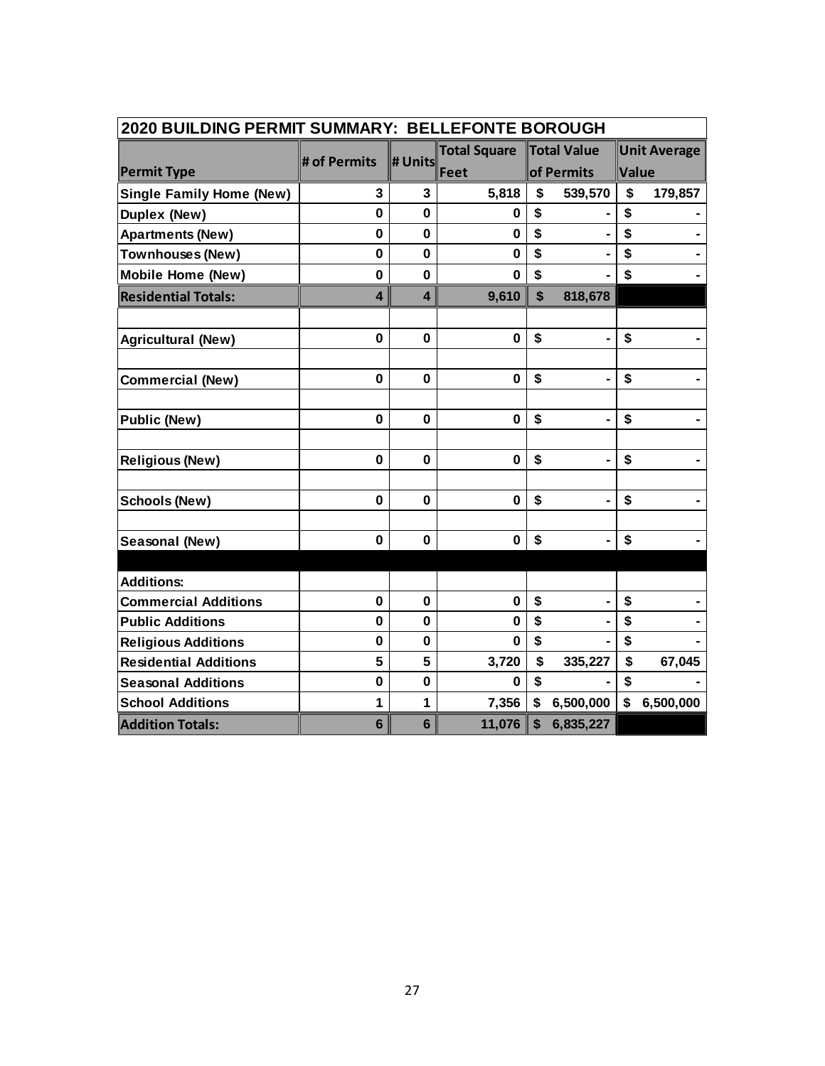| 2020 BUILDING PERMIT SUMMARY: BELLEFONTE BOROUGH |              |                         |                     |    |                |       |                     |  |  |  |  |
|--------------------------------------------------|--------------|-------------------------|---------------------|----|----------------|-------|---------------------|--|--|--|--|
|                                                  | # of Permits |                         | <b>Total Square</b> |    | Total Value    |       | <b>Unit Average</b> |  |  |  |  |
| <b>Permit Type</b>                               |              | # Units                 | Feet                |    | of Permits     | Value |                     |  |  |  |  |
| <b>Single Family Home (New)</b>                  | 3            | 3                       | 5,818               | \$ | 539,570        | \$    | 179,857             |  |  |  |  |
| <b>Duplex (New)</b>                              | $\mathbf 0$  | 0                       | 0                   | \$ |                | \$    |                     |  |  |  |  |
| <b>Apartments (New)</b>                          | $\mathbf 0$  | 0                       | $\bf{0}$            | \$ |                | \$    |                     |  |  |  |  |
| Townhouses (New)                                 | $\mathbf 0$  | $\mathbf 0$             | $\mathbf 0$         | \$ |                | \$    |                     |  |  |  |  |
| <b>Mobile Home (New)</b>                         | $\mathbf{0}$ | $\mathbf 0$             | $\bf{0}$            | \$ |                | \$    |                     |  |  |  |  |
| <b>Residential Totals:</b>                       | 4            | $\overline{\mathbf{4}}$ | 9,610               | \$ | 818,678        |       |                     |  |  |  |  |
|                                                  |              |                         |                     |    |                |       |                     |  |  |  |  |
| <b>Agricultural (New)</b>                        | 0            | $\mathbf 0$             | $\bf{0}$            | \$ |                | \$    |                     |  |  |  |  |
|                                                  |              |                         |                     |    |                |       |                     |  |  |  |  |
| <b>Commercial (New)</b>                          | 0            | $\mathbf 0$             | $\mathbf 0$         | \$ |                | \$    |                     |  |  |  |  |
|                                                  |              |                         |                     |    |                |       |                     |  |  |  |  |
| <b>Public (New)</b>                              | 0            | 0                       | $\bf{0}$            | \$ |                | \$    |                     |  |  |  |  |
|                                                  |              |                         |                     |    |                |       |                     |  |  |  |  |
| <b>Religious (New)</b>                           | $\bf{0}$     | $\mathbf 0$             | $\bf{0}$            | \$ | $\blacksquare$ | \$    |                     |  |  |  |  |
|                                                  |              |                         |                     |    |                |       |                     |  |  |  |  |
| <b>Schools (New)</b>                             | $\bf{0}$     | $\mathbf 0$             | $\mathbf 0$         | \$ |                | \$    |                     |  |  |  |  |
|                                                  |              |                         |                     |    |                |       |                     |  |  |  |  |
| Seasonal (New)                                   | $\bf{0}$     | $\mathbf 0$             | $\bf{0}$            | \$ |                | \$    |                     |  |  |  |  |
|                                                  |              |                         |                     |    |                |       |                     |  |  |  |  |
| <b>Additions:</b>                                | $\mathbf 0$  | $\mathbf 0$             | $\bf{0}$            | \$ |                | \$    |                     |  |  |  |  |
| <b>Commercial Additions</b>                      |              |                         |                     | \$ |                | \$    |                     |  |  |  |  |
| <b>Public Additions</b>                          | $\mathbf 0$  | 0                       | $\bf{0}$            |    |                |       |                     |  |  |  |  |
| <b>Religious Additions</b>                       | 0            | 0                       | $\bf{0}$            | \$ |                | \$    |                     |  |  |  |  |
| <b>Residential Additions</b>                     | 5            | 5                       | 3,720               | \$ | 335,227        | \$    | 67,045              |  |  |  |  |
| <b>Seasonal Additions</b>                        | $\bf{0}$     | $\mathbf 0$             | $\bf{0}$            | \$ |                | \$    |                     |  |  |  |  |
| <b>School Additions</b>                          | 1            | 1                       | 7,356               | \$ | 6,500,000      | \$    | 6,500,000           |  |  |  |  |
| <b>Addition Totals:</b>                          | 6            | 6                       | 11,076              | \$ | 6,835,227      |       |                     |  |  |  |  |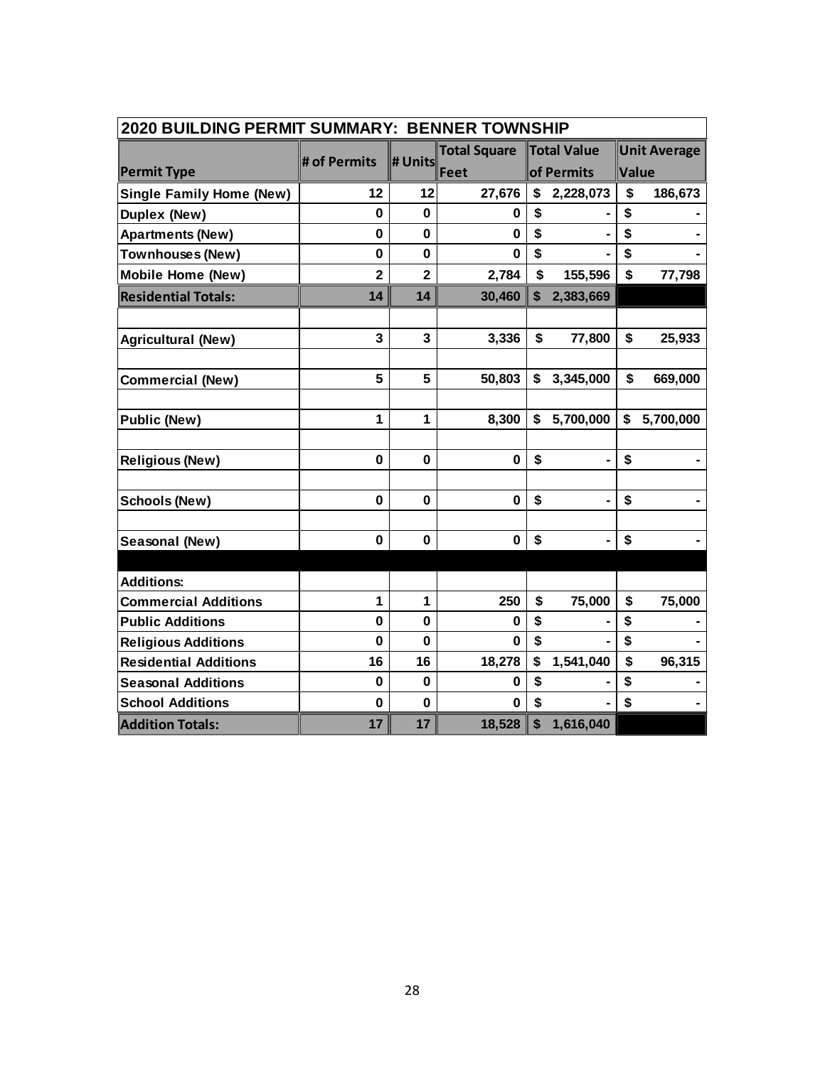| 2020 BUILDING PERMIT SUMMARY: BENNER TOWNSHIP |                |                |                     |    |                    |    |                     |  |  |  |  |
|-----------------------------------------------|----------------|----------------|---------------------|----|--------------------|----|---------------------|--|--|--|--|
|                                               | # of Permits   | # Units        | <b>Total Square</b> |    | <b>Total Value</b> |    | <b>Unit Average</b> |  |  |  |  |
| <b>Permit Type</b>                            |                |                | Feet                |    | of Permits         |    | Value               |  |  |  |  |
| <b>Single Family Home (New)</b>               | 12             | 12             | 27,676              | \$ | 2,228,073          | \$ | 186,673             |  |  |  |  |
| <b>Duplex (New)</b>                           | $\bf{0}$       | $\mathbf 0$    | 0                   | \$ |                    | \$ |                     |  |  |  |  |
| <b>Apartments (New)</b>                       | 0              | $\mathbf 0$    | $\mathbf 0$         | \$ |                    | \$ |                     |  |  |  |  |
| <b>Townhouses (New)</b>                       | 0              | $\mathbf 0$    | $\bf{0}$            | \$ |                    | \$ |                     |  |  |  |  |
| <b>Mobile Home (New)</b>                      | $\overline{2}$ | $\overline{2}$ | 2,784               | \$ | 155,596            | \$ | 77,798              |  |  |  |  |
| <b>Residential Totals:</b>                    | 14             | 14             | 30,460              | \$ | 2,383,669          |    |                     |  |  |  |  |
|                                               |                |                |                     |    |                    |    |                     |  |  |  |  |
| <b>Agricultural (New)</b>                     | 3              | 3              | 3,336               | \$ | 77,800             | \$ | 25,933              |  |  |  |  |
|                                               |                |                |                     |    |                    |    |                     |  |  |  |  |
| <b>Commercial (New)</b>                       | 5              | 5              | 50,803              | \$ | 3,345,000          | \$ | 669,000             |  |  |  |  |
|                                               |                |                |                     |    |                    |    |                     |  |  |  |  |
| <b>Public (New)</b>                           | 1              | 1              | 8,300               | \$ | 5,700,000          | \$ | 5,700,000           |  |  |  |  |
|                                               |                |                |                     |    |                    |    |                     |  |  |  |  |
| <b>Religious (New)</b>                        | 0              | $\mathbf 0$    | $\mathbf 0$         | \$ | $\blacksquare$     | \$ |                     |  |  |  |  |
|                                               |                |                |                     |    |                    |    |                     |  |  |  |  |
| <b>Schools (New)</b>                          | 0              | $\mathbf 0$    | $\mathbf 0$         | \$ |                    | \$ |                     |  |  |  |  |
|                                               |                |                |                     |    |                    |    |                     |  |  |  |  |
| Seasonal (New)                                | 0              | 0              | $\bf{0}$            | \$ | $\blacksquare$     | \$ |                     |  |  |  |  |
| <b>Additions:</b>                             |                |                |                     |    |                    |    |                     |  |  |  |  |
| <b>Commercial Additions</b>                   | 1              | 1              | 250                 | \$ | 75,000             | \$ | 75,000              |  |  |  |  |
| <b>Public Additions</b>                       | $\mathbf 0$    | 0              | 0                   | \$ |                    | \$ |                     |  |  |  |  |
| <b>Religious Additions</b>                    | $\mathbf 0$    | $\mathbf 0$    | $\bf{0}$            | \$ |                    | \$ |                     |  |  |  |  |
| <b>Residential Additions</b>                  | 16             | 16             | 18,278              |    | 1,541,040          | \$ | 96,315              |  |  |  |  |
| <b>Seasonal Additions</b>                     | 0              | 0              | 0                   | \$ |                    | \$ |                     |  |  |  |  |
| <b>School Additions</b>                       | $\mathbf 0$    | $\mathbf 0$    | 0                   | \$ |                    | \$ |                     |  |  |  |  |
| <b>Addition Totals:</b>                       | 17             | 17             | 18,528              | \$ | 1,616,040          |    |                     |  |  |  |  |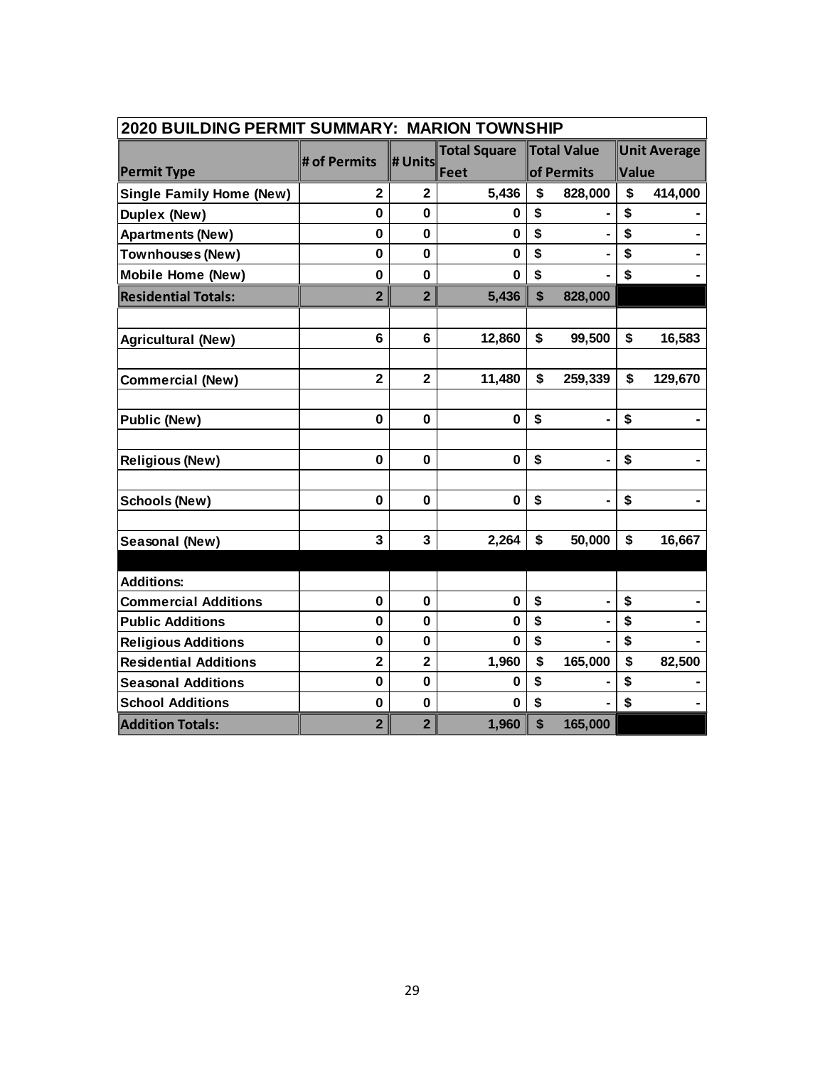| 2020 BUILDING PERMIT SUMMARY: MARION TOWNSHIP |                         |                |                     |            |                    |       |                     |  |  |  |  |
|-----------------------------------------------|-------------------------|----------------|---------------------|------------|--------------------|-------|---------------------|--|--|--|--|
|                                               | # of Permits            | # Units        | <b>Total Square</b> |            | <b>Total Value</b> |       | <b>Unit Average</b> |  |  |  |  |
| <b>Permit Type</b>                            |                         |                | Feet                | of Permits |                    | Value |                     |  |  |  |  |
| <b>Single Family Home (New)</b>               | $\overline{2}$          | $\overline{2}$ | 5,436               | \$         | 828,000            | \$    | 414,000             |  |  |  |  |
| <b>Duplex (New)</b>                           | 0                       | 0              | 0                   | \$         |                    | \$    |                     |  |  |  |  |
| <b>Apartments (New)</b>                       | $\mathbf 0$             | $\mathbf 0$    | $\bf{0}$            | \$         |                    | \$    |                     |  |  |  |  |
| Townhouses (New)                              | $\mathbf 0$             | $\mathbf 0$    | $\bf{0}$            | \$         |                    | \$    |                     |  |  |  |  |
| <b>Mobile Home (New)</b>                      | $\mathbf 0$             | 0              | $\bf{0}$            | \$         |                    | \$    |                     |  |  |  |  |
| <b>Residential Totals:</b>                    | $\overline{2}$          | $\overline{2}$ | 5,436               | \$         | 828,000            |       |                     |  |  |  |  |
|                                               |                         |                |                     |            |                    |       |                     |  |  |  |  |
| <b>Agricultural (New)</b>                     | 6                       | 6              | 12,860              | \$         | 99,500             | \$    | 16,583              |  |  |  |  |
|                                               |                         |                |                     |            |                    |       |                     |  |  |  |  |
| <b>Commercial (New)</b>                       | $\overline{\mathbf{2}}$ | $\mathbf{2}$   | 11,480              | \$         | 259,339            | \$    | 129,670             |  |  |  |  |
|                                               |                         |                |                     |            |                    |       |                     |  |  |  |  |
| <b>Public (New)</b>                           | $\bf{0}$                | 0              | $\mathbf 0$         | \$         |                    | \$    |                     |  |  |  |  |
|                                               |                         |                |                     |            |                    |       |                     |  |  |  |  |
| <b>Religious (New)</b>                        | 0                       | $\mathbf 0$    | $\mathbf 0$         | \$         | $\blacksquare$     | \$    |                     |  |  |  |  |
|                                               |                         |                |                     |            |                    |       |                     |  |  |  |  |
| <b>Schools (New)</b>                          | $\bf{0}$                | 0              | $\mathbf 0$         | \$         |                    | \$    |                     |  |  |  |  |
|                                               |                         |                |                     |            |                    |       |                     |  |  |  |  |
| Seasonal (New)                                | 3                       | 3              | 2,264               | \$         | 50,000             | \$    | 16,667              |  |  |  |  |
|                                               |                         |                |                     |            |                    |       |                     |  |  |  |  |
| <b>Additions:</b>                             |                         |                |                     |            |                    |       |                     |  |  |  |  |
| <b>Commercial Additions</b>                   | $\bf{0}$                | $\mathbf 0$    | $\bf{0}$            | \$         | $\blacksquare$     | \$    |                     |  |  |  |  |
| <b>Public Additions</b>                       | $\mathbf 0$             | $\mathbf 0$    | $\bf{0}$            | \$         |                    | \$    |                     |  |  |  |  |
| <b>Religious Additions</b>                    | $\mathbf 0$             | 0              | 0                   | \$         |                    | \$    |                     |  |  |  |  |
| <b>Residential Additions</b>                  | $\overline{\mathbf{2}}$ | $\overline{2}$ | 1,960               | \$         | 165,000            | \$    | 82,500              |  |  |  |  |
| <b>Seasonal Additions</b>                     | 0                       | $\mathbf 0$    | $\bf{0}$            | \$         |                    | \$    |                     |  |  |  |  |
| <b>School Additions</b>                       | 0                       | $\mathbf 0$    | $\bf{0}$            | \$         |                    | \$    |                     |  |  |  |  |
| <b>Addition Totals:</b>                       | $\overline{2}$          | $\overline{2}$ | 1,960               | \$         | 165,000            |       |                     |  |  |  |  |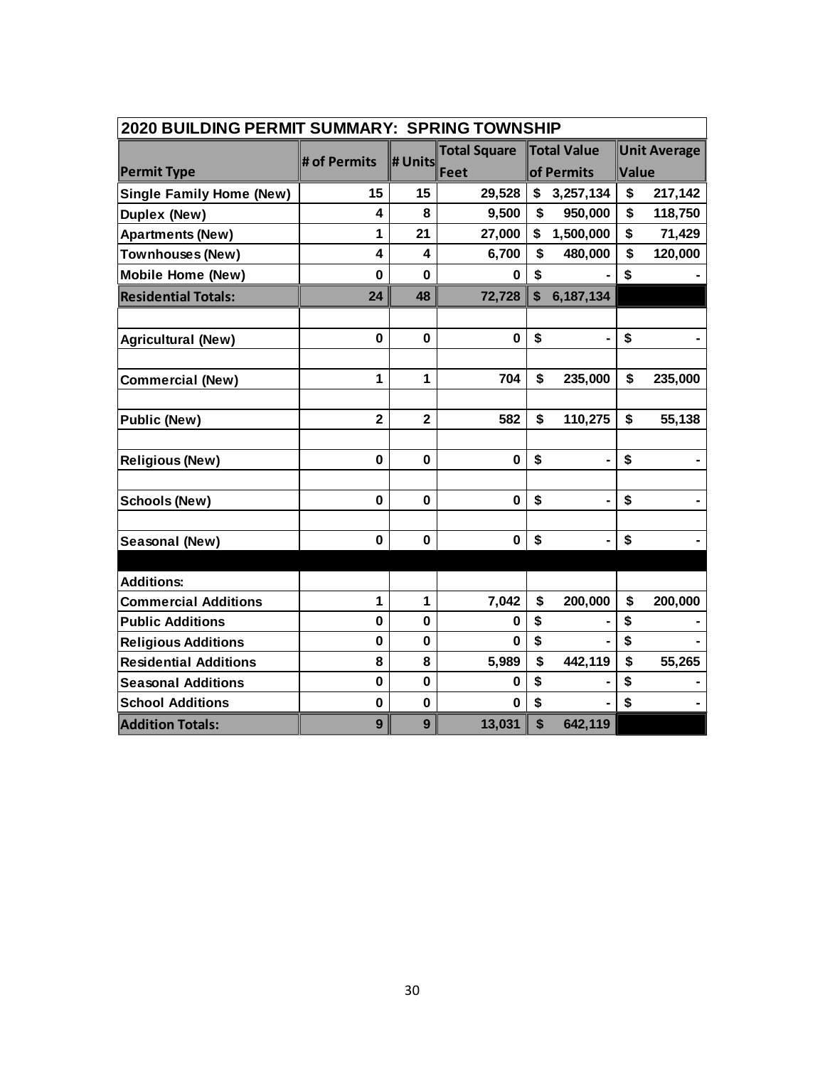| <b>2020 BUILDING PERMIT SUMMARY: SPRING TOWNSHIP</b> |                |                |                     |                           |                    |       |                     |  |  |  |
|------------------------------------------------------|----------------|----------------|---------------------|---------------------------|--------------------|-------|---------------------|--|--|--|
|                                                      |                | # Units        | <b>Total Square</b> |                           | <b>Total Value</b> |       | <b>Unit Average</b> |  |  |  |
| <b>Permit Type</b>                                   | # of Permits   |                | Feet                | of Permits                |                    | Value |                     |  |  |  |
| <b>Single Family Home (New)</b>                      | 15             | 15             | 29,528              | \$                        | 3,257,134          | \$    | 217,142             |  |  |  |
| <b>Duplex (New)</b>                                  | 4              | 8              | 9,500               | \$                        | 950,000            | \$    | 118,750             |  |  |  |
| <b>Apartments (New)</b>                              | 1              | 21             | 27,000              | \$                        | 1,500,000          | \$    | 71,429              |  |  |  |
| <b>Townhouses (New)</b>                              | 4              | 4              | 6,700               | \$                        | 480,000            | \$    | 120,000             |  |  |  |
| <b>Mobile Home (New)</b>                             | $\mathbf 0$    | $\mathbf{0}$   | 0                   | \$                        |                    | \$    |                     |  |  |  |
| <b>Residential Totals:</b>                           | 24             | 48             | 72,728              | $\boldsymbol{\mathsf{s}}$ | 6,187,134          |       |                     |  |  |  |
|                                                      |                |                |                     |                           |                    |       |                     |  |  |  |
| <b>Agricultural (New)</b>                            | $\mathbf 0$    | $\bf{0}$       | $\bf{0}$            | \$                        |                    | \$    |                     |  |  |  |
|                                                      |                |                |                     |                           |                    |       |                     |  |  |  |
| <b>Commercial (New)</b>                              | 1              | 1              | 704                 | \$                        | 235,000            | \$    | 235,000             |  |  |  |
|                                                      |                |                |                     |                           |                    |       |                     |  |  |  |
| <b>Public (New)</b>                                  | $\overline{2}$ | $\overline{2}$ | 582                 | \$                        | 110,275            | \$    | 55,138              |  |  |  |
|                                                      |                |                |                     |                           |                    |       |                     |  |  |  |
| <b>Religious (New)</b>                               | $\mathbf{0}$   | $\mathbf 0$    | $\mathbf 0$         | \$                        | $\blacksquare$     | \$    |                     |  |  |  |
| <b>Schools (New)</b>                                 | 0              | $\mathbf 0$    | $\mathbf 0$         | \$                        |                    | \$    |                     |  |  |  |
|                                                      |                |                |                     |                           |                    |       |                     |  |  |  |
| Seasonal (New)                                       | 0              | 0              | $\mathbf 0$         | \$                        | $\blacksquare$     | \$    |                     |  |  |  |
|                                                      |                |                |                     |                           |                    |       |                     |  |  |  |
| <b>Additions:</b>                                    |                |                |                     |                           |                    |       |                     |  |  |  |
| <b>Commercial Additions</b>                          | 1              | 1              | 7,042               | \$                        | 200,000            | \$    | 200,000             |  |  |  |
| <b>Public Additions</b>                              | $\mathbf 0$    | 0              | 0                   | \$                        |                    | \$    |                     |  |  |  |
| <b>Religious Additions</b>                           | $\mathbf 0$    | $\mathbf{0}$   | $\mathbf 0$         | \$                        |                    | \$    |                     |  |  |  |
| <b>Residential Additions</b>                         | 8              | 8              | 5,989               | \$                        | 442,119            | \$    | 55,265              |  |  |  |
| <b>Seasonal Additions</b>                            | 0              | 0              | 0                   | \$                        |                    | \$    |                     |  |  |  |
| <b>School Additions</b>                              | $\mathbf 0$    | 0              | $\mathbf 0$         | \$                        |                    | \$    |                     |  |  |  |
| <b>Addition Totals:</b>                              | 9              | 9              | 13,031              | $\boldsymbol{\mathsf{s}}$ | 642,119            |       |                     |  |  |  |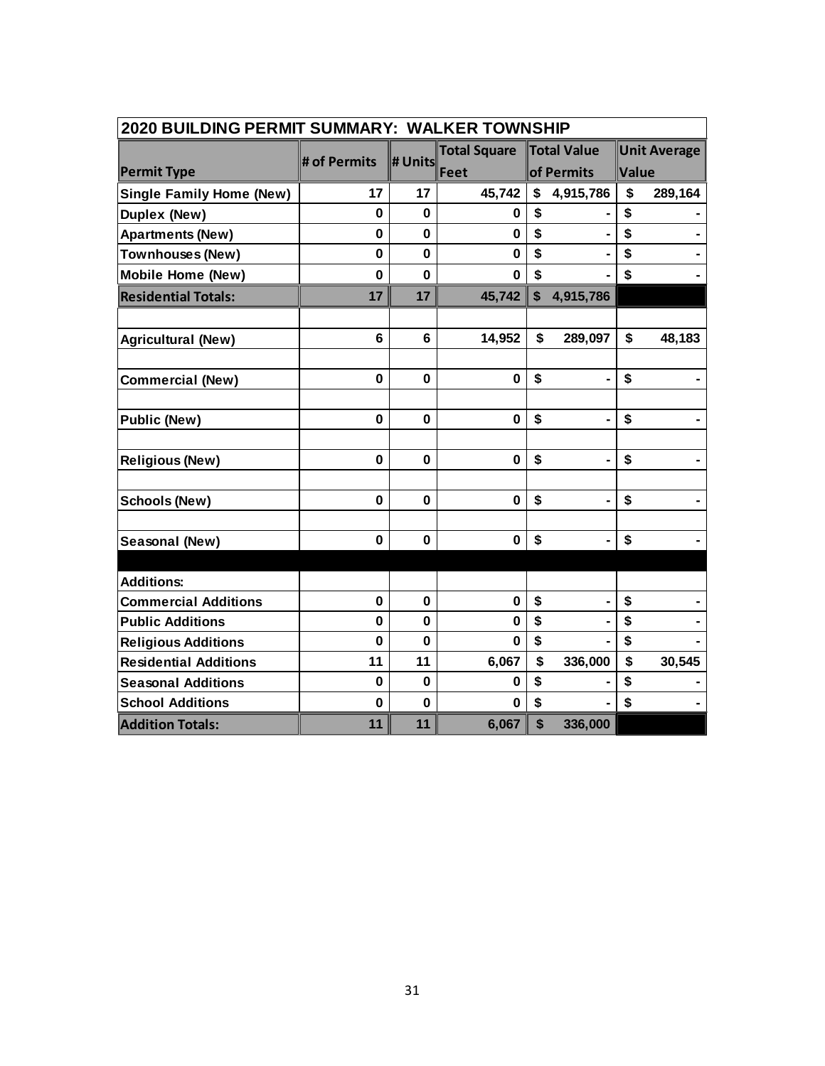| 2020 BUILDING PERMIT SUMMARY: WALKER TOWNSHIP |              |              |                     |                           |                |              |                     |  |  |  |  |
|-----------------------------------------------|--------------|--------------|---------------------|---------------------------|----------------|--------------|---------------------|--|--|--|--|
|                                               | # of Permits | # Units      | <b>Total Square</b> | Total Value               |                |              | <b>Unit Average</b> |  |  |  |  |
| <b>Permit Type</b>                            |              |              | Feet                |                           | of Permits     | Value        |                     |  |  |  |  |
| <b>Single Family Home (New)</b>               | 17           | 17           | 45,742              | \$                        | 4,915,786      | \$           | 289,164             |  |  |  |  |
| Duplex (New)                                  | $\mathbf 0$  | $\mathbf 0$  | 0                   | \$                        |                | \$           |                     |  |  |  |  |
| <b>Apartments (New)</b>                       | 0            | $\mathbf{0}$ | $\mathbf 0$         | \$                        |                | \$           |                     |  |  |  |  |
| <b>Townhouses (New)</b>                       | 0            | 0            | 0                   | \$                        |                | \$           |                     |  |  |  |  |
| <b>Mobile Home (New)</b>                      | $\mathbf{0}$ | $\mathbf{0}$ | $\bf{0}$            | \$                        |                | $\mathbf S$  |                     |  |  |  |  |
| <b>Residential Totals:</b>                    | 17           | 17           | 45,742              | $\boldsymbol{\mathsf{s}}$ | 4,915,786      |              |                     |  |  |  |  |
|                                               |              |              |                     |                           |                |              |                     |  |  |  |  |
| <b>Agricultural (New)</b>                     | 6            | 6            | 14,952              | \$                        | 289,097        | $\mathbf{s}$ | 48,183              |  |  |  |  |
|                                               |              |              |                     |                           |                |              |                     |  |  |  |  |
| <b>Commercial (New)</b>                       | $\mathbf 0$  | $\mathbf 0$  | $\mathbf 0$         | \$                        |                | \$           |                     |  |  |  |  |
|                                               |              |              |                     |                           |                |              |                     |  |  |  |  |
| <b>Public (New)</b>                           | 0            | 0            | $\mathbf 0$         | \$                        |                | \$           |                     |  |  |  |  |
|                                               |              |              |                     |                           |                |              |                     |  |  |  |  |
| <b>Religious (New)</b>                        | 0            | 0            | $\mathbf 0$         | \$                        | $\blacksquare$ | \$           |                     |  |  |  |  |
|                                               |              |              |                     |                           |                |              |                     |  |  |  |  |
| <b>Schools (New)</b>                          | 0            | 0            | $\bf{0}$            | \$                        |                | \$           |                     |  |  |  |  |
|                                               |              |              |                     |                           |                |              |                     |  |  |  |  |
| Seasonal (New)                                | $\mathbf 0$  | $\mathbf 0$  | $\bf{0}$            | \$                        | $\blacksquare$ | \$           |                     |  |  |  |  |
|                                               |              |              |                     |                           |                |              |                     |  |  |  |  |
| <b>Additions:</b>                             |              |              |                     |                           |                |              |                     |  |  |  |  |
| <b>Commercial Additions</b>                   | $\mathbf 0$  | $\mathbf 0$  | $\mathbf 0$         | \$                        |                | \$           |                     |  |  |  |  |
| <b>Public Additions</b>                       | $\mathbf 0$  | 0            | $\bf{0}$            | \$                        |                | \$           |                     |  |  |  |  |
| <b>Religious Additions</b>                    | $\mathbf 0$  | $\mathbf 0$  | $\mathbf 0$         | \$                        |                | \$           |                     |  |  |  |  |
| <b>Residential Additions</b>                  | 11           | 11           | 6,067               | \$                        | 336,000        | \$           | 30,545              |  |  |  |  |
| <b>Seasonal Additions</b>                     | $\bf{0}$     | $\mathbf 0$  | 0                   | \$                        |                | \$           |                     |  |  |  |  |
| <b>School Additions</b>                       | $\mathbf 0$  | $\mathbf 0$  | $\bf{0}$            | \$                        |                | \$           |                     |  |  |  |  |
| <b>Addition Totals:</b>                       | 11           | 11           | 6,067               | \$                        | 336,000        |              |                     |  |  |  |  |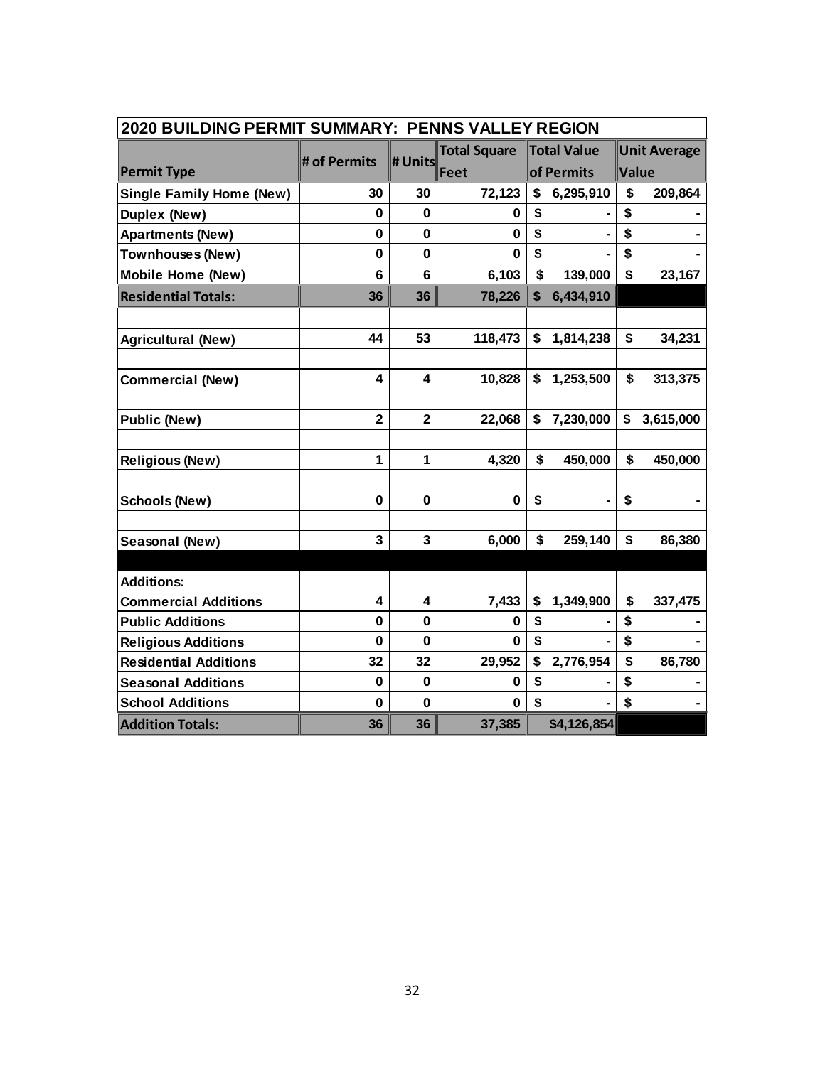| 2020 BUILDING PERMIT SUMMARY: PENNS VALLEY REGION |                         |                         |                     |            |             |                           |                     |  |  |  |  |
|---------------------------------------------------|-------------------------|-------------------------|---------------------|------------|-------------|---------------------------|---------------------|--|--|--|--|
|                                                   | # of Permits            |                         | <b>Total Square</b> |            | Total Value |                           | <b>Unit Average</b> |  |  |  |  |
| <b>Permit Type</b>                                |                         | # Units                 | Feet                | of Permits |             | Value                     |                     |  |  |  |  |
| <b>Single Family Home (New)</b>                   | 30                      | 30                      | 72,123              | \$         | 6,295,910   | \$                        | 209,864             |  |  |  |  |
| <b>Duplex (New)</b>                               | $\mathbf 0$             | $\bf{0}$                | 0                   | \$         |             | \$                        |                     |  |  |  |  |
| <b>Apartments (New)</b>                           | $\mathbf 0$             | 0                       | $\bf{0}$            | \$         |             | \$                        |                     |  |  |  |  |
| <b>Townhouses (New)</b>                           | 0                       | 0                       | 0                   | \$         |             | \$                        |                     |  |  |  |  |
| <b>Mobile Home (New)</b>                          | 6                       | 6                       | 6,103               | \$         | 139,000     | \$                        | 23,167              |  |  |  |  |
| <b>Residential Totals:</b>                        | 36                      | 36                      | 78,226              | \$         | 6,434,910   |                           |                     |  |  |  |  |
|                                                   |                         |                         |                     |            |             |                           |                     |  |  |  |  |
| <b>Agricultural (New)</b>                         | 44                      | 53                      | 118,473             | \$         | 1,814,238   | $\boldsymbol{\mathsf{s}}$ | 34,231              |  |  |  |  |
|                                                   |                         |                         |                     |            |             |                           |                     |  |  |  |  |
| <b>Commercial (New)</b>                           | 4                       | 4                       | 10,828              | \$         | 1,253,500   | \$                        | 313,375             |  |  |  |  |
|                                                   |                         |                         |                     |            |             |                           |                     |  |  |  |  |
| <b>Public (New)</b>                               | $\overline{\mathbf{2}}$ | $\overline{\mathbf{2}}$ | 22,068              | \$         | 7,230,000   | \$                        | 3,615,000           |  |  |  |  |
|                                                   |                         |                         |                     |            |             |                           |                     |  |  |  |  |
| <b>Religious (New)</b>                            | $\mathbf{1}$            | $\mathbf{1}$            | 4,320               | \$         | 450,000     | \$                        | 450,000             |  |  |  |  |
|                                                   |                         |                         |                     |            |             |                           |                     |  |  |  |  |
| <b>Schools (New)</b>                              | 0                       | 0                       | $\bf{0}$            | \$         |             | \$                        |                     |  |  |  |  |
|                                                   |                         |                         |                     |            |             |                           |                     |  |  |  |  |
| Seasonal (New)                                    | 3                       | 3                       | 6,000               | \$         | 259,140     | \$                        | 86,380              |  |  |  |  |
|                                                   |                         |                         |                     |            |             |                           |                     |  |  |  |  |
| <b>Additions:</b>                                 |                         |                         |                     |            |             |                           |                     |  |  |  |  |
| <b>Commercial Additions</b>                       | 4                       | 4                       | 7,433               | \$         | 1,349,900   | \$                        | 337,475             |  |  |  |  |
| <b>Public Additions</b>                           | $\bf{0}$                | $\mathbf 0$             | 0                   | \$         |             | \$                        |                     |  |  |  |  |
| <b>Religious Additions</b>                        | 0                       | $\bf{0}$                | 0                   | \$         |             | \$                        |                     |  |  |  |  |
| <b>Residential Additions</b>                      | 32                      | 32                      | 29,952              | \$         | 2,776,954   | \$                        | 86,780              |  |  |  |  |
| <b>Seasonal Additions</b>                         | 0                       | $\bf{0}$                | $\bf{0}$            | \$         |             | \$                        |                     |  |  |  |  |
| <b>School Additions</b>                           | $\mathbf 0$             | $\mathbf 0$             | $\bf{0}$            | \$         |             | \$                        |                     |  |  |  |  |
| <b>Addition Totals:</b>                           | 36                      | 36                      | 37,385              |            | \$4,126,854 |                           |                     |  |  |  |  |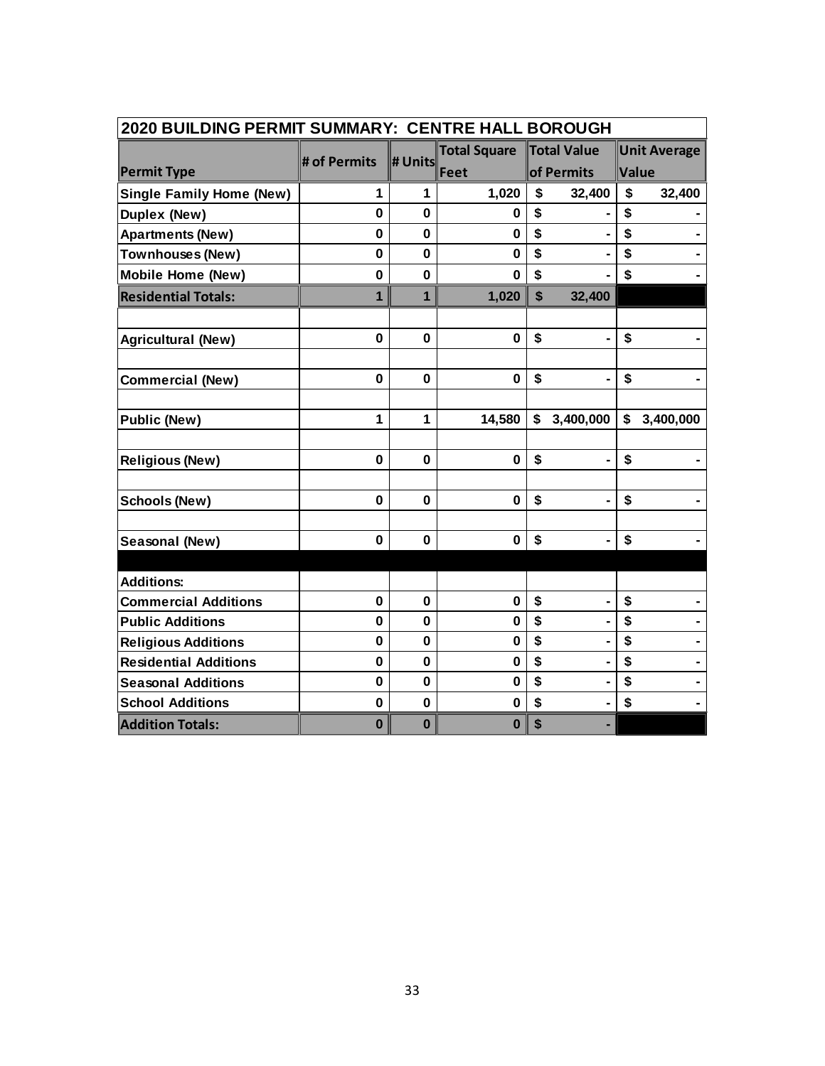| 2020 BUILDING PERMIT SUMMARY: CENTRE HALL BOROUGH |              |                |                     |                           |                |    |                     |  |  |  |  |
|---------------------------------------------------|--------------|----------------|---------------------|---------------------------|----------------|----|---------------------|--|--|--|--|
|                                                   | # of Permits | # Units        | <b>Total Square</b> |                           | Total Value    |    | <b>Unit Average</b> |  |  |  |  |
| <b>Permit Type</b>                                |              |                | Feet                | of Permits                |                |    | Value               |  |  |  |  |
| <b>Single Family Home (New)</b>                   | 1            | 1              | 1,020               | \$                        | 32,400         | \$ | 32,400              |  |  |  |  |
| Duplex (New)                                      | $\mathbf{0}$ | $\mathbf 0$    | 0                   | \$                        |                | \$ |                     |  |  |  |  |
| <b>Apartments (New)</b>                           | 0            | 0              | $\mathbf 0$         | \$                        |                | \$ |                     |  |  |  |  |
| <b>Townhouses (New)</b>                           | $\bf{0}$     | $\mathbf 0$    | $\bf{0}$            | \$                        |                | \$ |                     |  |  |  |  |
| <b>Mobile Home (New)</b>                          | $\mathbf 0$  | $\mathbf 0$    | $\bf{0}$            | \$                        |                | \$ |                     |  |  |  |  |
| <b>Residential Totals:</b>                        | 1            | $\overline{1}$ | 1,020               | $\boldsymbol{\mathsf{s}}$ | 32,400         |    |                     |  |  |  |  |
|                                                   |              |                |                     |                           |                |    |                     |  |  |  |  |
| <b>Agricultural (New)</b>                         | $\mathbf{0}$ | $\mathbf 0$    | $\bf{0}$            | \$                        |                | \$ |                     |  |  |  |  |
|                                                   |              |                |                     |                           |                |    |                     |  |  |  |  |
| <b>Commercial (New)</b>                           | 0            | $\mathbf 0$    | $\mathbf 0$         | \$                        |                | \$ |                     |  |  |  |  |
| <b>Public (New)</b>                               | 1            | $\mathbf{1}$   | 14,580              | \$                        | 3,400,000      | \$ | 3,400,000           |  |  |  |  |
|                                                   |              |                |                     |                           |                |    |                     |  |  |  |  |
| <b>Religious (New)</b>                            | $\mathbf 0$  | $\mathbf 0$    | $\mathbf 0$         | \$                        | $\blacksquare$ | \$ |                     |  |  |  |  |
| <b>Schools (New)</b>                              | 0            | $\mathbf 0$    | $\bf{0}$            | \$                        |                | \$ |                     |  |  |  |  |
| Seasonal (New)                                    | 0            | $\mathbf 0$    | $\mathbf 0$         | \$                        | $\blacksquare$ | \$ |                     |  |  |  |  |
|                                                   |              |                |                     |                           |                |    |                     |  |  |  |  |
| <b>Additions:</b>                                 |              |                |                     |                           |                |    |                     |  |  |  |  |
| <b>Commercial Additions</b>                       | $\mathbf{0}$ | $\mathbf 0$    | $\mathbf 0$         | \$                        | $\blacksquare$ | \$ |                     |  |  |  |  |
| <b>Public Additions</b>                           | $\mathbf 0$  | 0              | $\bf{0}$            | \$                        |                | \$ |                     |  |  |  |  |
| <b>Religious Additions</b>                        | $\bf{0}$     | 0              | $\mathbf 0$         | \$                        |                | \$ |                     |  |  |  |  |
| <b>Residential Additions</b>                      | $\mathbf{0}$ | $\mathbf 0$    | $\mathbf 0$         | \$                        |                | \$ |                     |  |  |  |  |
| <b>Seasonal Additions</b>                         | $\bf{0}$     | $\mathbf 0$    | $\mathbf 0$         | \$                        |                | \$ |                     |  |  |  |  |
| <b>School Additions</b>                           | $\mathbf 0$  | $\mathbf 0$    | $\mathbf 0$         | \$                        |                | \$ |                     |  |  |  |  |
| <b>Addition Totals:</b>                           | $\bf{0}$     | $\bf{0}$       | $\bf{0}$            | \$                        |                |    |                     |  |  |  |  |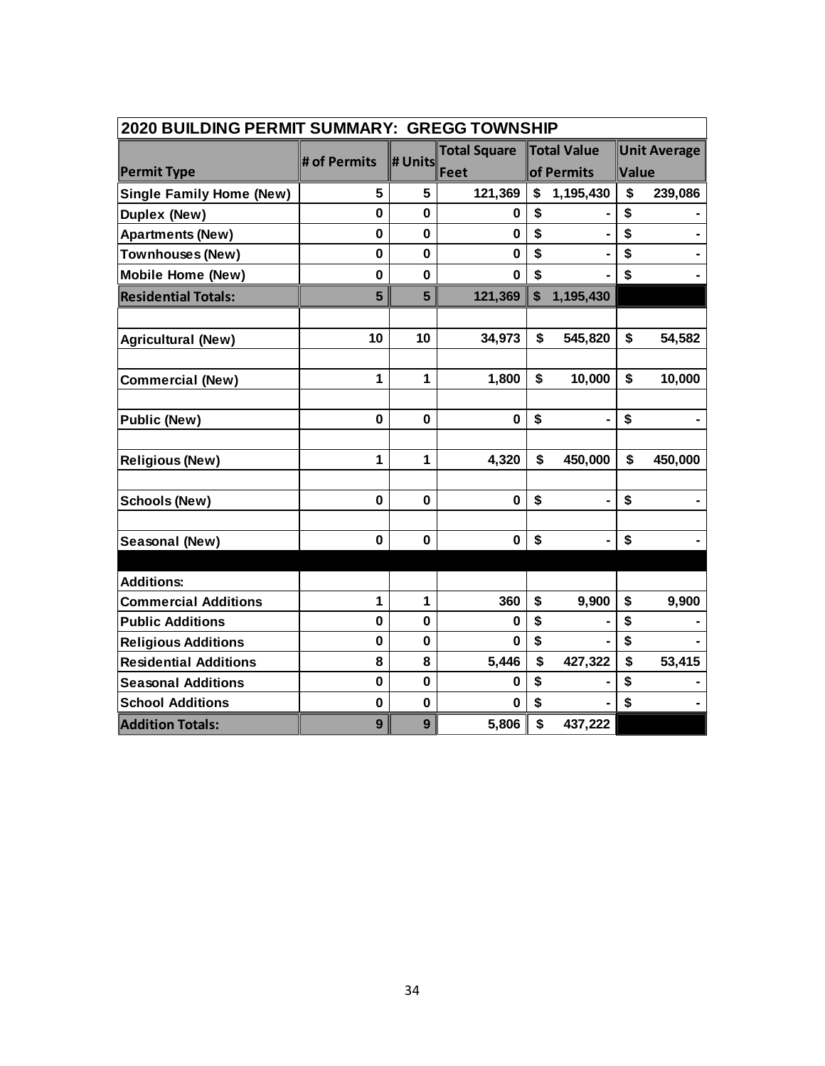| 2020 BUILDING PERMIT SUMMARY: GREGG TOWNSHIP |              |              |                     |            |             |       |                     |  |  |  |  |
|----------------------------------------------|--------------|--------------|---------------------|------------|-------------|-------|---------------------|--|--|--|--|
|                                              | # of Permits | # Units      | <b>Total Square</b> |            | Total Value |       | <b>Unit Average</b> |  |  |  |  |
| <b>Permit Type</b>                           |              |              | Feet                | of Permits |             | Value |                     |  |  |  |  |
| <b>Single Family Home (New)</b>              | 5            | 5            | 121,369             | \$         | 1,195,430   | \$    | 239,086             |  |  |  |  |
| <b>Duplex (New)</b>                          | 0            | 0            | 0                   | \$         |             | \$    |                     |  |  |  |  |
| <b>Apartments (New)</b>                      | $\mathbf 0$  | 0            | $\bf{0}$            | \$         |             | \$    |                     |  |  |  |  |
| <b>Townhouses (New)</b>                      | $\mathbf 0$  | $\mathbf 0$  | $\bf{0}$            | \$         |             | \$    |                     |  |  |  |  |
| <b>Mobile Home (New)</b>                     | 0            | 0            | $\bf{0}$            | \$         |             | \$    |                     |  |  |  |  |
| <b>Residential Totals:</b>                   | 5            | 5            | 121,369             | \$         | 1,195,430   |       |                     |  |  |  |  |
|                                              |              |              |                     |            |             |       |                     |  |  |  |  |
| <b>Agricultural (New)</b>                    | 10           | 10           | 34,973              | \$         | 545,820     | \$    | 54,582              |  |  |  |  |
|                                              |              |              |                     |            |             |       |                     |  |  |  |  |
| <b>Commercial (New)</b>                      | 1            | 1            | 1,800               | \$         | 10,000      | \$    | 10,000              |  |  |  |  |
|                                              |              |              |                     |            |             |       |                     |  |  |  |  |
| <b>Public (New)</b>                          | 0            | 0            | $\mathbf 0$         | \$         |             | \$    |                     |  |  |  |  |
|                                              |              |              |                     |            |             |       |                     |  |  |  |  |
| <b>Religious (New)</b>                       | 1            | $\mathbf{1}$ | 4,320               | \$         | 450,000     | \$    | 450,000             |  |  |  |  |
|                                              |              |              |                     |            |             |       |                     |  |  |  |  |
| <b>Schools (New)</b>                         | $\mathbf 0$  | $\mathbf 0$  | $\bf{0}$            | \$         |             | \$    |                     |  |  |  |  |
|                                              |              |              |                     |            |             |       |                     |  |  |  |  |
| Seasonal (New)                               | 0            | $\mathbf 0$  | $\bf{0}$            | \$         |             | \$    |                     |  |  |  |  |
|                                              |              |              |                     |            |             |       |                     |  |  |  |  |
| <b>Additions:</b>                            |              |              |                     |            |             |       |                     |  |  |  |  |
| <b>Commercial Additions</b>                  | 1            | $\mathbf{1}$ | 360                 | \$         | 9,900       | \$    | 9,900               |  |  |  |  |
| <b>Public Additions</b>                      | $\mathbf 0$  | $\bf{0}$     | 0                   | \$         |             | \$    |                     |  |  |  |  |
| <b>Religious Additions</b>                   | $\mathbf 0$  | 0            | 0                   | \$         |             | \$    |                     |  |  |  |  |
| <b>Residential Additions</b>                 | 8            | 8            | 5,446               | \$         | 427,322     | \$    | 53,415              |  |  |  |  |
| <b>Seasonal Additions</b>                    | 0            | $\mathbf 0$  | 0                   | \$         |             | \$    |                     |  |  |  |  |
| <b>School Additions</b>                      | 0            | $\mathbf 0$  | 0                   | \$         |             | \$    |                     |  |  |  |  |
| <b>Addition Totals:</b>                      | 9            | 9            | 5,806               | \$         | 437,222     |       |                     |  |  |  |  |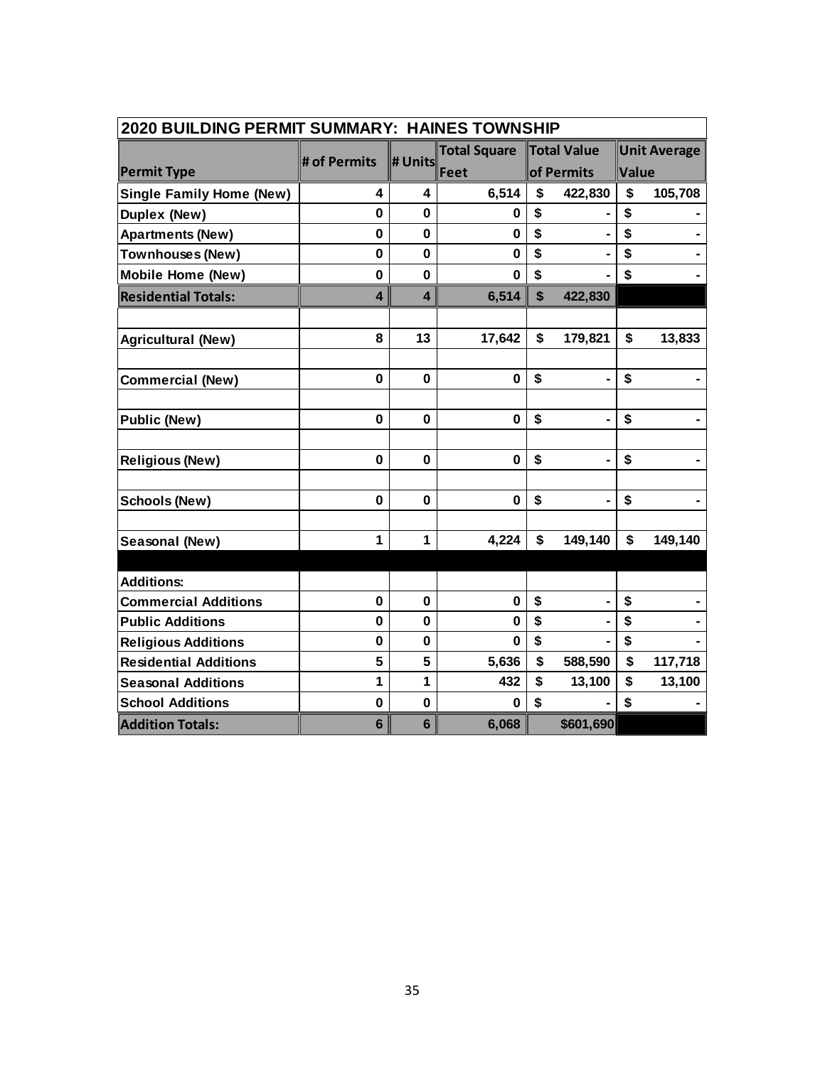| 2020 BUILDING PERMIT SUMMARY: HAINES TOWNSHIP |              |                 |                     |            |                |       |                     |  |  |  |  |
|-----------------------------------------------|--------------|-----------------|---------------------|------------|----------------|-------|---------------------|--|--|--|--|
|                                               | # of Permits | # Units         | <b>Total Square</b> |            | Total Value    |       | <b>Unit Average</b> |  |  |  |  |
| <b>Permit Type</b>                            |              |                 | Feet                | of Permits |                | Value |                     |  |  |  |  |
| <b>Single Family Home (New)</b>               | 4            | 4               | 6,514               | \$         | 422,830        | \$    | 105,708             |  |  |  |  |
| <b>Duplex (New)</b>                           | 0            | 0               | 0                   | \$         |                | \$    |                     |  |  |  |  |
| <b>Apartments (New)</b>                       | 0            | 0               | $\bf{0}$            | \$         |                | \$    |                     |  |  |  |  |
| <b>Townhouses (New)</b>                       | $\bf{0}$     | $\mathbf 0$     | $\mathbf 0$         | \$         |                | \$    |                     |  |  |  |  |
| <b>Mobile Home (New)</b>                      | 0            | 0               | $\bf{0}$            | \$         |                | \$    |                     |  |  |  |  |
| <b>Residential Totals:</b>                    | 4            | 4               | 6,514               | \$         | 422,830        |       |                     |  |  |  |  |
|                                               |              |                 |                     |            |                |       |                     |  |  |  |  |
| <b>Agricultural (New)</b>                     | 8            | 13              | 17,642              | \$         | 179,821        | \$    | 13,833              |  |  |  |  |
|                                               |              |                 |                     |            |                |       |                     |  |  |  |  |
| <b>Commercial (New)</b>                       | 0            | $\mathbf 0$     | $\bf{0}$            | \$         |                | \$    |                     |  |  |  |  |
| <b>Public (New)</b>                           | $\mathbf{0}$ | $\bf{0}$        | $\mathbf 0$         | \$         | $\blacksquare$ | \$    |                     |  |  |  |  |
|                                               |              |                 |                     |            |                |       |                     |  |  |  |  |
| <b>Religious (New)</b>                        | $\mathbf 0$  | $\mathbf 0$     | $\mathbf 0$         | \$         |                | \$    |                     |  |  |  |  |
|                                               |              |                 |                     |            |                |       |                     |  |  |  |  |
| <b>Schools (New)</b>                          | 0            | 0               | $\bf{0}$            | \$         |                | \$    |                     |  |  |  |  |
| Seasonal (New)                                | 1            | 1               | 4,224               | \$         | 149,140        | \$    | 149,140             |  |  |  |  |
|                                               |              |                 |                     |            |                |       |                     |  |  |  |  |
| <b>Additions:</b>                             |              |                 |                     |            |                |       |                     |  |  |  |  |
| <b>Commercial Additions</b>                   | $\mathbf 0$  | $\mathbf 0$     | $\bf{0}$            | \$         |                | \$    |                     |  |  |  |  |
| <b>Public Additions</b>                       | $\mathbf 0$  | 0               | $\bf{0}$            | \$         |                | \$    |                     |  |  |  |  |
| <b>Religious Additions</b>                    | $\mathbf 0$  | 0               | $\bf{0}$            | \$         |                | \$    |                     |  |  |  |  |
| <b>Residential Additions</b>                  | 5            | 5               | 5,636               | \$         | 588,590        | \$    | 117,718             |  |  |  |  |
| <b>Seasonal Additions</b>                     | 1            | 1               | 432                 | \$         | 13,100         | \$    | 13,100              |  |  |  |  |
| <b>School Additions</b>                       | $\bf{0}$     | $\mathbf 0$     | 0                   | \$         |                | \$    |                     |  |  |  |  |
| <b>Addition Totals:</b>                       | 6            | $6\phantom{1}6$ | 6,068               |            | \$601,690      |       |                     |  |  |  |  |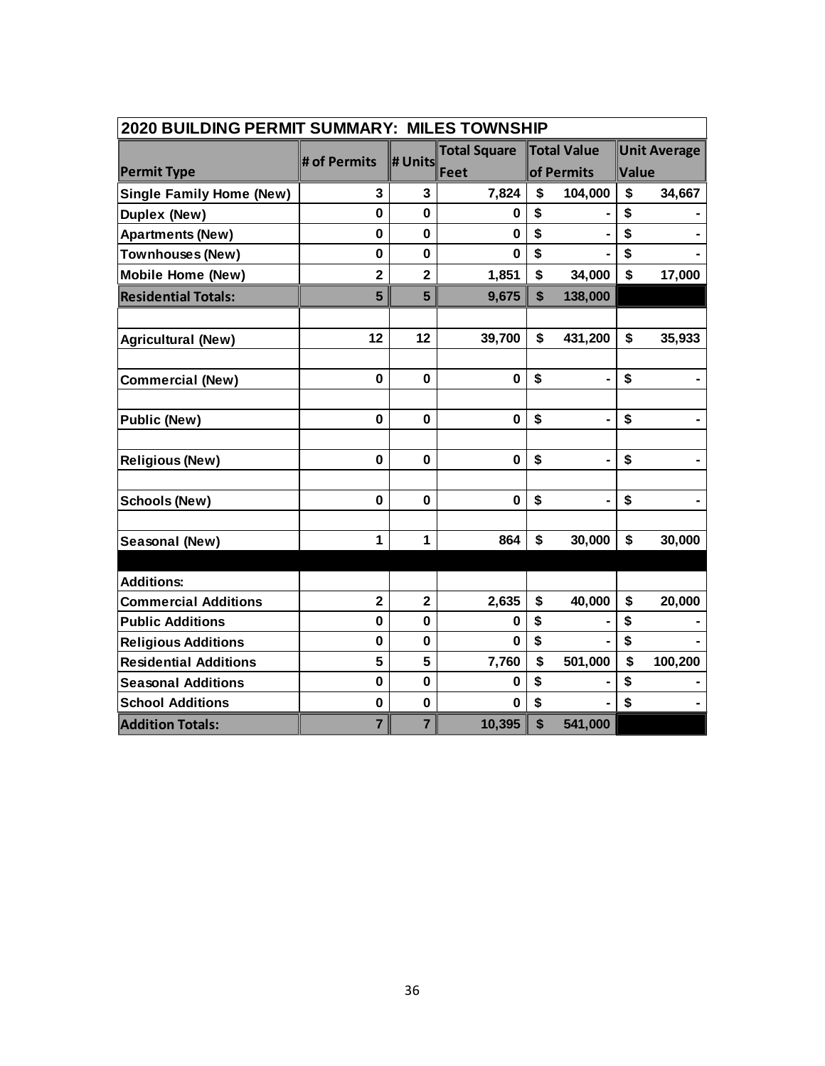| 2020 BUILDING PERMIT SUMMARY: MILES TOWNSHIP |                         |                         |                     |                           |                    |       |                     |  |  |  |  |
|----------------------------------------------|-------------------------|-------------------------|---------------------|---------------------------|--------------------|-------|---------------------|--|--|--|--|
|                                              | # of Permits            | # Units                 | <b>Total Square</b> |                           | <b>Total Value</b> |       | <b>Unit Average</b> |  |  |  |  |
| <b>Permit Type</b>                           |                         |                         | Feet                | of Permits                |                    | Value |                     |  |  |  |  |
| <b>Single Family Home (New)</b>              | 3                       | 3                       | 7,824               | \$                        | 104,000            | \$    | 34,667              |  |  |  |  |
| Duplex (New)                                 | $\mathbf{0}$            | $\mathbf 0$             | 0                   | \$                        |                    | \$    |                     |  |  |  |  |
| <b>Apartments (New)</b>                      | 0                       | $\mathbf 0$             | $\mathbf 0$         | \$                        |                    | \$    |                     |  |  |  |  |
| <b>Townhouses (New)</b>                      | 0                       | $\mathbf 0$             | $\bf{0}$            | \$                        |                    | \$    |                     |  |  |  |  |
| <b>Mobile Home (New)</b>                     | $\overline{2}$          | $\overline{2}$          | 1,851               | \$                        | 34,000             | \$    | 17,000              |  |  |  |  |
| <b>Residential Totals:</b>                   | 5                       | 5                       | 9,675               | \$                        | 138,000            |       |                     |  |  |  |  |
|                                              |                         |                         |                     |                           |                    |       |                     |  |  |  |  |
| <b>Agricultural (New)</b>                    | 12                      | 12                      | 39,700              | \$                        | 431,200            | \$    | 35,933              |  |  |  |  |
|                                              |                         |                         |                     |                           |                    |       |                     |  |  |  |  |
| <b>Commercial (New)</b>                      | $\mathbf 0$             | $\mathbf 0$             | $\mathbf 0$         | \$                        |                    | \$    |                     |  |  |  |  |
| <b>Public (New)</b>                          | 0                       | $\bf{0}$                | $\bf{0}$            | \$                        |                    | \$    |                     |  |  |  |  |
|                                              |                         |                         |                     |                           |                    |       |                     |  |  |  |  |
| <b>Religious (New)</b>                       | 0                       | $\mathbf 0$             | $\mathbf 0$         | \$                        | $\blacksquare$     | \$    |                     |  |  |  |  |
|                                              |                         |                         |                     |                           |                    |       |                     |  |  |  |  |
| <b>Schools (New)</b>                         | 0                       | $\mathbf 0$             | $\bf{0}$            | \$                        | $\blacksquare$     | \$    |                     |  |  |  |  |
| Seasonal (New)                               | 1                       | 1                       | 864                 | \$                        | 30,000             | \$    | 30,000              |  |  |  |  |
|                                              |                         |                         |                     |                           |                    |       |                     |  |  |  |  |
| <b>Additions:</b>                            |                         |                         |                     |                           |                    |       |                     |  |  |  |  |
| <b>Commercial Additions</b>                  | $\overline{\mathbf{2}}$ | $\overline{\mathbf{2}}$ | 2,635               | \$                        | 40,000             | \$    | 20,000              |  |  |  |  |
| <b>Public Additions</b>                      | $\mathbf 0$             | 0                       | 0                   | \$                        |                    | \$    |                     |  |  |  |  |
| <b>Religious Additions</b>                   | $\mathbf 0$             | $\mathbf 0$             | $\mathbf{0}$        | \$                        |                    | \$    |                     |  |  |  |  |
| <b>Residential Additions</b>                 | 5                       | 5                       | 7,760               | \$                        | 501,000            | \$    | 100,200             |  |  |  |  |
| <b>Seasonal Additions</b>                    | 0                       | $\mathbf 0$             | 0                   | \$                        |                    | \$    |                     |  |  |  |  |
| <b>School Additions</b>                      | $\mathbf 0$             | $\mathbf 0$             | 0                   | \$                        |                    | \$    |                     |  |  |  |  |
| <b>Addition Totals:</b>                      | $\overline{7}$          | $\overline{7}$          | 10,395              | $\boldsymbol{\mathsf{s}}$ | 541,000            |       |                     |  |  |  |  |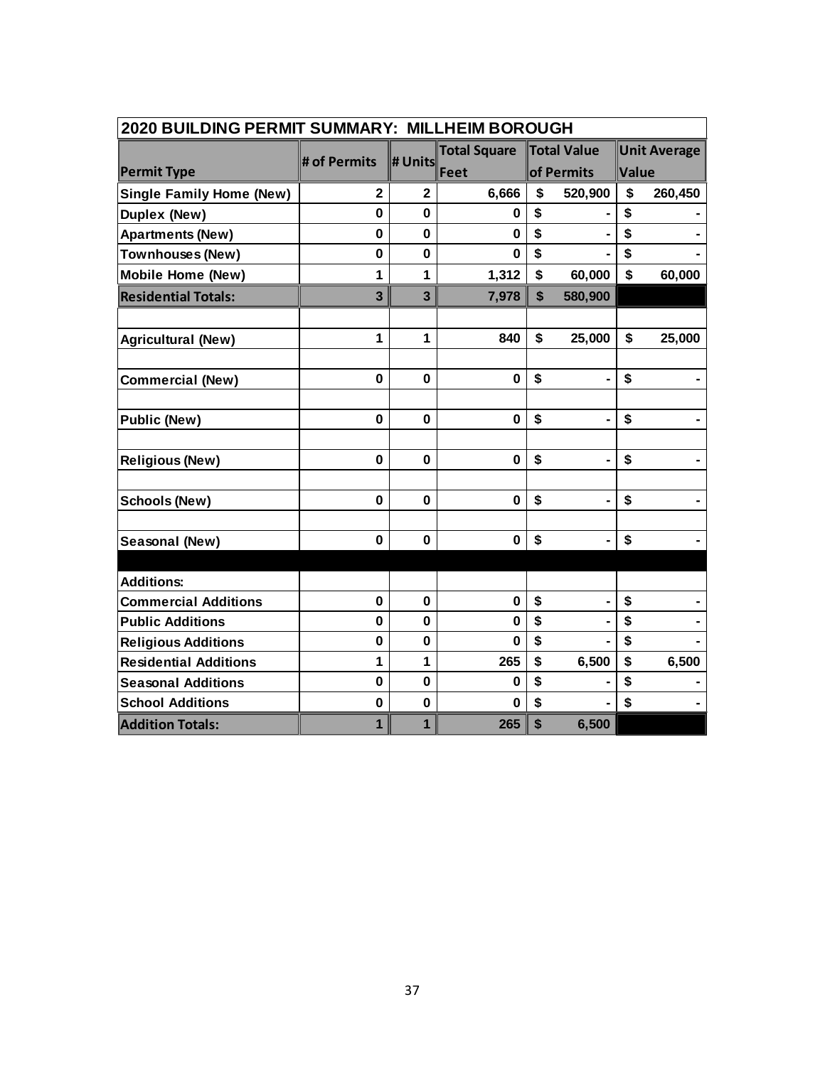| 2020 BUILDING PERMIT SUMMARY: MILLHEIM BOROUGH |                |                |                     |             |                |             |                     |  |
|------------------------------------------------|----------------|----------------|---------------------|-------------|----------------|-------------|---------------------|--|
|                                                |                |                | <b>Total Square</b> |             | Total Value    |             | <b>Unit Average</b> |  |
| <b>Permit Type</b>                             | # of Permits   | # Units        | Feet                |             | of Permits     | Value       |                     |  |
| <b>Single Family Home (New)</b>                | $\overline{2}$ | $\overline{2}$ | 6,666               | \$          | 520,900        | \$          | 260,450             |  |
| Duplex (New)                                   | 0              | $\mathbf 0$    | 0                   | \$          |                | \$          |                     |  |
| <b>Apartments (New)</b>                        | $\mathbf 0$    | $\mathbf 0$    | $\bf{0}$            | \$          |                | \$          |                     |  |
| <b>Townhouses (New)</b>                        | 0              | 0              | 0                   | \$          |                | \$          |                     |  |
| <b>Mobile Home (New)</b>                       | 1              | 1              | 1,312               | $\mathbf S$ | 60,000         | $\mathbf S$ | 60,000              |  |
| <b>Residential Totals:</b>                     | 3              | 3              | 7,978               | \$          | 580,900        |             |                     |  |
|                                                |                |                |                     |             |                |             |                     |  |
| <b>Agricultural (New)</b>                      | 1              | 1              | 840                 | \$          | 25,000         | \$          | 25,000              |  |
| <b>Commercial (New)</b>                        | $\bf{0}$       | $\mathbf 0$    | $\mathbf 0$         | \$          |                | \$          |                     |  |
|                                                |                |                |                     |             |                |             |                     |  |
| <b>Public (New)</b>                            | 0              | 0              | $\mathbf 0$         | \$          |                | \$          |                     |  |
|                                                |                |                |                     |             |                |             |                     |  |
| <b>Religious (New)</b>                         | 0              | $\mathbf 0$    | $\mathbf 0$         | \$          | $\blacksquare$ | \$          |                     |  |
| <b>Schools (New)</b>                           | 0              | 0              | $\mathbf 0$         | \$          |                | \$          |                     |  |
|                                                |                |                |                     |             |                |             |                     |  |
| Seasonal (New)                                 | $\bf{0}$       | $\mathbf 0$    | $\mathbf 0$         | \$          | $\blacksquare$ | \$          |                     |  |
|                                                |                |                |                     |             |                |             |                     |  |
| <b>Additions:</b>                              |                |                |                     |             |                |             |                     |  |
| <b>Commercial Additions</b>                    | $\mathbf 0$    | $\mathbf 0$    | $\mathbf 0$         | \$          |                | \$          |                     |  |
| <b>Public Additions</b>                        | $\mathbf 0$    | 0              | $\bf{0}$            | \$          |                | \$          |                     |  |
| <b>Religious Additions</b>                     | $\mathbf 0$    | $\mathbf 0$    | $\bf{0}$            | \$          |                | \$          |                     |  |
| <b>Residential Additions</b>                   | 1              | 1              | 265                 | \$          | 6,500          | \$          | 6,500               |  |
| <b>Seasonal Additions</b>                      | $\bf{0}$       | 0              | 0                   | \$          |                | \$          |                     |  |
| <b>School Additions</b>                        | $\mathbf 0$    | $\mathbf 0$    | $\bf{0}$            | \$          |                | \$          |                     |  |
| <b>Addition Totals:</b>                        | $\mathbf{1}$   | $\mathbf{1}$   | 265                 | \$          | 6,500          |             |                     |  |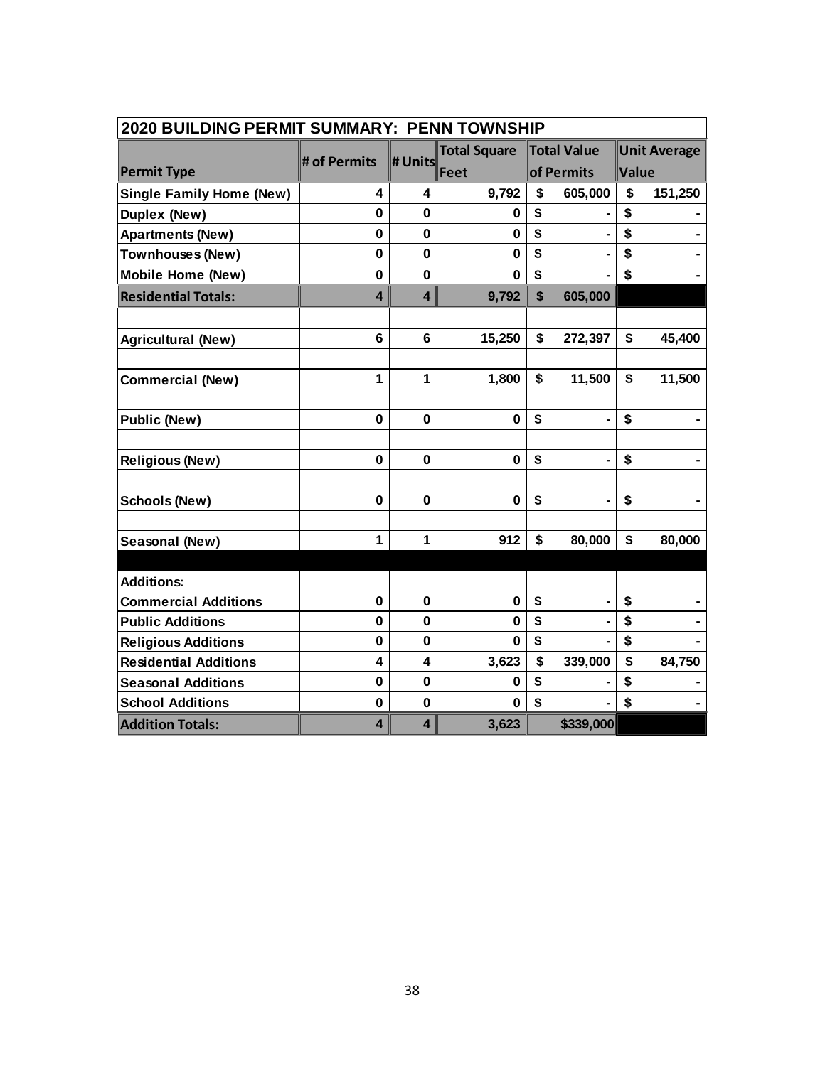| 2020 BUILDING PERMIT SUMMARY: PENN TOWNSHIP |              |                         |                     |    |                    |       |                     |  |  |
|---------------------------------------------|--------------|-------------------------|---------------------|----|--------------------|-------|---------------------|--|--|
|                                             | # of Permits | # Units                 | <b>Total Square</b> |    | <b>Total Value</b> |       | <b>Unit Average</b> |  |  |
| <b>Permit Type</b>                          |              |                         | Feet                |    | of Permits         | Value |                     |  |  |
| <b>Single Family Home (New)</b>             | 4            | 4                       | 9,792               | \$ | 605,000            | \$    | 151,250             |  |  |
| <b>Duplex (New)</b>                         | $\mathbf{0}$ | 0                       | 0                   | \$ |                    | \$    |                     |  |  |
| <b>Apartments (New)</b>                     | 0            | $\mathbf 0$             | $\mathbf 0$         | \$ |                    | \$    |                     |  |  |
| <b>Townhouses (New)</b>                     | $\mathbf 0$  | $\mathbf 0$             | $\bf{0}$            | \$ |                    | \$    |                     |  |  |
| <b>Mobile Home (New)</b>                    | $\mathbf 0$  | $\mathbf 0$             | $\bf{0}$            | \$ |                    | \$    |                     |  |  |
| <b>Residential Totals:</b>                  | 4            | 4                       | 9,792               | \$ | 605,000            |       |                     |  |  |
| <b>Agricultural (New)</b>                   | 6            | 6                       | 15,250              | \$ | 272,397            | \$    | 45,400              |  |  |
| <b>Commercial (New)</b>                     | 1            | 1                       | 1,800               | \$ | 11,500             | \$    | 11,500              |  |  |
| <b>Public (New)</b>                         | $\mathbf 0$  | 0                       | $\bf{0}$            | \$ |                    | \$    |                     |  |  |
| <b>Religious (New)</b>                      | $\mathbf 0$  | $\mathbf 0$             | $\mathbf 0$         | \$ |                    | \$    |                     |  |  |
| <b>Schools (New)</b>                        | $\mathbf 0$  | $\mathbf{0}$            | $\bf{0}$            | \$ |                    | \$    |                     |  |  |
| Seasonal (New)                              | 1            | 1                       | 912                 | \$ | 80,000             | \$    | 80,000              |  |  |
| <b>Additions:</b>                           |              |                         |                     |    |                    |       |                     |  |  |
| <b>Commercial Additions</b>                 | $\mathbf 0$  | $\mathbf 0$             | $\mathbf 0$         | \$ |                    | \$    |                     |  |  |
| <b>Public Additions</b>                     | 0            | $\mathbf 0$             | $\mathbf 0$         | \$ |                    | \$    |                     |  |  |
| <b>Religious Additions</b>                  | 0            | $\mathbf 0$             | 0                   | \$ |                    | \$    |                     |  |  |
| <b>Residential Additions</b>                | 4            | 4                       | 3,623               | \$ | 339,000            | \$    | 84,750              |  |  |
| <b>Seasonal Additions</b>                   | 0            | $\bf{0}$                | $\bf{0}$            | \$ |                    | \$    |                     |  |  |
| <b>School Additions</b>                     | $\mathbf 0$  | $\mathbf 0$             | $\mathbf 0$         | \$ |                    | \$    |                     |  |  |
| <b>Addition Totals:</b>                     | 4            | $\overline{\mathbf{4}}$ | 3,623               |    | \$339,000          |       |                     |  |  |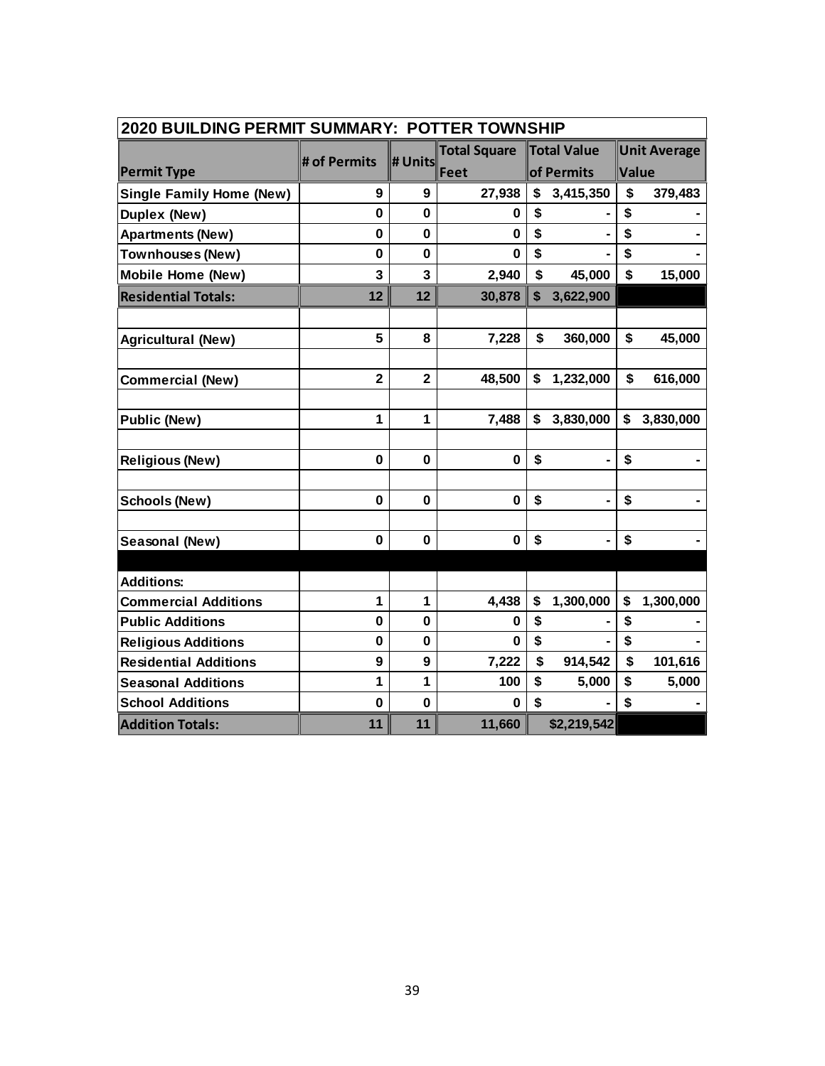| <b>2020 BUILDING PERMIT SUMMARY: POTTER TOWNSHIP</b> |                         |                         |                     |              |                    |                           |                     |  |
|------------------------------------------------------|-------------------------|-------------------------|---------------------|--------------|--------------------|---------------------------|---------------------|--|
|                                                      | # of Permits            | # Units                 | <b>Total Square</b> |              | <b>Total Value</b> |                           | <b>Unit Average</b> |  |
| <b>Permit Type</b>                                   |                         |                         | Feet                |              | of Permits         | Value                     |                     |  |
| <b>Single Family Home (New)</b>                      | 9                       | 9                       | 27,938              | \$           | 3,415,350          | \$                        | 379,483             |  |
| <b>Duplex (New)</b>                                  | $\mathbf{0}$            | $\mathbf 0$             | 0                   | \$           |                    | \$                        |                     |  |
| <b>Apartments (New)</b>                              | $\mathbf 0$             | $\mathbf 0$             | $\mathbf 0$         | \$           |                    | \$                        |                     |  |
| <b>Townhouses (New)</b>                              | 0                       | $\mathbf 0$             | $\bf{0}$            | \$           |                    | \$                        |                     |  |
| <b>Mobile Home (New)</b>                             | 3                       | 3                       | 2,940               | \$           | 45,000             | \$                        | 15,000              |  |
| <b>Residential Totals:</b>                           | 12                      | 12                      | 30,878              | $\mathbf{s}$ | 3,622,900          |                           |                     |  |
|                                                      |                         |                         |                     |              |                    |                           |                     |  |
| <b>Agricultural (New)</b>                            | 5                       | 8                       | 7,228               | \$           | 360,000            | \$                        | 45,000              |  |
|                                                      |                         |                         |                     |              |                    |                           |                     |  |
| <b>Commercial (New)</b>                              | $\overline{\mathbf{2}}$ | $\overline{\mathbf{2}}$ | 48,500              | \$           | 1,232,000          | \$                        | 616,000             |  |
|                                                      |                         |                         |                     |              |                    |                           |                     |  |
| <b>Public (New)</b>                                  | 1                       | 1                       | 7,488               | \$           | 3,830,000          | \$                        | 3,830,000           |  |
|                                                      |                         |                         |                     |              |                    |                           |                     |  |
| <b>Religious (New)</b>                               | $\mathbf 0$             | $\mathbf 0$             | $\mathbf 0$         | \$           | $\blacksquare$     | \$                        |                     |  |
|                                                      |                         |                         |                     |              |                    |                           |                     |  |
| <b>Schools (New)</b>                                 | 0                       | $\mathbf 0$             | $\mathbf 0$         | \$           | $\blacksquare$     | \$                        |                     |  |
|                                                      |                         |                         |                     |              |                    |                           |                     |  |
| Seasonal (New)                                       | 0                       | 0                       | $\mathbf 0$         | \$           | $\blacksquare$     | \$                        |                     |  |
|                                                      |                         |                         |                     |              |                    |                           |                     |  |
| <b>Additions:</b>                                    |                         |                         |                     |              |                    |                           |                     |  |
| <b>Commercial Additions</b>                          | 1                       | 1                       | 4,438               | \$           | 1,300,000          | \$                        | 1,300,000           |  |
| <b>Public Additions</b>                              | $\mathbf 0$             | 0                       | 0                   | \$           |                    | \$                        |                     |  |
| <b>Religious Additions</b>                           | $\mathbf 0$             | $\mathbf 0$             | $\mathbf 0$         | \$           |                    | $\boldsymbol{\mathsf{s}}$ |                     |  |
| <b>Residential Additions</b>                         | 9                       | 9                       | 7,222               | \$           | 914,542            | \$                        | 101,616             |  |
| <b>Seasonal Additions</b>                            | 1                       | 1                       | 100                 | \$           | 5,000              | \$                        | 5,000               |  |
| <b>School Additions</b>                              | $\mathbf 0$             | $\bf{0}$                | 0                   | \$           |                    | \$                        |                     |  |
| <b>Addition Totals:</b>                              | 11                      | 11                      | 11,660              |              | \$2,219,542        |                           |                     |  |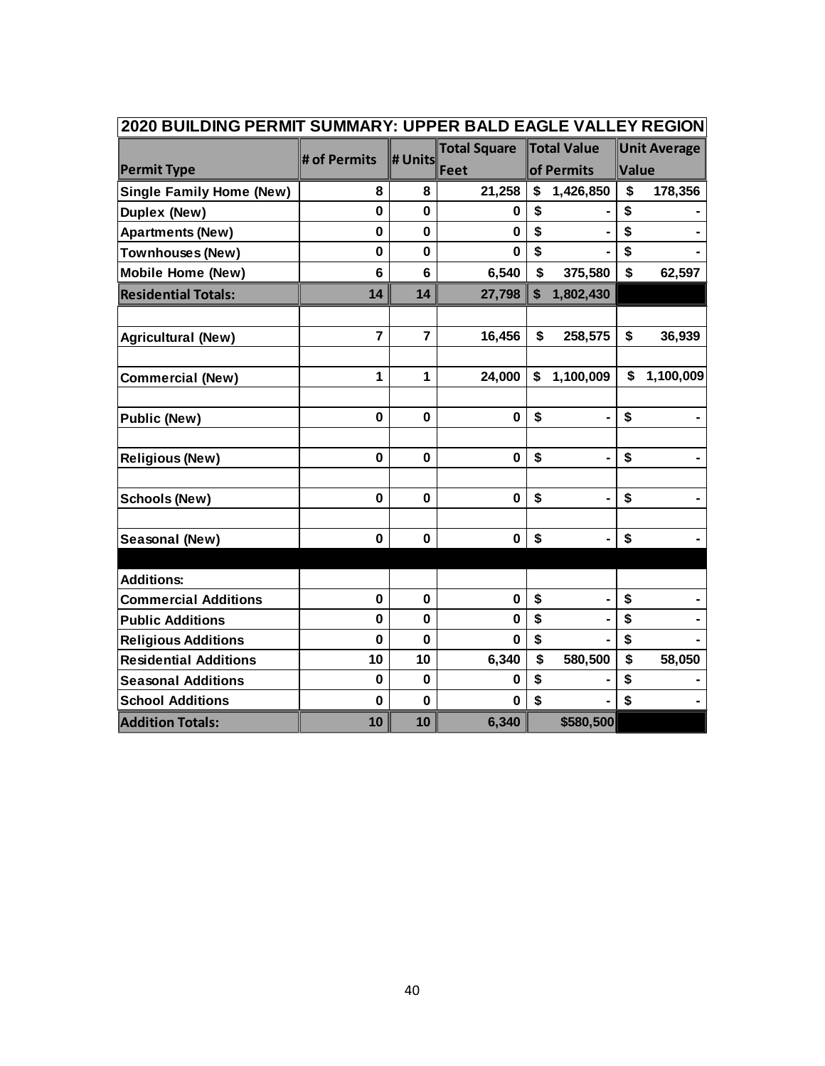| 2020 BUILDING PERMIT SUMMARY: UPPER BALD EAGLE VALLEY REGION |                |             |                     |                 |                     |           |  |
|--------------------------------------------------------------|----------------|-------------|---------------------|-----------------|---------------------|-----------|--|
|                                                              | # of Permits   | # Units     | <b>Total Square</b> | Total Value     | <b>Unit Average</b> |           |  |
| <b>Permit Type</b>                                           |                |             | Feet                | of Permits      | Value               |           |  |
| <b>Single Family Home (New)</b>                              | 8              | 8           | 21,258              | \$<br>1,426,850 | \$                  | 178,356   |  |
| Duplex (New)                                                 | 0              | 0           | 0                   | \$              | \$                  |           |  |
| <b>Apartments (New)</b>                                      | 0              | 0           | $\bf{0}$            | \$              | \$                  |           |  |
| <b>Townhouses (New)</b>                                      | $\mathbf 0$    | 0           | $\Omega$            | \$              | \$                  |           |  |
| <b>Mobile Home (New)</b>                                     | 6              | 6           | 6,540               | \$<br>375,580   | \$                  | 62,597    |  |
| <b>Residential Totals:</b>                                   | 14             | 14          | 27,798              | \$<br>1,802,430 |                     |           |  |
|                                                              |                |             |                     |                 |                     |           |  |
| <b>Agricultural (New)</b>                                    | $\overline{7}$ | 7           | 16,456              | \$<br>258,575   | \$                  | 36,939    |  |
|                                                              |                |             |                     |                 |                     |           |  |
| <b>Commercial (New)</b>                                      | 1              | 1           | 24,000              | \$<br>1,100,009 | \$                  | 1,100,009 |  |
| <b>Public (New)</b>                                          | 0              | $\mathbf 0$ | $\bf{0}$            | \$              | \$                  |           |  |
|                                                              |                |             |                     |                 |                     |           |  |
| <b>Religious (New)</b>                                       | $\mathbf 0$    | $\mathbf 0$ | $\bf{0}$            | \$              | \$                  |           |  |
|                                                              |                |             |                     |                 |                     |           |  |
| <b>Schools (New)</b>                                         | 0              | $\bf{0}$    | $\bf{0}$            | \$              | \$                  |           |  |
| Seasonal (New)                                               | $\mathbf 0$    | $\mathbf 0$ | $\mathbf 0$         | \$              | \$                  |           |  |
|                                                              |                |             |                     |                 |                     |           |  |
| <b>Additions:</b>                                            |                |             |                     |                 |                     |           |  |
| <b>Commercial Additions</b>                                  | 0              | 0           | $\mathbf 0$         | \$              | \$                  |           |  |
| <b>Public Additions</b>                                      | $\mathbf{0}$   | $\mathbf 0$ | $\bf{0}$            | \$              | \$                  |           |  |
| <b>Religious Additions</b>                                   | 0              | $\mathbf 0$ | $\bf{0}$            | \$              | \$                  |           |  |
| <b>Residential Additions</b>                                 | 10             | 10          | 6,340               | \$<br>580,500   | \$                  | 58,050    |  |
| <b>Seasonal Additions</b>                                    | 0              | 0           | 0                   | \$              | \$                  |           |  |
| <b>School Additions</b>                                      | $\mathbf 0$    | $\mathbf 0$ | $\bf{0}$            | \$              | \$                  |           |  |
| <b>Addition Totals:</b>                                      | 10             | 10          | 6,340               | \$580,500       |                     |           |  |

### 'n **2020 BUILDING PERMIT SUMMARY: UPPER BALD EAGLE VALLEY REGION**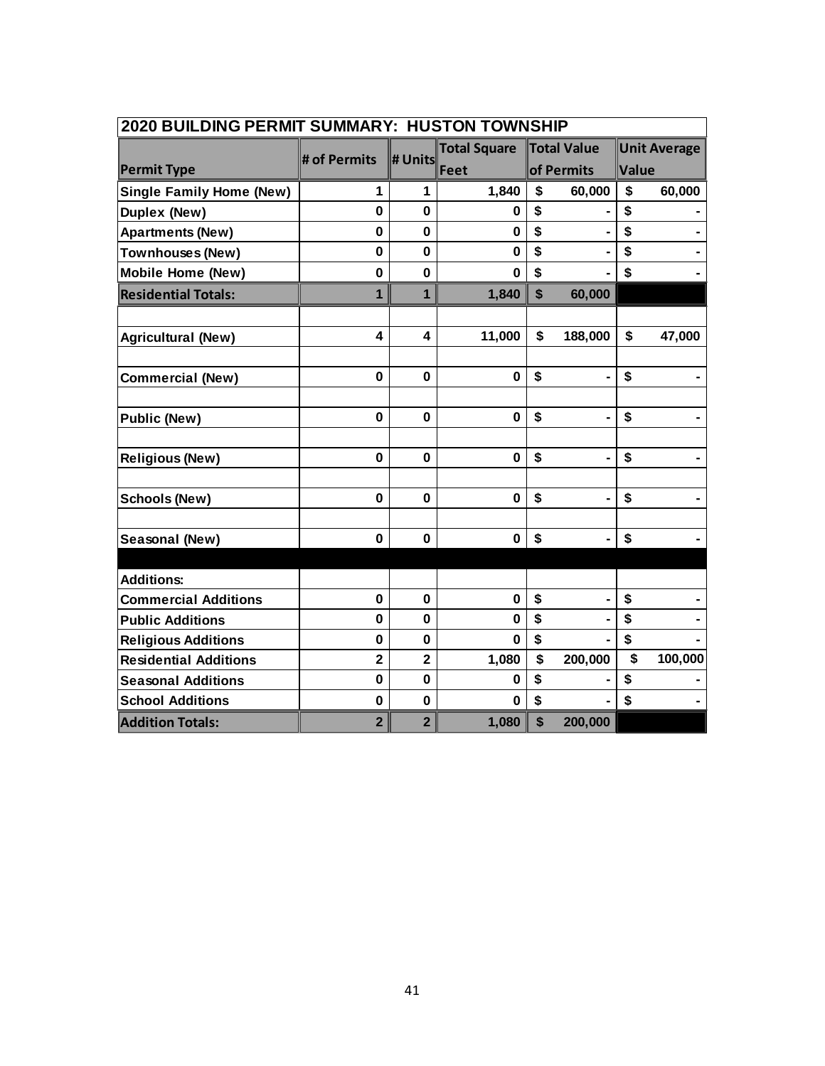| 2020 BUILDING PERMIT SUMMARY: HUSTON TOWNSHIP |                |                         |                     |            |                |                         |         |  |  |  |
|-----------------------------------------------|----------------|-------------------------|---------------------|------------|----------------|-------------------------|---------|--|--|--|
|                                               | # of Permits   | # Units                 | <b>Total Square</b> |            | Total Value    | <b>Unit Average</b>     |         |  |  |  |
| <b>Permit Type</b>                            |                |                         | Feet                | of Permits |                | Value                   |         |  |  |  |
| <b>Single Family Home (New)</b>               | 1              | 1                       | 1,840               | \$         | 60,000         | \$                      | 60,000  |  |  |  |
| Duplex (New)                                  | 0              | 0                       | 0                   | \$         |                | \$                      |         |  |  |  |
| <b>Apartments (New)</b>                       | 0              | $\mathbf 0$             | $\bf{0}$            | \$         |                | \$                      |         |  |  |  |
| Townhouses (New)                              | 0              | $\mathbf 0$             | $\bf{0}$            | \$         |                | \$                      |         |  |  |  |
| <b>Mobile Home (New)</b>                      | 0              | $\mathbf 0$             | $\bf{0}$            | \$         |                | \$                      |         |  |  |  |
| <b>Residential Totals:</b>                    | $\mathbf{1}$   | $\mathbf{1}$            | 1,840               | \$         | 60,000         |                         |         |  |  |  |
|                                               |                |                         |                     |            |                |                         |         |  |  |  |
| <b>Agricultural (New)</b>                     | 4              | 4                       | 11,000              | \$         | 188,000        | \$                      | 47,000  |  |  |  |
|                                               |                |                         |                     |            |                |                         |         |  |  |  |
| <b>Commercial (New)</b>                       | $\mathbf 0$    | $\mathbf 0$             | $\bf{0}$            | \$         | $\blacksquare$ | \$                      |         |  |  |  |
|                                               |                |                         |                     |            |                |                         |         |  |  |  |
| <b>Public (New)</b>                           | $\mathbf 0$    | $\mathbf 0$             | $\bf{0}$            | \$         |                | \$                      |         |  |  |  |
|                                               |                |                         |                     |            |                |                         |         |  |  |  |
| <b>Religious (New)</b>                        | $\mathbf 0$    | $\mathbf 0$             | $\bf{0}$            | \$         |                | \$                      |         |  |  |  |
|                                               |                |                         |                     |            |                |                         |         |  |  |  |
| <b>Schools (New)</b>                          | $\mathbf 0$    | $\mathbf 0$             | $\mathbf 0$         | \$         |                | \$                      |         |  |  |  |
|                                               |                |                         |                     |            |                |                         |         |  |  |  |
| Seasonal (New)                                | 0              | $\mathbf 0$             | $\bf{0}$            | \$         |                | \$                      |         |  |  |  |
|                                               |                |                         |                     |            |                |                         |         |  |  |  |
| <b>Additions:</b>                             |                |                         |                     |            |                |                         |         |  |  |  |
| <b>Commercial Additions</b>                   | 0              | 0                       | $\mathbf 0$         | \$         |                | \$                      |         |  |  |  |
| <b>Public Additions</b>                       | 0              | $\mathbf 0$             | $\bf{0}$            | \$         |                | \$                      |         |  |  |  |
| <b>Religious Additions</b>                    | 0              | $\mathbf 0$             | $\bf{0}$            | \$         |                | \$                      |         |  |  |  |
| <b>Residential Additions</b>                  | $\overline{2}$ | $\overline{\mathbf{2}}$ | 1,080               | \$         | 200,000        | $\overline{\mathbf{s}}$ | 100,000 |  |  |  |
| <b>Seasonal Additions</b>                     | $\mathbf 0$    | $\mathbf 0$             | $\bf{0}$            | \$         |                | \$                      |         |  |  |  |
| <b>School Additions</b>                       | $\mathbf 0$    | $\mathbf 0$             | 0                   | \$         |                | \$                      |         |  |  |  |
| <b>Addition Totals:</b>                       | $\overline{2}$ | $\overline{2}$          | 1,080               | \$         | 200,000        |                         |         |  |  |  |

### r. **2020 BUILDING PERMIT SUMMARY: HUSTON TOWNSHIP**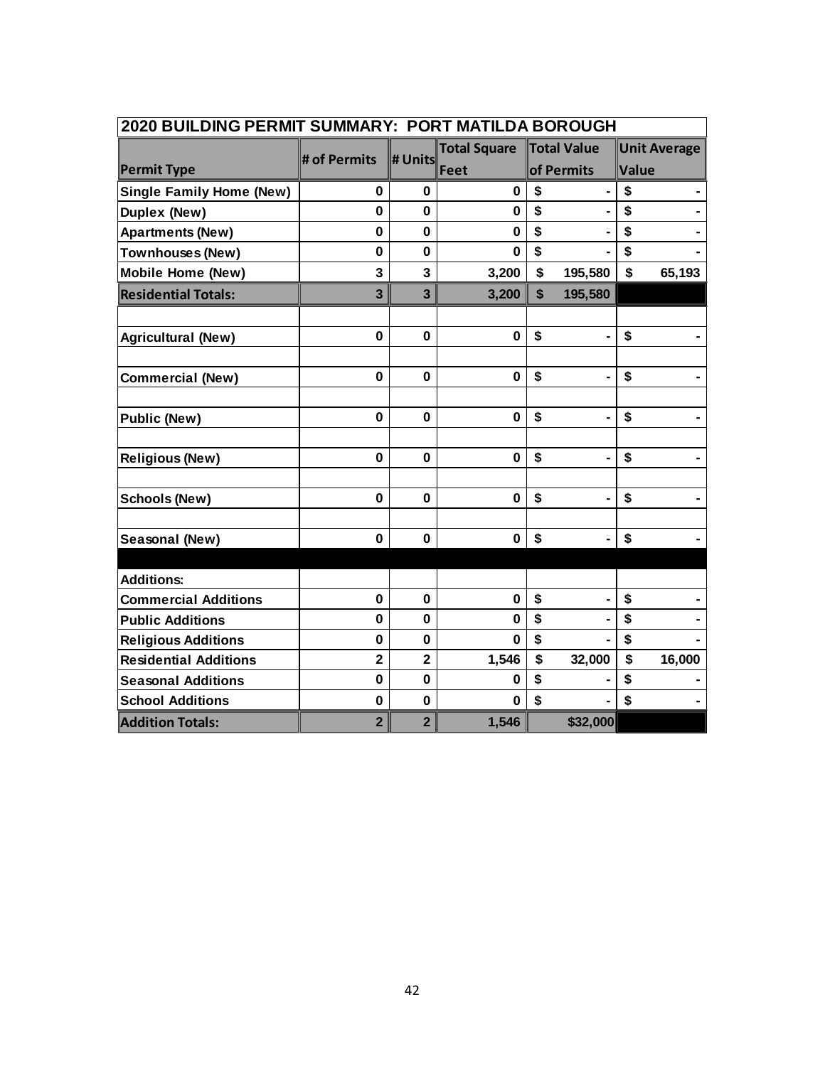| 2020 BUILDING PERMIT SUMMARY: PORT MATILDA BOROUGH |                |                |                     |               |                     |  |  |  |
|----------------------------------------------------|----------------|----------------|---------------------|---------------|---------------------|--|--|--|
|                                                    | # of Permits   | # Units        | <b>Total Square</b> | Total Value   | <b>Unit Average</b> |  |  |  |
| <b>Permit Type</b>                                 |                |                | Feet                | of Permits    | Value               |  |  |  |
| <b>Single Family Home (New)</b>                    | 0              | 0              | 0                   | \$            | \$                  |  |  |  |
| <b>Duplex (New)</b>                                | $\mathbf{0}$   | $\mathbf{0}$   | $\bf{0}$            | \$            | \$                  |  |  |  |
| <b>Apartments (New)</b>                            | 0              | 0              | 0                   | \$            | \$                  |  |  |  |
| Townhouses (New)                                   | $\mathbf 0$    | 0              | $\bf{0}$            | \$            | \$                  |  |  |  |
| <b>Mobile Home (New)</b>                           | 3              | 3              | 3,200               | \$<br>195,580 | \$<br>65,193        |  |  |  |
| <b>Residential Totals:</b>                         | 3              | 3              | 3,200               | 195,580<br>\$ |                     |  |  |  |
| <b>Agricultural (New)</b>                          | 0              | $\pmb{0}$      | $\bf{0}$            | \$            | \$                  |  |  |  |
|                                                    |                |                |                     |               |                     |  |  |  |
| <b>Commercial (New)</b>                            | $\mathbf 0$    | $\mathbf 0$    | $\mathbf 0$         | \$<br>۰       | \$                  |  |  |  |
| <b>Public (New)</b>                                | 0              | $\mathbf 0$    | $\bf{0}$            | \$            | \$                  |  |  |  |
|                                                    |                |                |                     |               |                     |  |  |  |
| <b>Religious (New)</b>                             | $\mathbf 0$    | $\mathbf 0$    | $\bf{0}$            | \$            | \$                  |  |  |  |
| <b>Schools (New)</b>                               | $\mathbf 0$    | $\bf{0}$       | $\bf{0}$            | \$            | \$                  |  |  |  |
| Seasonal (New)                                     | 0              | 0              | 0                   | \$            | \$                  |  |  |  |
|                                                    |                |                |                     |               |                     |  |  |  |
| <b>Additions:</b>                                  |                |                |                     |               |                     |  |  |  |
| <b>Commercial Additions</b>                        | $\mathbf 0$    | $\mathbf 0$    | $\mathbf 0$         | \$            | \$                  |  |  |  |
| <b>Public Additions</b>                            | $\mathbf 0$    | $\mathbf{0}$   | $\mathbf 0$         | \$            | \$                  |  |  |  |
| <b>Religious Additions</b>                         | $\mathbf 0$    | $\mathbf 0$    | $\bf{0}$            | \$            | \$                  |  |  |  |
| <b>Residential Additions</b>                       | $\overline{2}$ | $\overline{2}$ | 1,546               | \$<br>32,000  | \$<br>16,000        |  |  |  |
| <b>Seasonal Additions</b>                          | $\mathbf 0$    | $\mathbf 0$    | $\bf{0}$            | \$            | \$                  |  |  |  |
| <b>School Additions</b>                            | $\mathbf 0$    | $\mathbf 0$    | $\bf{0}$            | \$            | \$                  |  |  |  |
| <b>Addition Totals:</b>                            | $\overline{2}$ | $\overline{2}$ | 1,546               | \$32,000      |                     |  |  |  |

# **2020 BUILDING BEBMIT SUMMARY: BORT MATILDA BOROUGH**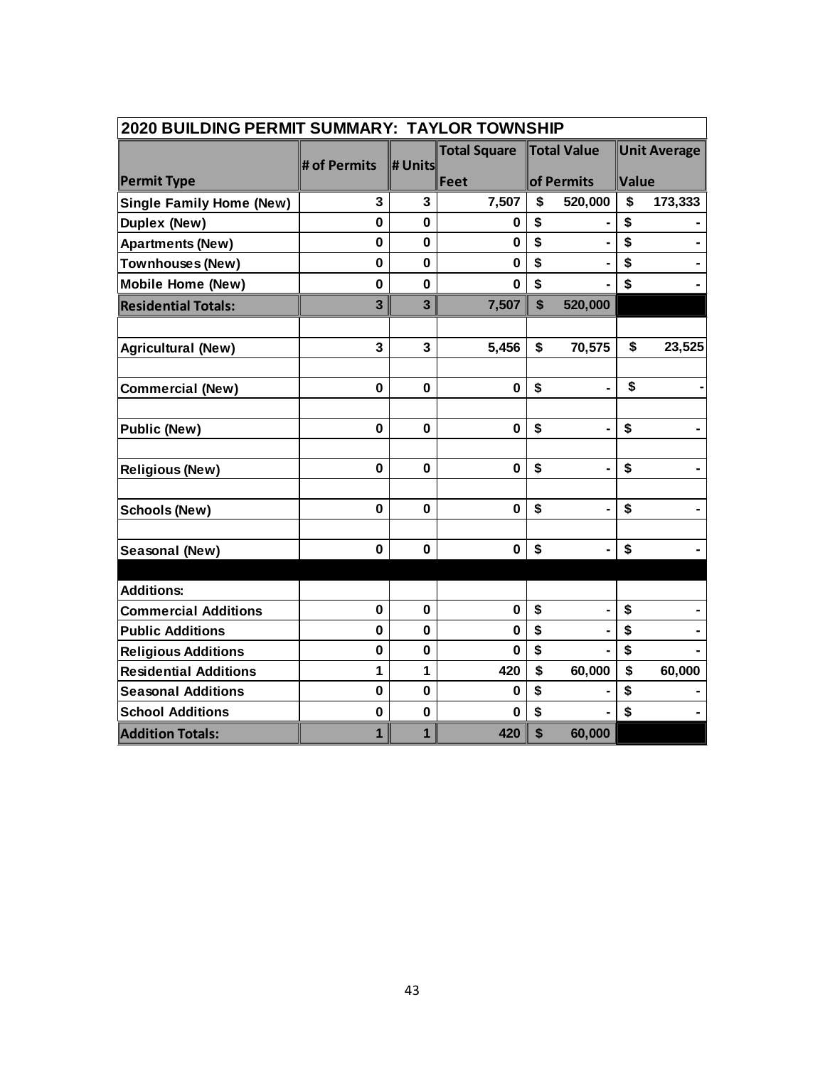| <b>2020 BUILDING PERMIT SUMMARY: TAYLOR TOWNSHIP</b> |              |                         |                     |              |                |              |                     |  |  |
|------------------------------------------------------|--------------|-------------------------|---------------------|--------------|----------------|--------------|---------------------|--|--|
|                                                      |              |                         | <b>Total Square</b> |              | Total Value    |              | <b>Unit Average</b> |  |  |
| <b>Permit Type</b>                                   | # of Permits | # Units                 | $\ $ Feet           |              | of Permits     | <b>Value</b> |                     |  |  |
| <b>Single Family Home (New)</b>                      | 3            | 3                       | 7,507               | \$           | 520,000        | \$           | 173,333             |  |  |
| Duplex (New)                                         | 0            | $\mathbf{0}$            | 0                   | \$           |                | \$           |                     |  |  |
| <b>Apartments (New)</b>                              | 0            | $\mathbf 0$             | 0                   | \$           |                | \$           |                     |  |  |
| <b>Townhouses (New)</b>                              | 0            | $\bf{0}$                | 0                   | \$           |                | \$           |                     |  |  |
| <b>Mobile Home (New)</b>                             | $\mathbf{0}$ | $\mathbf 0$             | $\bf{0}$            | \$           |                | \$           |                     |  |  |
| <b>Residential Totals:</b>                           | 3            | $\overline{\mathbf{3}}$ | 7,507               | $\mathbf{s}$ | 520,000        |              |                     |  |  |
| <b>Agricultural (New)</b>                            | 3            | 3                       | 5,456               | \$           | 70,575         | \$           | 23,525              |  |  |
| <b>Commercial (New)</b>                              | 0            | 0                       | 0                   | \$           |                | \$           |                     |  |  |
| <b>Public (New)</b>                                  | $\mathbf 0$  | $\mathbf 0$             | $\mathbf 0$         | \$           |                | \$           |                     |  |  |
| <b>Religious (New)</b>                               | $\mathbf 0$  | $\mathbf 0$             | $\mathbf 0$         | \$           |                | \$           |                     |  |  |
| <b>Schools (New)</b>                                 | $\mathbf 0$  | 0                       | $\bf{0}$            | \$           |                | \$           |                     |  |  |
| Seasonal (New)                                       | $\mathbf 0$  | $\mathbf 0$             | $\bf{0}$            | \$           | $\blacksquare$ | \$           |                     |  |  |
| <b>Additions:</b>                                    |              |                         |                     |              |                |              |                     |  |  |
| <b>Commercial Additions</b>                          | $\mathbf 0$  | $\mathbf 0$             | $\mathbf 0$         | \$           |                | \$           |                     |  |  |
| <b>Public Additions</b>                              | 0            | $\mathbf{0}$            | 0                   | \$           |                | \$           |                     |  |  |
| <b>Religious Additions</b>                           | $\mathbf 0$  | $\bf{0}$                | O                   | \$           |                | \$           |                     |  |  |
| <b>Residential Additions</b>                         | 1            | 1                       | 420                 | \$           | 60,000         | \$           | 60,000              |  |  |
| <b>Seasonal Additions</b>                            | $\mathbf{0}$ | $\mathbf 0$             | $\bf{0}$            | \$           |                | \$           |                     |  |  |
| <b>School Additions</b>                              | $\mathbf 0$  | $\mathbf 0$             | 0                   | \$           |                | \$           |                     |  |  |
| <b>Addition Totals:</b>                              | $\mathbf{1}$ | $\mathbf{1}$            | 420                 | \$           | 60,000         |              |                     |  |  |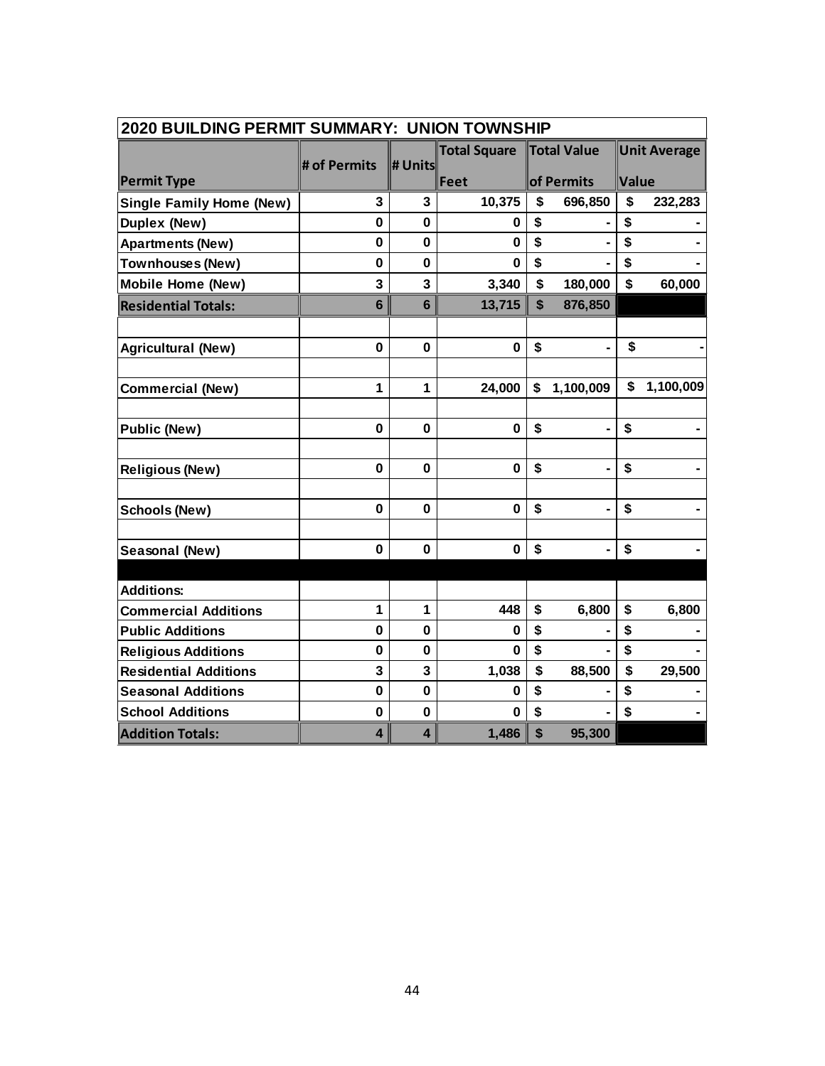| <b>2020 BUILDING PERMIT SUMMARY: UNION TOWNSHIP</b> |                         |                         |                     |    |                |       |                     |  |  |
|-----------------------------------------------------|-------------------------|-------------------------|---------------------|----|----------------|-------|---------------------|--|--|
|                                                     | # of Permits            | $\ $ # Units $\ $       | <b>Total Square</b> |    | Total Value    |       | <b>Unit Average</b> |  |  |
| <b>Permit Type</b>                                  |                         |                         | $\ $ Feet           |    | of Permits     | Value |                     |  |  |
| <b>Single Family Home (New)</b>                     | 3                       | 3                       | 10,375              | \$ | 696,850        | \$    | 232,283             |  |  |
| <b>Duplex (New)</b>                                 | $\mathbf 0$             | $\mathbf 0$             | 0                   | \$ |                | \$    |                     |  |  |
| <b>Apartments (New)</b>                             | $\bf{0}$                | $\bf{0}$                | $\bf{0}$            | \$ |                | \$    |                     |  |  |
| <b>Townhouses (New)</b>                             | $\mathbf 0$             | $\mathbf 0$             | 0                   | \$ |                | \$    |                     |  |  |
| <b>Mobile Home (New)</b>                            | 3                       | 3                       | 3,340               | \$ | 180,000        | \$    | 60,000              |  |  |
| <b>Residential Totals:</b>                          | $6\phantom{1}$          | $6\phantom{1}$          | 13,715              | \$ | 876,850        |       |                     |  |  |
| <b>Agricultural (New)</b>                           | 0                       | $\bf{0}$                | $\bf{0}$            | \$ |                | \$    |                     |  |  |
|                                                     |                         |                         |                     |    |                |       |                     |  |  |
| <b>Commercial (New)</b>                             | $\mathbf{1}$            | 1                       | 24,000              | \$ | 1,100,009      | \$    | 1,100,009           |  |  |
| <b>Public (New)</b>                                 | $\mathbf 0$             | $\mathbf 0$             | $\mathbf 0$         | \$ |                | \$    |                     |  |  |
| <b>Religious (New)</b>                              | 0                       | 0                       | $\mathbf 0$         | \$ |                | \$    |                     |  |  |
|                                                     |                         |                         |                     |    |                |       |                     |  |  |
| <b>Schools (New)</b>                                | $\mathbf 0$             | $\mathbf 0$             | $\mathbf 0$         | \$ |                | \$    |                     |  |  |
| Seasonal (New)                                      | $\mathbf 0$             | 0                       | $\mathbf 0$         | \$ | $\blacksquare$ | \$    |                     |  |  |
| <b>Additions:</b>                                   |                         |                         |                     |    |                |       |                     |  |  |
| <b>Commercial Additions</b>                         | $\mathbf{1}$            | $\mathbf{1}$            | 448                 | \$ | 6,800          | \$    | 6,800               |  |  |
| <b>Public Additions</b>                             | $\mathbf 0$             | $\mathbf 0$             | 0                   | \$ |                | \$    |                     |  |  |
| <b>Religious Additions</b>                          | $\mathbf 0$             | $\mathbf 0$             | $\bf{0}$            | \$ |                | \$    |                     |  |  |
| <b>Residential Additions</b>                        | 3                       | 3                       | 1,038               | \$ | 88,500         | \$    | 29,500              |  |  |
| <b>Seasonal Additions</b>                           | $\mathbf{0}$            | $\mathbf 0$             | $\bf{0}$            | \$ |                | \$    |                     |  |  |
| <b>School Additions</b>                             | 0                       | 0                       | 0                   | \$ |                | \$    |                     |  |  |
| <b>Addition Totals:</b>                             | $\overline{\mathbf{4}}$ | $\overline{\mathbf{4}}$ | 1,486               | \$ | 95,300         |       |                     |  |  |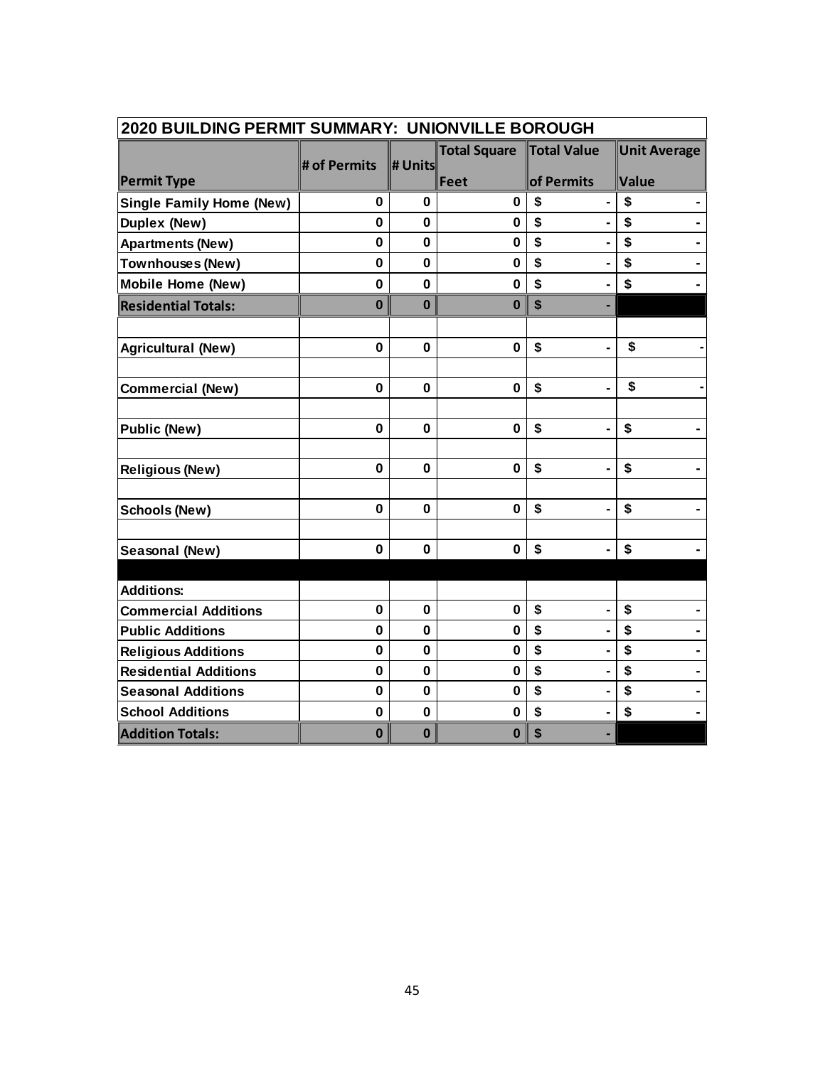| 2020 BUILDING PERMIT SUMMARY: UNIONVILLE BOROUGH |              |              |                     |                      |                     |  |  |  |  |
|--------------------------------------------------|--------------|--------------|---------------------|----------------------|---------------------|--|--|--|--|
|                                                  |              |              | <b>Total Square</b> | Total Value          | <b>Unit Average</b> |  |  |  |  |
| <b>Permit Type</b>                               | # of Permits | # Units      | Feet                | of Permits           | Value               |  |  |  |  |
| <b>Single Family Home (New)</b>                  | $\mathbf 0$  | $\mathbf 0$  | $\bf{0}$            | \$<br>$\blacksquare$ | \$                  |  |  |  |  |
| Duplex (New)                                     | $\mathbf 0$  | $\mathbf 0$  | $\bf{0}$            | \$<br>$\blacksquare$ | \$                  |  |  |  |  |
| <b>Apartments (New)</b>                          | $\bf{0}$     | $\mathbf{0}$ | $\bf{0}$            | \$                   | \$                  |  |  |  |  |
| Townhouses (New)                                 | $\mathbf 0$  | $\mathbf 0$  | 0                   | \$                   | \$                  |  |  |  |  |
| Mobile Home (New)                                | $\mathbf 0$  | $\mathbf 0$  | $\bf{0}$            | \$                   | \$                  |  |  |  |  |
| <b>Residential Totals:</b>                       | $\bf{0}$     | $\bf{0}$     | $\bf{0}$            | \$                   |                     |  |  |  |  |
|                                                  |              |              |                     |                      |                     |  |  |  |  |
| <b>Agricultural (New)</b>                        | 0            | $\bf{0}$     | $\bf{0}$            | \$<br>$\blacksquare$ | \$                  |  |  |  |  |
|                                                  |              |              |                     |                      |                     |  |  |  |  |
| <b>Commercial (New)</b>                          | 0            | $\bf{0}$     | $\bf{0}$            | \$<br>۰              | \$                  |  |  |  |  |
|                                                  |              |              |                     |                      |                     |  |  |  |  |
| <b>Public (New)</b>                              | $\mathbf 0$  | $\mathbf 0$  | $\mathbf 0$         | \$                   | \$                  |  |  |  |  |
|                                                  | $\mathbf 0$  | 0            | $\mathbf 0$         | \$                   | \$                  |  |  |  |  |
| <b>Religious (New)</b>                           |              |              |                     |                      |                     |  |  |  |  |
| Schools (New)                                    | 0            | $\mathbf 0$  | $\mathbf 0$         | \$                   | \$                  |  |  |  |  |
|                                                  |              |              |                     |                      |                     |  |  |  |  |
| Seasonal (New)                                   | 0            | $\mathbf 0$  | $\bf{0}$            | \$                   | \$                  |  |  |  |  |
|                                                  |              |              |                     |                      |                     |  |  |  |  |
| <b>Additions:</b>                                |              |              |                     |                      |                     |  |  |  |  |
| <b>Commercial Additions</b>                      | $\mathbf 0$  | 0            | $\mathbf 0$         | \$<br>$\blacksquare$ | \$                  |  |  |  |  |
| <b>Public Additions</b>                          | $\mathbf 0$  | $\mathbf 0$  | $\bf{0}$            | \$<br>$\blacksquare$ | \$                  |  |  |  |  |
| <b>Religious Additions</b>                       | $\mathbf 0$  | $\mathbf 0$  | $\bf{0}$            | \$                   | \$                  |  |  |  |  |
| <b>Residential Additions</b>                     | $\mathbf 0$  | $\mathbf 0$  | $\bf{0}$            | \$                   | \$                  |  |  |  |  |
| <b>Seasonal Additions</b>                        | $\mathbf 0$  | $\mathbf 0$  | $\mathbf 0$         | \$<br>۰              | \$                  |  |  |  |  |
| <b>School Additions</b>                          | 0            | $\mathbf 0$  | $\bf{0}$            | \$<br>$\blacksquare$ | \$                  |  |  |  |  |
| <b>Addition Totals:</b>                          | $\bf{0}$     | $\bf{0}$     | $\bf{0}$            | \$                   |                     |  |  |  |  |